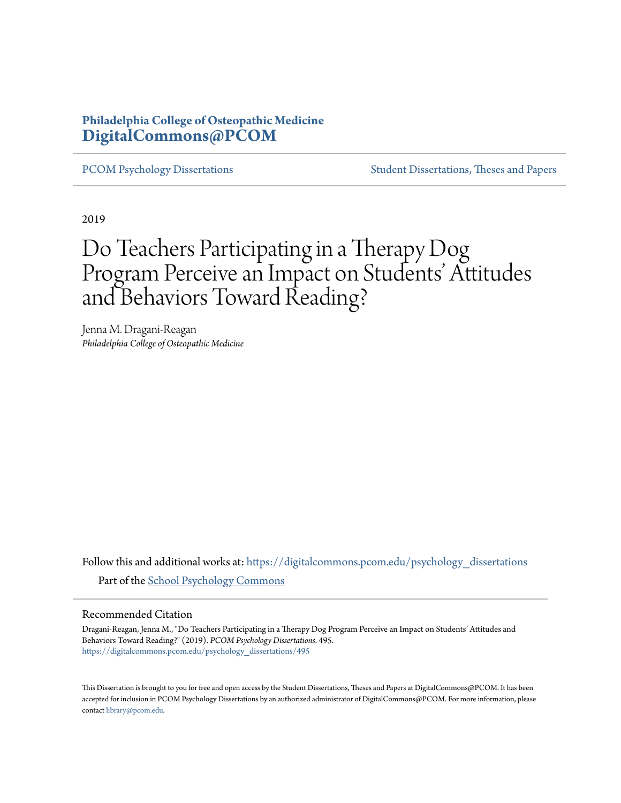### **Philadelphia College of Osteopathic Medicine [DigitalCommons@PCOM](https://digitalcommons.pcom.edu?utm_source=digitalcommons.pcom.edu%2Fpsychology_dissertations%2F495&utm_medium=PDF&utm_campaign=PDFCoverPages)**

[PCOM Psychology Dissertations](https://digitalcommons.pcom.edu/psychology_dissertations?utm_source=digitalcommons.pcom.edu%2Fpsychology_dissertations%2F495&utm_medium=PDF&utm_campaign=PDFCoverPages) [Student Dissertations, Theses and Papers](https://digitalcommons.pcom.edu/etds?utm_source=digitalcommons.pcom.edu%2Fpsychology_dissertations%2F495&utm_medium=PDF&utm_campaign=PDFCoverPages)

2019

# Do Teachers Participating in a Therapy Dog Program Perceive an Impact on Students' Attitudes and Behaviors Toward Reading?

Jenna M. Dragani-Reagan *Philadelphia College of Osteopathic Medicine*

Follow this and additional works at: [https://digitalcommons.pcom.edu/psychology\\_dissertations](https://digitalcommons.pcom.edu/psychology_dissertations?utm_source=digitalcommons.pcom.edu%2Fpsychology_dissertations%2F495&utm_medium=PDF&utm_campaign=PDFCoverPages) Part of the [School Psychology Commons](http://network.bepress.com/hgg/discipline/1072?utm_source=digitalcommons.pcom.edu%2Fpsychology_dissertations%2F495&utm_medium=PDF&utm_campaign=PDFCoverPages)

#### Recommended Citation

Dragani-Reagan, Jenna M., "Do Teachers Participating in a Therapy Dog Program Perceive an Impact on Students' Attitudes and Behaviors Toward Reading?" (2019). *PCOM Psychology Dissertations*. 495. [https://digitalcommons.pcom.edu/psychology\\_dissertations/495](https://digitalcommons.pcom.edu/psychology_dissertations/495?utm_source=digitalcommons.pcom.edu%2Fpsychology_dissertations%2F495&utm_medium=PDF&utm_campaign=PDFCoverPages)

This Dissertation is brought to you for free and open access by the Student Dissertations, Theses and Papers at DigitalCommons@PCOM. It has been accepted for inclusion in PCOM Psychology Dissertations by an authorized administrator of DigitalCommons@PCOM. For more information, please contact [library@pcom.edu.](mailto:library@pcom.edu)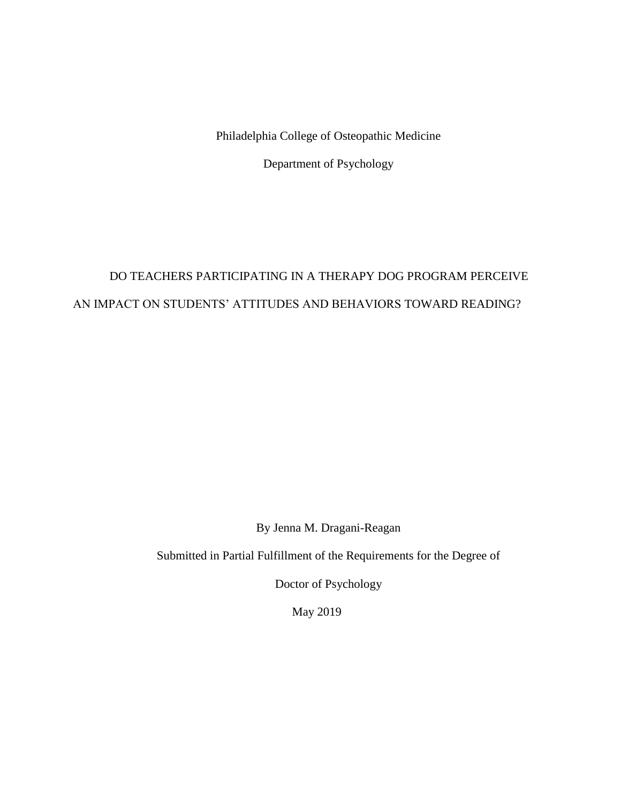Philadelphia College of Osteopathic Medicine

Department of Psychology

## DO TEACHERS PARTICIPATING IN A THERAPY DOG PROGRAM PERCEIVE AN IMPACT ON STUDENTS' ATTITUDES AND BEHAVIORS TOWARD READING?

By Jenna M. Dragani-Reagan

Submitted in Partial Fulfillment of the Requirements for the Degree of

Doctor of Psychology

May 2019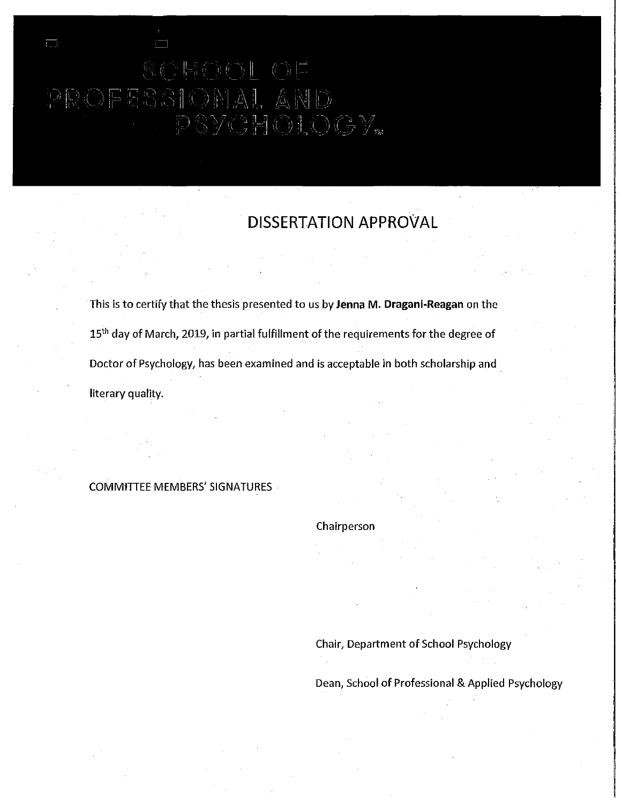## PROFESSIONAL , Â ND PSYCHOLOGY<sub>w</sub>

**DISSERTATION APPROVAL** 

This is to certify that the thesis presented to us by **Jenna M. Dragani-Reagan** on the 15<sup>th</sup> day of March, 2019, in partial fulfillment of the requirements for the degree of Doctor of Psychology, has been examined and is acceptable in both scholarship and . literary quality.

COMMtTIEE MEMBERS' SIGNATURES

#### Chairperson

Chair, Department of School Psychology

Dean, School of Professional & Applied Psychology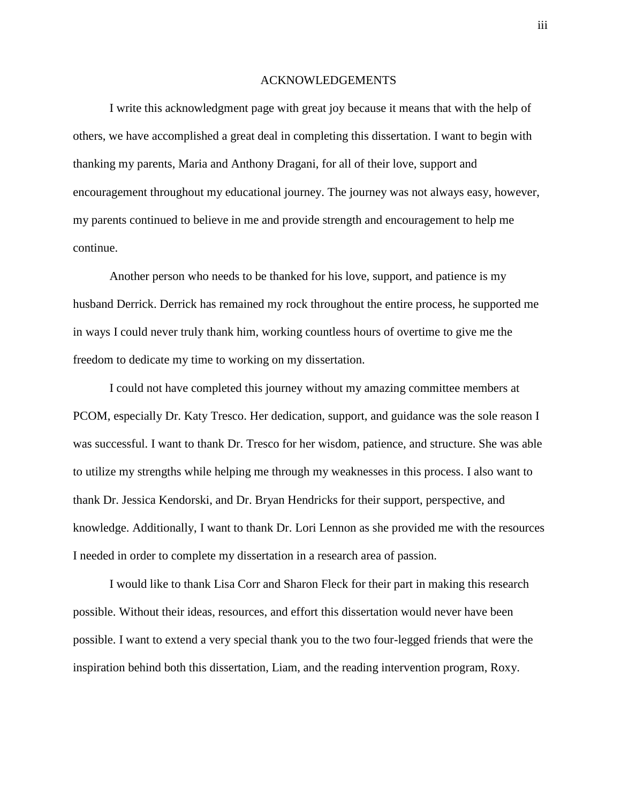#### ACKNOWLEDGEMENTS

I write this acknowledgment page with great joy because it means that with the help of others, we have accomplished a great deal in completing this dissertation. I want to begin with thanking my parents, Maria and Anthony Dragani, for all of their love, support and encouragement throughout my educational journey. The journey was not always easy, however, my parents continued to believe in me and provide strength and encouragement to help me continue.

Another person who needs to be thanked for his love, support, and patience is my husband Derrick. Derrick has remained my rock throughout the entire process, he supported me in ways I could never truly thank him, working countless hours of overtime to give me the freedom to dedicate my time to working on my dissertation.

I could not have completed this journey without my amazing committee members at PCOM, especially Dr. Katy Tresco. Her dedication, support, and guidance was the sole reason I was successful. I want to thank Dr. Tresco for her wisdom, patience, and structure. She was able to utilize my strengths while helping me through my weaknesses in this process. I also want to thank Dr. Jessica Kendorski, and Dr. Bryan Hendricks for their support, perspective, and knowledge. Additionally, I want to thank Dr. Lori Lennon as she provided me with the resources I needed in order to complete my dissertation in a research area of passion.

I would like to thank Lisa Corr and Sharon Fleck for their part in making this research possible. Without their ideas, resources, and effort this dissertation would never have been possible. I want to extend a very special thank you to the two four-legged friends that were the inspiration behind both this dissertation, Liam, and the reading intervention program, Roxy.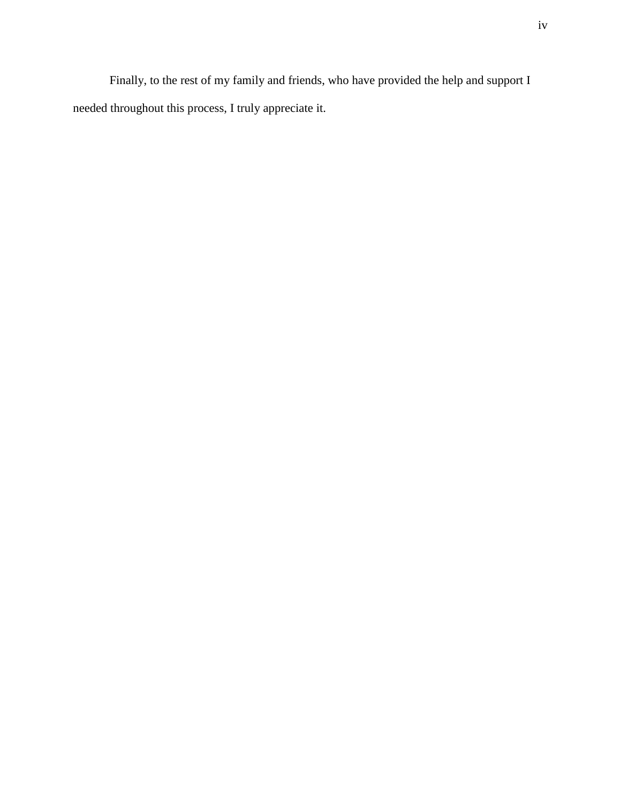Finally, to the rest of my family and friends, who have provided the help and support I needed throughout this process, I truly appreciate it.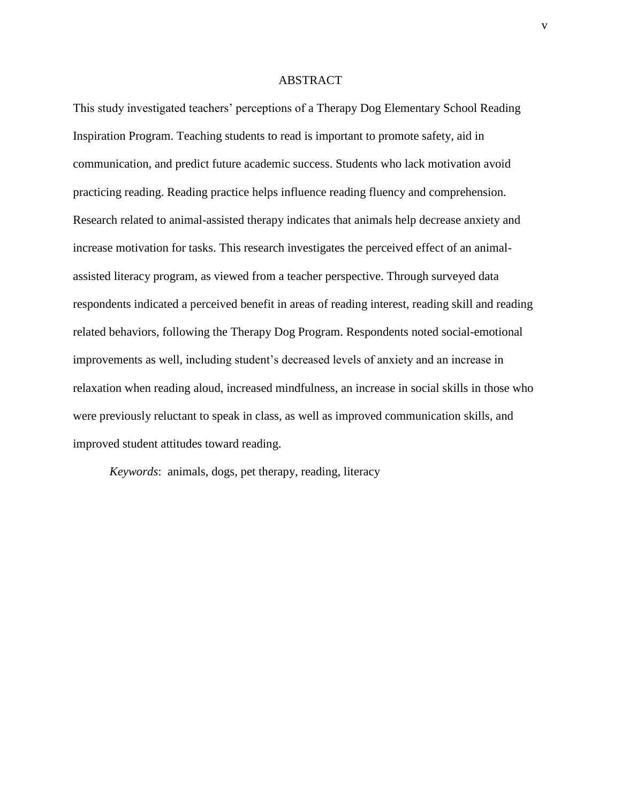#### ABSTRACT

This study investigated teachers' perceptions of a Therapy Dog Elementary School Reading Inspiration Program. Teaching students to read is important to promote safety, aid in communication, and predict future academic success. Students who lack motivation avoid practicing reading. Reading practice helps influence reading fluency and comprehension. Research related to animal-assisted therapy indicates that animals help decrease anxiety and increase motivation for tasks. This research investigates the perceived effect of an animalassisted literacy program, as viewed from a teacher perspective. Through surveyed data respondents indicated a perceived benefit in areas of reading interest, reading skill and reading related behaviors, following the Therapy Dog Program. Respondents noted social-emotional improvements as well, including student's decreased levels of anxiety and an increase in relaxation when reading aloud, increased mindfulness, an increase in social skills in those who were previously reluctant to speak in class, as well as improved communication skills, and improved student attitudes toward reading.

*Keywords*: animals, dogs, pet therapy, reading, literacy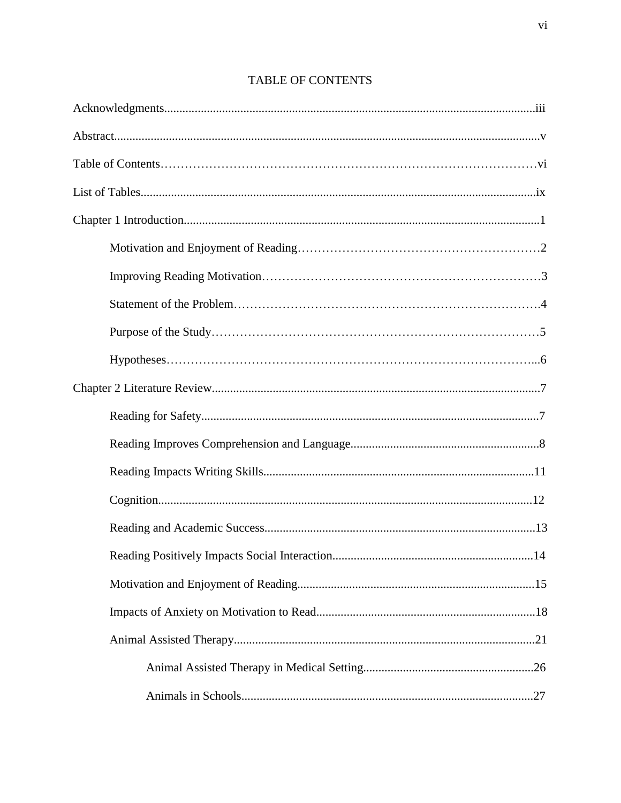## TABLE OF CONTENTS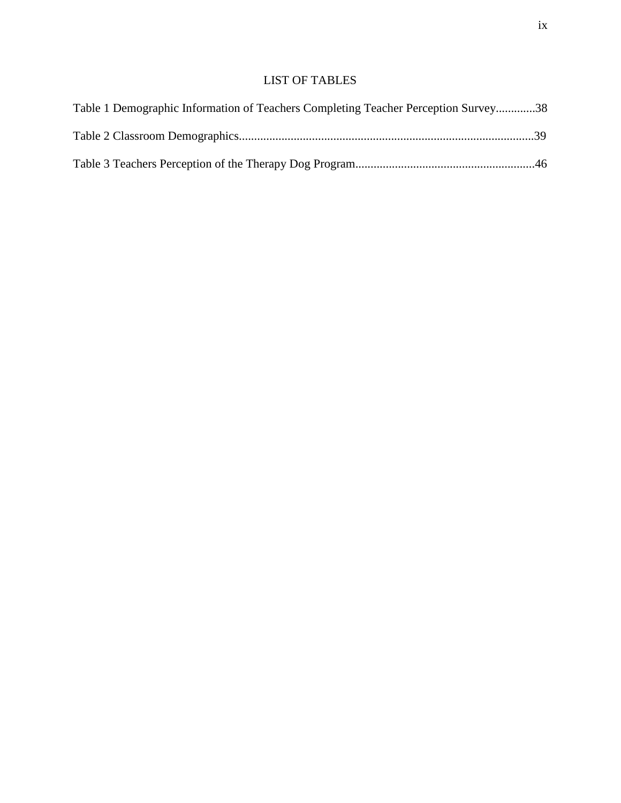### LIST OF TABLES

| Table 1 Demographic Information of Teachers Completing Teacher Perception Survey38 |  |
|------------------------------------------------------------------------------------|--|
|                                                                                    |  |
|                                                                                    |  |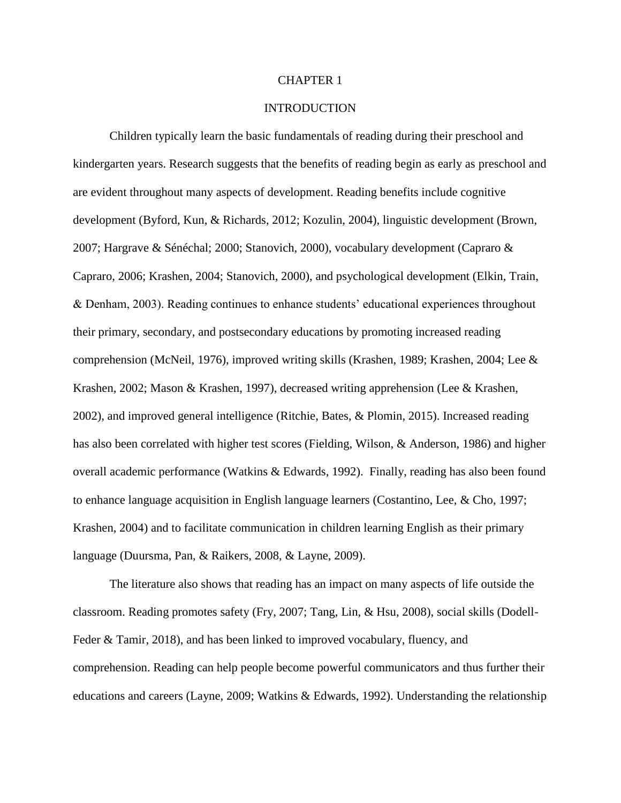#### CHAPTER 1

#### **INTRODUCTION**

Children typically learn the basic fundamentals of reading during their preschool and kindergarten years. Research suggests that the benefits of reading begin as early as preschool and are evident throughout many aspects of development. Reading benefits include cognitive development (Byford, Kun, & Richards, 2012; Kozulin, 2004), linguistic development (Brown, 2007; Hargrave & Sénéchal; 2000; Stanovich, 2000), vocabulary development (Capraro & Capraro, 2006; Krashen, 2004; Stanovich, 2000), and psychological development (Elkin, Train, & Denham, 2003). Reading continues to enhance students' educational experiences throughout their primary, secondary, and postsecondary educations by promoting increased reading comprehension (McNeil, 1976), improved writing skills (Krashen, 1989; Krashen, 2004; Lee & Krashen, 2002; Mason & Krashen, 1997), decreased writing apprehension (Lee & Krashen, 2002), and improved general intelligence (Ritchie, Bates, & Plomin, 2015). Increased reading has also been correlated with higher test scores (Fielding, Wilson, & Anderson, 1986) and higher overall academic performance (Watkins & Edwards, 1992). Finally, reading has also been found to enhance language acquisition in English language learners (Costantino, Lee, & Cho, 1997; Krashen, 2004) and to facilitate communication in children learning English as their primary language (Duursma, Pan, & Raikers, 2008, & Layne, 2009).

The literature also shows that reading has an impact on many aspects of life outside the classroom. Reading promotes safety (Fry, 2007; Tang, Lin, & Hsu, 2008), social skills (Dodell-Feder & Tamir, 2018), and has been linked to improved vocabulary, fluency, and comprehension. Reading can help people become powerful communicators and thus further their educations and careers (Layne, 2009; Watkins & Edwards, 1992). Understanding the relationship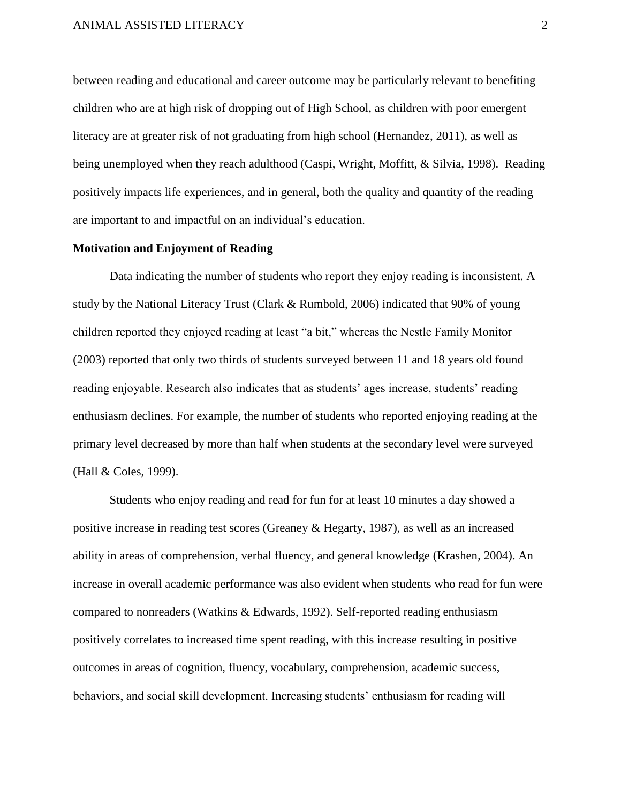between reading and educational and career outcome may be particularly relevant to benefiting children who are at high risk of dropping out of High School, as children with poor emergent literacy are at greater risk of not graduating from high school (Hernandez, 2011), as well as being unemployed when they reach adulthood (Caspi, Wright, Moffitt, & Silvia, 1998). Reading positively impacts life experiences, and in general, both the quality and quantity of the reading are important to and impactful on an individual's education.

#### **Motivation and Enjoyment of Reading**

Data indicating the number of students who report they enjoy reading is inconsistent. A study by the National Literacy Trust (Clark & Rumbold, 2006) indicated that 90% of young children reported they enjoyed reading at least "a bit," whereas the Nestle Family Monitor (2003) reported that only two thirds of students surveyed between 11 and 18 years old found reading enjoyable. Research also indicates that as students' ages increase, students' reading enthusiasm declines. For example, the number of students who reported enjoying reading at the primary level decreased by more than half when students at the secondary level were surveyed (Hall & Coles, 1999).

Students who enjoy reading and read for fun for at least 10 minutes a day showed a positive increase in reading test scores (Greaney & Hegarty, 1987), as well as an increased ability in areas of comprehension, verbal fluency, and general knowledge (Krashen, 2004). An increase in overall academic performance was also evident when students who read for fun were compared to nonreaders (Watkins & Edwards, 1992). Self-reported reading enthusiasm positively correlates to increased time spent reading, with this increase resulting in positive outcomes in areas of cognition, fluency, vocabulary, comprehension, academic success, behaviors, and social skill development. Increasing students' enthusiasm for reading will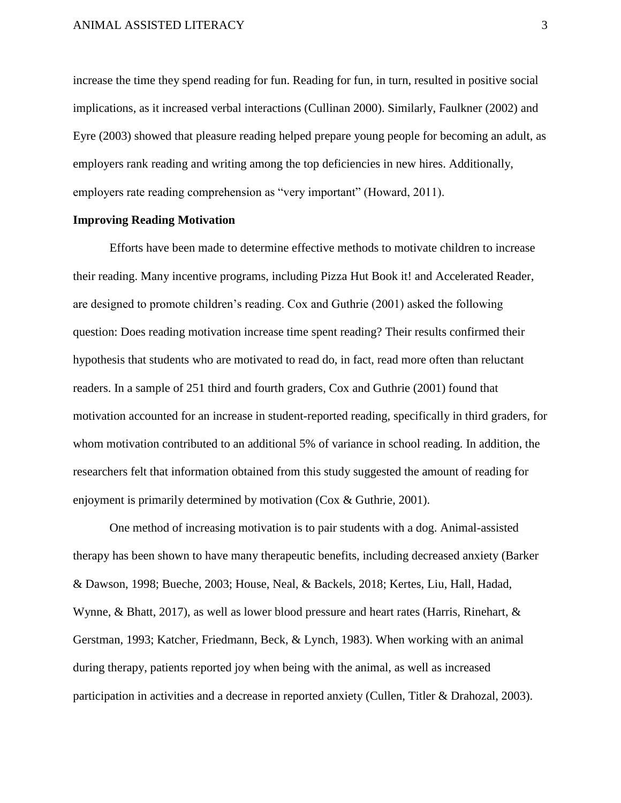increase the time they spend reading for fun. Reading for fun, in turn, resulted in positive social implications, as it increased verbal interactions (Cullinan 2000). Similarly, Faulkner (2002) and Eyre (2003) showed that pleasure reading helped prepare young people for becoming an adult, as employers rank reading and writing among the top deficiencies in new hires. Additionally, employers rate reading comprehension as "very important" (Howard, 2011).

#### **Improving Reading Motivation**

Efforts have been made to determine effective methods to motivate children to increase their reading. Many incentive programs, including Pizza Hut Book it! and Accelerated Reader, are designed to promote children's reading. Cox and Guthrie (2001) asked the following question: Does reading motivation increase time spent reading? Their results confirmed their hypothesis that students who are motivated to read do, in fact, read more often than reluctant readers. In a sample of 251 third and fourth graders, Cox and Guthrie (2001) found that motivation accounted for an increase in student-reported reading, specifically in third graders, for whom motivation contributed to an additional 5% of variance in school reading. In addition, the researchers felt that information obtained from this study suggested the amount of reading for enjoyment is primarily determined by motivation (Cox & Guthrie, 2001).

One method of increasing motivation is to pair students with a dog. Animal-assisted therapy has been shown to have many therapeutic benefits, including decreased anxiety (Barker & Dawson, 1998; Bueche, 2003; House, Neal, & Backels, 2018; Kertes, Liu, Hall, Hadad, Wynne, & Bhatt, 2017), as well as lower blood pressure and heart rates (Harris, Rinehart, & Gerstman, 1993; Katcher, Friedmann, Beck, & Lynch, 1983). When working with an animal during therapy, patients reported joy when being with the animal, as well as increased participation in activities and a decrease in reported anxiety (Cullen, Titler & Drahozal, 2003).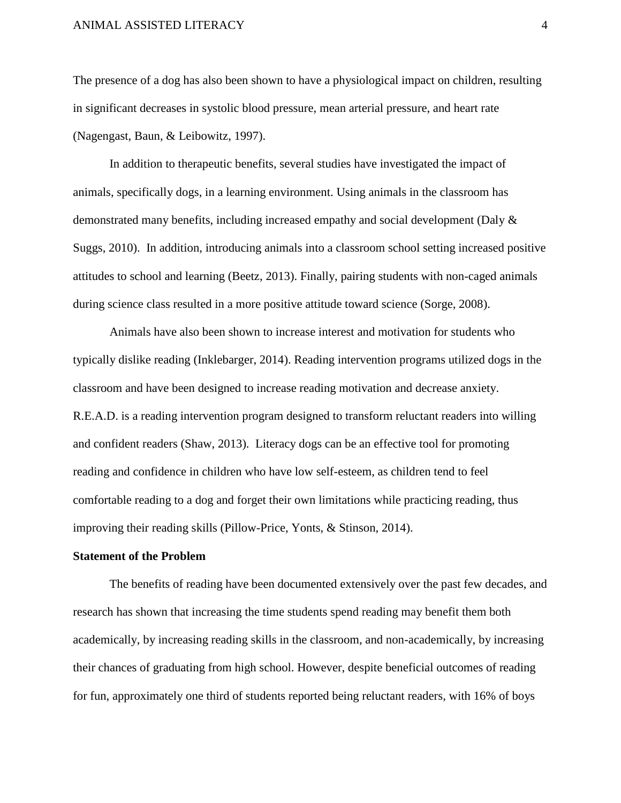The presence of a dog has also been shown to have a physiological impact on children, resulting in significant decreases in systolic blood pressure, mean arterial pressure, and heart rate (Nagengast, Baun, & Leibowitz, 1997).

In addition to therapeutic benefits, several studies have investigated the impact of animals, specifically dogs, in a learning environment. Using animals in the classroom has demonstrated many benefits, including increased empathy and social development (Daly & Suggs, 2010). In addition, introducing animals into a classroom school setting increased positive attitudes to school and learning (Beetz, 2013). Finally, pairing students with non-caged animals during science class resulted in a more positive attitude toward science (Sorge, 2008).

Animals have also been shown to increase interest and motivation for students who typically dislike reading (Inklebarger, 2014). Reading intervention programs utilized dogs in the classroom and have been designed to increase reading motivation and decrease anxiety. R.E.A.D. is a reading intervention program designed to transform reluctant readers into willing and confident readers (Shaw, 2013). Literacy dogs can be an effective tool for promoting reading and confidence in children who have low self-esteem, as children tend to feel comfortable reading to a dog and forget their own limitations while practicing reading, thus improving their reading skills (Pillow-Price, Yonts, & Stinson, 2014).

#### **Statement of the Problem**

The benefits of reading have been documented extensively over the past few decades, and research has shown that increasing the time students spend reading may benefit them both academically, by increasing reading skills in the classroom, and non-academically, by increasing their chances of graduating from high school. However, despite beneficial outcomes of reading for fun, approximately one third of students reported being reluctant readers, with 16% of boys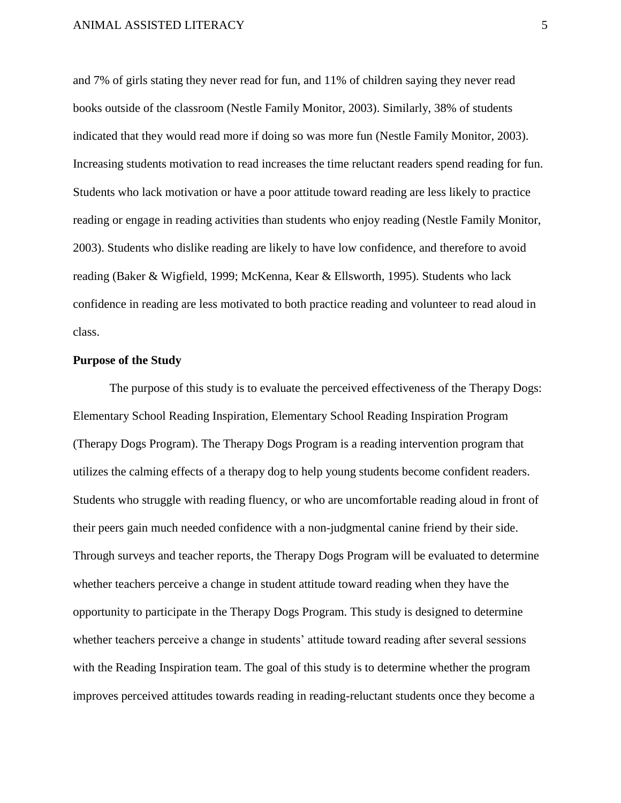and 7% of girls stating they never read for fun, and 11% of children saying they never read books outside of the classroom (Nestle Family Monitor, 2003). Similarly, 38% of students indicated that they would read more if doing so was more fun (Nestle Family Monitor, 2003). Increasing students motivation to read increases the time reluctant readers spend reading for fun. Students who lack motivation or have a poor attitude toward reading are less likely to practice reading or engage in reading activities than students who enjoy reading (Nestle Family Monitor, 2003). Students who dislike reading are likely to have low confidence, and therefore to avoid reading (Baker & Wigfield, 1999; McKenna, Kear & Ellsworth, 1995). Students who lack confidence in reading are less motivated to both practice reading and volunteer to read aloud in class.

#### **Purpose of the Study**

The purpose of this study is to evaluate the perceived effectiveness of the Therapy Dogs: Elementary School Reading Inspiration, Elementary School Reading Inspiration Program (Therapy Dogs Program). The Therapy Dogs Program is a reading intervention program that utilizes the calming effects of a therapy dog to help young students become confident readers. Students who struggle with reading fluency, or who are uncomfortable reading aloud in front of their peers gain much needed confidence with a non-judgmental canine friend by their side. Through surveys and teacher reports, the Therapy Dogs Program will be evaluated to determine whether teachers perceive a change in student attitude toward reading when they have the opportunity to participate in the Therapy Dogs Program. This study is designed to determine whether teachers perceive a change in students' attitude toward reading after several sessions with the Reading Inspiration team. The goal of this study is to determine whether the program improves perceived attitudes towards reading in reading-reluctant students once they become a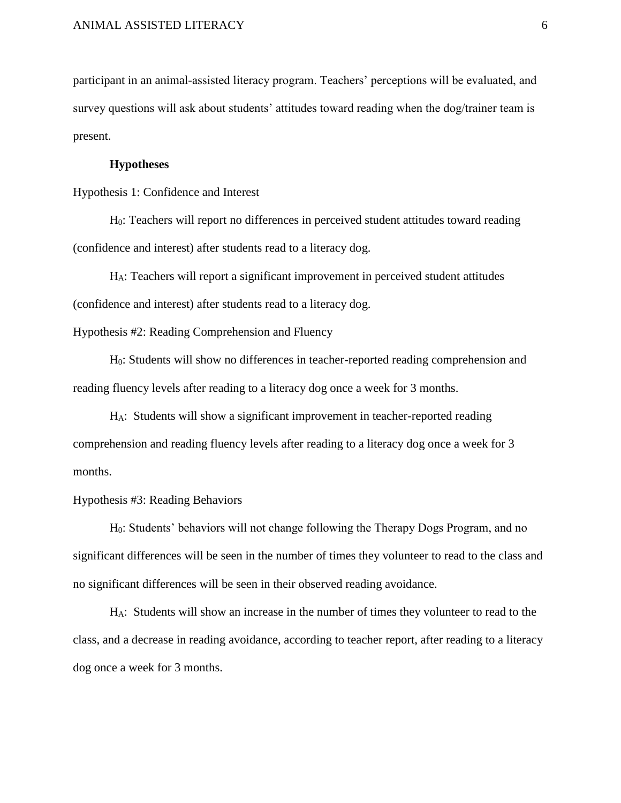participant in an animal-assisted literacy program. Teachers' perceptions will be evaluated, and survey questions will ask about students' attitudes toward reading when the dog/trainer team is present.

#### **Hypotheses**

Hypothesis 1: Confidence and Interest

H0: Teachers will report no differences in perceived student attitudes toward reading (confidence and interest) after students read to a literacy dog.

HA: Teachers will report a significant improvement in perceived student attitudes (confidence and interest) after students read to a literacy dog.

Hypothesis #2: Reading Comprehension and Fluency

H0: Students will show no differences in teacher-reported reading comprehension and reading fluency levels after reading to a literacy dog once a week for 3 months.

HA: Students will show a significant improvement in teacher-reported reading comprehension and reading fluency levels after reading to a literacy dog once a week for 3 months.

#### Hypothesis #3: Reading Behaviors

H0: Students' behaviors will not change following the Therapy Dogs Program, and no significant differences will be seen in the number of times they volunteer to read to the class and no significant differences will be seen in their observed reading avoidance.

HA: Students will show an increase in the number of times they volunteer to read to the class, and a decrease in reading avoidance, according to teacher report, after reading to a literacy dog once a week for 3 months.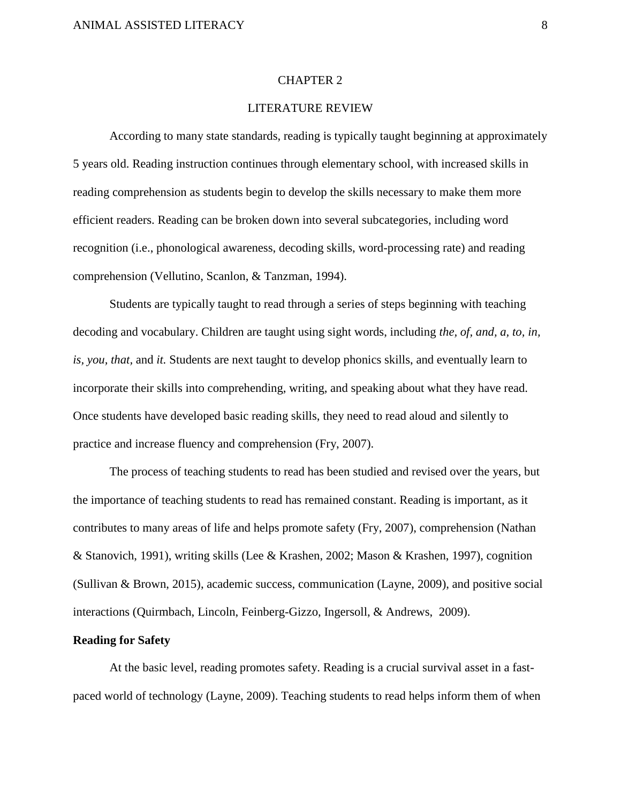#### CHAPTER 2

#### LITERATURE REVIEW

According to many state standards, reading is typically taught beginning at approximately 5 years old. Reading instruction continues through elementary school, with increased skills in reading comprehension as students begin to develop the skills necessary to make them more efficient readers. Reading can be broken down into several subcategories, including word recognition (i.e., phonological awareness, decoding skills, word-processing rate) and reading comprehension (Vellutino, Scanlon, & Tanzman, 1994).

Students are typically taught to read through a series of steps beginning with teaching decoding and vocabulary. Children are taught using sight words, including *the, of, and, a, to, in, is, you, that,* and *it.* Students are next taught to develop phonics skills, and eventually learn to incorporate their skills into comprehending, writing, and speaking about what they have read. Once students have developed basic reading skills, they need to read aloud and silently to practice and increase fluency and comprehension (Fry, 2007).

The process of teaching students to read has been studied and revised over the years, but the importance of teaching students to read has remained constant. Reading is important, as it contributes to many areas of life and helps promote safety (Fry, 2007), comprehension (Nathan & Stanovich, 1991), writing skills (Lee & Krashen, 2002; Mason & Krashen, 1997), cognition (Sullivan & Brown, 2015), academic success, communication (Layne, 2009), and positive social interactions (Quirmbach, Lincoln, Feinberg-Gizzo, Ingersoll, & Andrews, 2009).

#### **Reading for Safety**

At the basic level, reading promotes safety. Reading is a crucial survival asset in a fastpaced world of technology (Layne, 2009). Teaching students to read helps inform them of when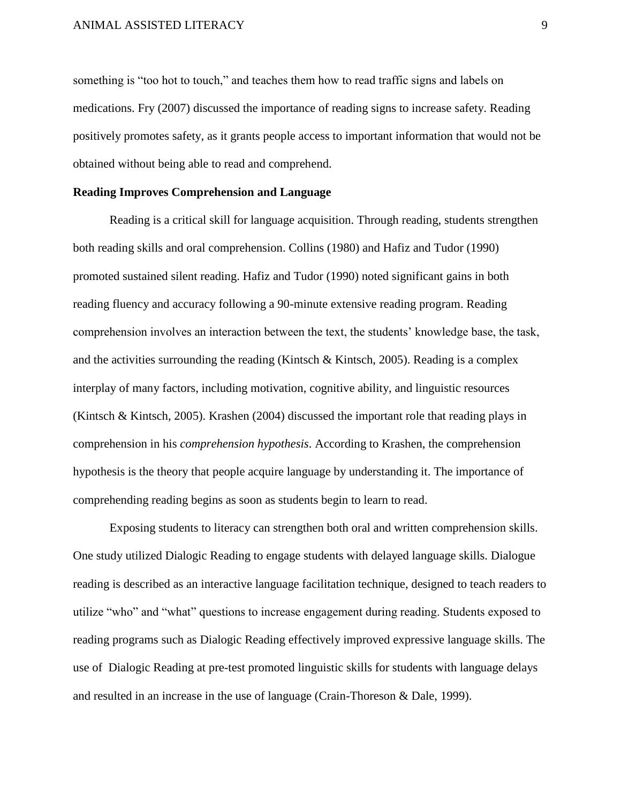something is "too hot to touch," and teaches them how to read traffic signs and labels on medications. Fry (2007) discussed the importance of reading signs to increase safety. Reading positively promotes safety, as it grants people access to important information that would not be obtained without being able to read and comprehend.

#### **Reading Improves Comprehension and Language**

Reading is a critical skill for language acquisition. Through reading, students strengthen both reading skills and oral comprehension. Collins (1980) and Hafiz and Tudor (1990) promoted sustained silent reading. Hafiz and Tudor (1990) noted significant gains in both reading fluency and accuracy following a 90-minute extensive reading program. Reading comprehension involves an interaction between the text, the students' knowledge base, the task, and the activities surrounding the reading (Kintsch & Kintsch, 2005). Reading is a complex interplay of many factors, including motivation, cognitive ability, and linguistic resources (Kintsch & Kintsch, 2005). Krashen (2004) discussed the important role that reading plays in comprehension in his *comprehension hypothesis*. According to Krashen, the comprehension hypothesis is the theory that people acquire language by understanding it. The importance of comprehending reading begins as soon as students begin to learn to read.

Exposing students to literacy can strengthen both oral and written comprehension skills. One study utilized Dialogic Reading to engage students with delayed language skills. Dialogue reading is described as an interactive language facilitation technique, designed to teach readers to utilize "who" and "what" questions to increase engagement during reading. Students exposed to reading programs such as Dialogic Reading effectively improved expressive language skills. The use of Dialogic Reading at pre-test promoted linguistic skills for students with language delays and resulted in an increase in the use of language (Crain-Thoreson & Dale, 1999).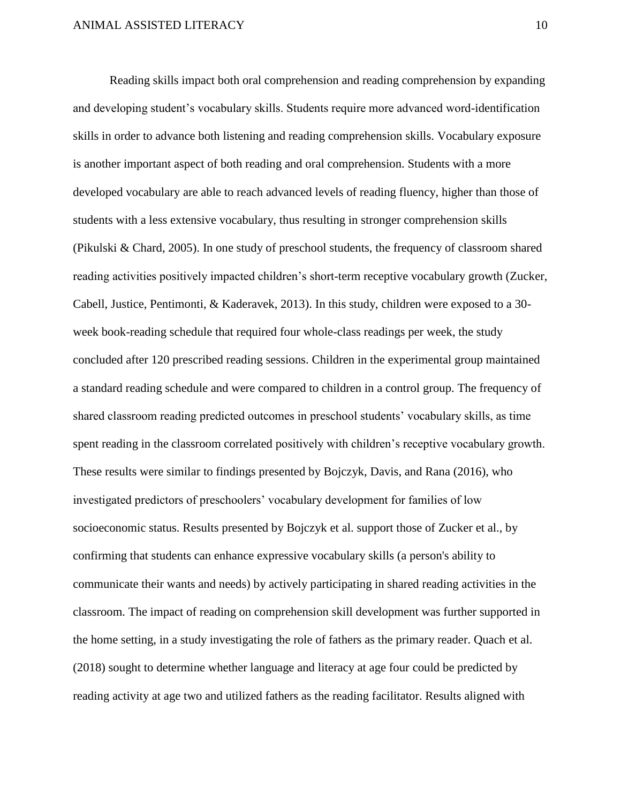Reading skills impact both oral comprehension and reading comprehension by expanding and developing student's vocabulary skills. Students require more advanced word-identification skills in order to advance both listening and reading comprehension skills. Vocabulary exposure is another important aspect of both reading and oral comprehension. Students with a more developed vocabulary are able to reach advanced levels of reading fluency, higher than those of students with a less extensive vocabulary, thus resulting in stronger comprehension skills (Pikulski & Chard, 2005). In one study of preschool students, the frequency of classroom shared reading activities positively impacted children's short-term receptive vocabulary growth (Zucker, Cabell, Justice, Pentimonti, & Kaderavek, 2013). In this study, children were exposed to a 30 week book-reading schedule that required four whole-class readings per week, the study concluded after 120 prescribed reading sessions. Children in the experimental group maintained a standard reading schedule and were compared to children in a control group. The frequency of shared classroom reading predicted outcomes in preschool students' vocabulary skills, as time spent reading in the classroom correlated positively with children's receptive vocabulary growth. These results were similar to findings presented by Bojczyk, Davis, and Rana (2016), who investigated predictors of preschoolers' vocabulary development for families of low socioeconomic status. Results presented by Bojczyk et al. support those of Zucker et al., by confirming that students can enhance expressive vocabulary skills (a person's ability to communicate their wants and needs) by actively participating in shared reading activities in the classroom. The impact of reading on comprehension skill development was further supported in the home setting, in a study investigating the role of fathers as the primary reader. Quach et al. (2018) sought to determine whether language and literacy at age four could be predicted by reading activity at age two and utilized fathers as the reading facilitator. Results aligned with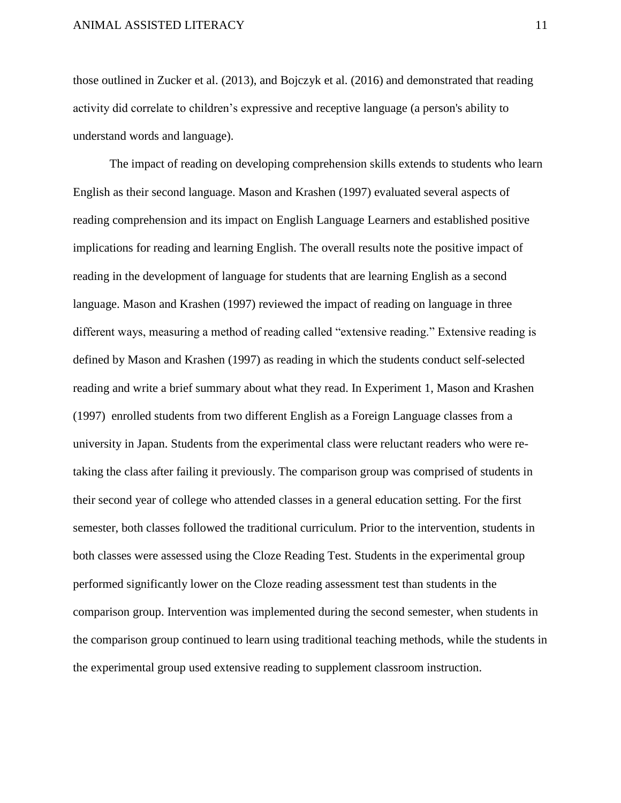those outlined in Zucker et al. (2013), and Bojczyk et al. (2016) and demonstrated that reading activity did correlate to children's expressive and receptive language (a person's ability to understand words and language).

The impact of reading on developing comprehension skills extends to students who learn English as their second language. Mason and Krashen (1997) evaluated several aspects of reading comprehension and its impact on English Language Learners and established positive implications for reading and learning English. The overall results note the positive impact of reading in the development of language for students that are learning English as a second language. Mason and Krashen (1997) reviewed the impact of reading on language in three different ways, measuring a method of reading called "extensive reading." Extensive reading is defined by Mason and Krashen (1997) as reading in which the students conduct self-selected reading and write a brief summary about what they read. In Experiment 1, Mason and Krashen (1997) enrolled students from two different English as a Foreign Language classes from a university in Japan. Students from the experimental class were reluctant readers who were retaking the class after failing it previously. The comparison group was comprised of students in their second year of college who attended classes in a general education setting. For the first semester, both classes followed the traditional curriculum. Prior to the intervention, students in both classes were assessed using the Cloze Reading Test. Students in the experimental group performed significantly lower on the Cloze reading assessment test than students in the comparison group. Intervention was implemented during the second semester, when students in the comparison group continued to learn using traditional teaching methods, while the students in the experimental group used extensive reading to supplement classroom instruction.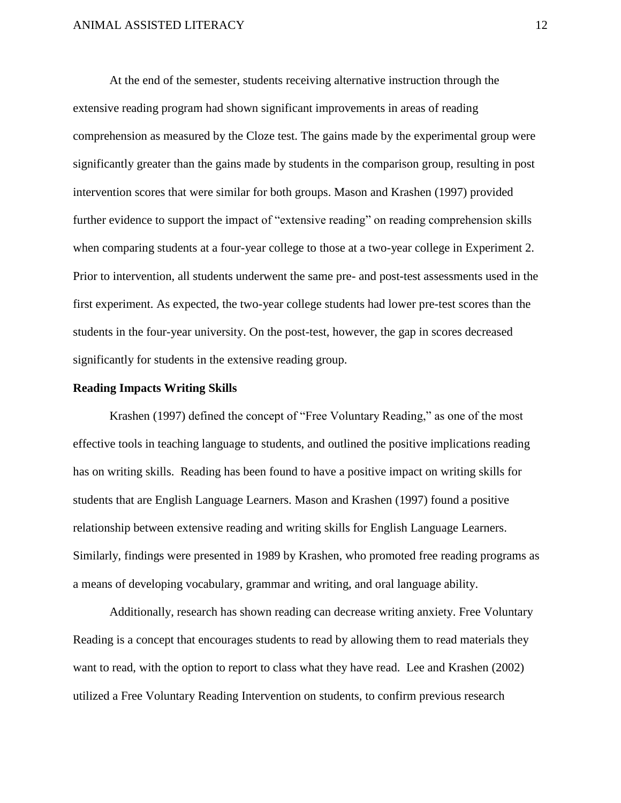At the end of the semester, students receiving alternative instruction through the extensive reading program had shown significant improvements in areas of reading comprehension as measured by the Cloze test. The gains made by the experimental group were significantly greater than the gains made by students in the comparison group, resulting in post intervention scores that were similar for both groups. Mason and Krashen (1997) provided further evidence to support the impact of "extensive reading" on reading comprehension skills when comparing students at a four-year college to those at a two-year college in Experiment 2. Prior to intervention, all students underwent the same pre- and post-test assessments used in the first experiment. As expected, the two-year college students had lower pre-test scores than the students in the four-year university. On the post-test, however, the gap in scores decreased significantly for students in the extensive reading group.

#### **Reading Impacts Writing Skills**

Krashen (1997) defined the concept of "Free Voluntary Reading," as one of the most effective tools in teaching language to students, and outlined the positive implications reading has on writing skills. Reading has been found to have a positive impact on writing skills for students that are English Language Learners. Mason and Krashen (1997) found a positive relationship between extensive reading and writing skills for English Language Learners. Similarly, findings were presented in 1989 by Krashen, who promoted free reading programs as a means of developing vocabulary, grammar and writing, and oral language ability.

Additionally, research has shown reading can decrease writing anxiety. Free Voluntary Reading is a concept that encourages students to read by allowing them to read materials they want to read, with the option to report to class what they have read. Lee and Krashen (2002) utilized a Free Voluntary Reading Intervention on students, to confirm previous research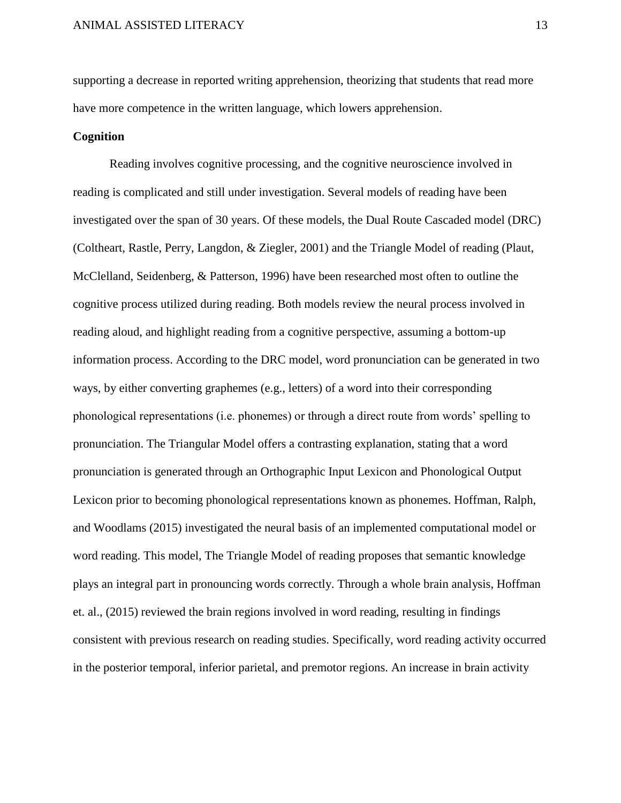supporting a decrease in reported writing apprehension, theorizing that students that read more have more competence in the written language, which lowers apprehension.

#### **Cognition**

Reading involves cognitive processing, and the cognitive neuroscience involved in reading is complicated and still under investigation. Several models of reading have been investigated over the span of 30 years. Of these models, the Dual Route Cascaded model (DRC) (Coltheart, Rastle, Perry, Langdon, & Ziegler, 2001) and the Triangle Model of reading (Plaut, McClelland, Seidenberg, & Patterson, 1996) have been researched most often to outline the cognitive process utilized during reading. Both models review the neural process involved in reading aloud, and highlight reading from a cognitive perspective, assuming a bottom-up information process. According to the DRC model, word pronunciation can be generated in two ways, by either converting graphemes (e.g., letters) of a word into their corresponding phonological representations (i.e. phonemes) or through a direct route from words' spelling to pronunciation. The Triangular Model offers a contrasting explanation, stating that a word pronunciation is generated through an Orthographic Input Lexicon and Phonological Output Lexicon prior to becoming phonological representations known as phonemes. Hoffman, Ralph, and Woodlams (2015) investigated the neural basis of an implemented computational model or word reading. This model, The Triangle Model of reading proposes that semantic knowledge plays an integral part in pronouncing words correctly. Through a whole brain analysis, Hoffman et. al., (2015) reviewed the brain regions involved in word reading, resulting in findings consistent with previous research on reading studies. Specifically, word reading activity occurred in the posterior temporal, inferior parietal, and premotor regions. An increase in brain activity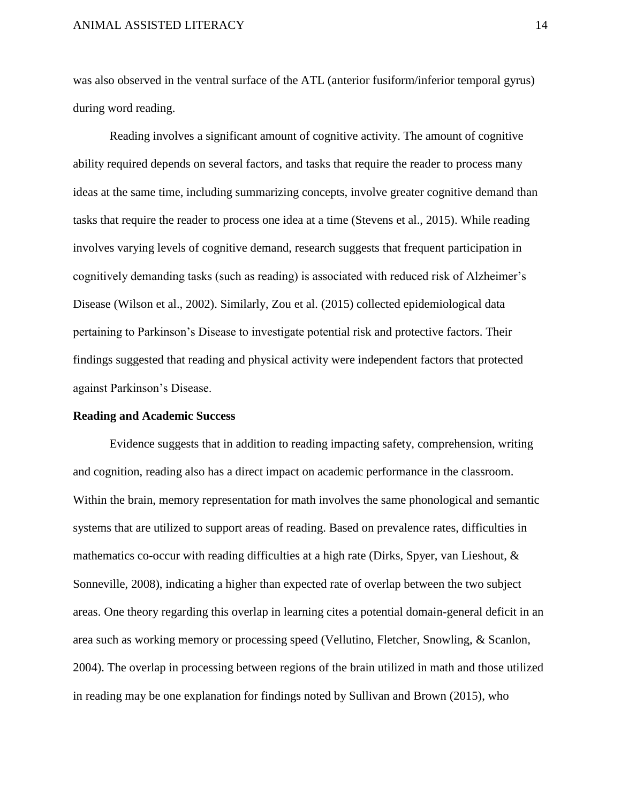was also observed in the ventral surface of the ATL (anterior fusiform/inferior temporal gyrus) during word reading.

Reading involves a significant amount of cognitive activity. The amount of cognitive ability required depends on several factors, and tasks that require the reader to process many ideas at the same time, including summarizing concepts, involve greater cognitive demand than tasks that require the reader to process one idea at a time (Stevens et al., 2015). While reading involves varying levels of cognitive demand, research suggests that frequent participation in cognitively demanding tasks (such as reading) is associated with reduced risk of Alzheimer's Disease (Wilson et al., 2002). Similarly, Zou et al. (2015) collected epidemiological data pertaining to Parkinson's Disease to investigate potential risk and protective factors. Their findings suggested that reading and physical activity were independent factors that protected against Parkinson's Disease.

#### **Reading and Academic Success**

Evidence suggests that in addition to reading impacting safety, comprehension, writing and cognition, reading also has a direct impact on academic performance in the classroom. Within the brain, memory representation for math involves the same phonological and semantic systems that are utilized to support areas of reading. Based on prevalence rates, difficulties in mathematics co-occur with reading difficulties at a high rate (Dirks, Spyer, van Lieshout, & Sonneville, 2008), indicating a higher than expected rate of overlap between the two subject areas. One theory regarding this overlap in learning cites a potential domain-general deficit in an area such as working memory or processing speed (Vellutino, Fletcher, Snowling, & Scanlon, 2004). The overlap in processing between regions of the brain utilized in math and those utilized in reading may be one explanation for findings noted by Sullivan and Brown (2015), who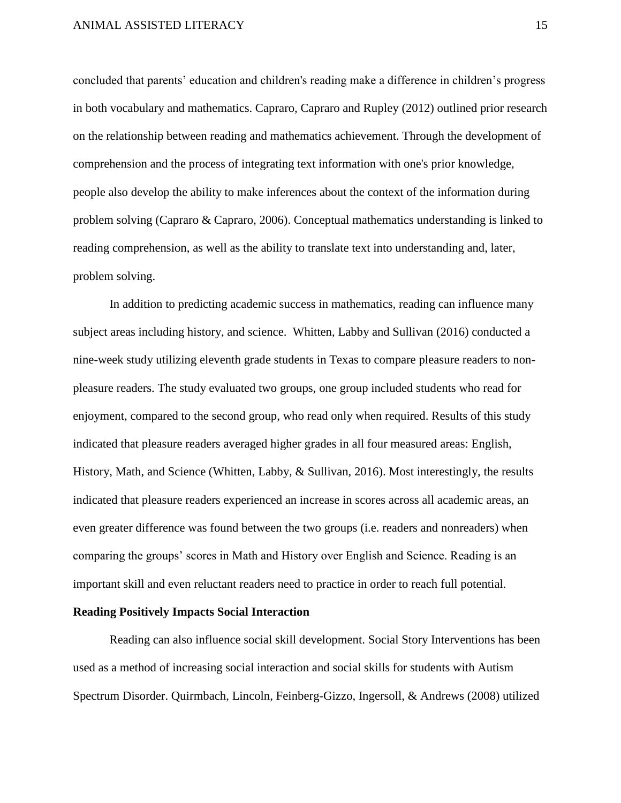concluded that parents' education and children's reading make a difference in children's progress in both vocabulary and mathematics. Capraro, Capraro and Rupley (2012) outlined prior research on the relationship between reading and mathematics achievement. Through the development of comprehension and the process of integrating text information with one's prior knowledge, people also develop the ability to make inferences about the context of the information during problem solving (Capraro & Capraro, 2006). Conceptual mathematics understanding is linked to reading comprehension, as well as the ability to translate text into understanding and, later, problem solving.

In addition to predicting academic success in mathematics, reading can influence many subject areas including history, and science. Whitten, Labby and Sullivan (2016) conducted a nine-week study utilizing eleventh grade students in Texas to compare pleasure readers to nonpleasure readers. The study evaluated two groups, one group included students who read for enjoyment, compared to the second group, who read only when required. Results of this study indicated that pleasure readers averaged higher grades in all four measured areas: English, History, Math, and Science (Whitten, Labby, & Sullivan, 2016). Most interestingly, the results indicated that pleasure readers experienced an increase in scores across all academic areas, an even greater difference was found between the two groups (i.e. readers and nonreaders) when comparing the groups' scores in Math and History over English and Science. Reading is an important skill and even reluctant readers need to practice in order to reach full potential.

#### **Reading Positively Impacts Social Interaction**

Reading can also influence social skill development. Social Story Interventions has been used as a method of increasing social interaction and social skills for students with Autism Spectrum Disorder. Quirmbach, Lincoln, Feinberg-Gizzo, Ingersoll, & Andrews (2008) utilized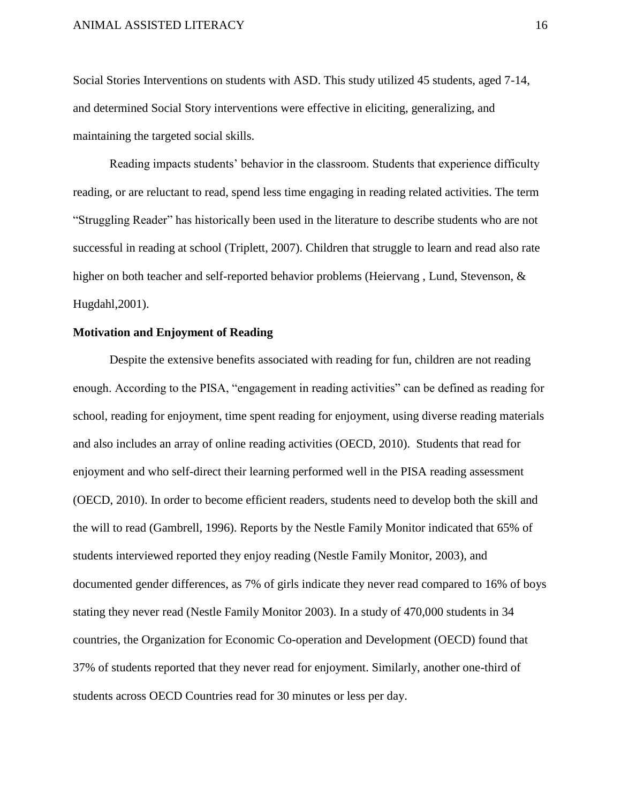Social Stories Interventions on students with ASD. This study utilized 45 students, aged 7-14, and determined Social Story interventions were effective in eliciting, generalizing, and maintaining the targeted social skills.

Reading impacts students' behavior in the classroom. Students that experience difficulty reading, or are reluctant to read, spend less time engaging in reading related activities. The term "Struggling Reader" has historically been used in the literature to describe students who are not successful in reading at school (Triplett, 2007). Children that struggle to learn and read also rate higher on both teacher and self-reported behavior problems (Heiervang, Lund, Stevenson, & Hugdahl,2001).

#### **Motivation and Enjoyment of Reading**

Despite the extensive benefits associated with reading for fun, children are not reading enough. According to the PISA, "engagement in reading activities" can be defined as reading for school, reading for enjoyment, time spent reading for enjoyment, using diverse reading materials and also includes an array of online reading activities (OECD, 2010). Students that read for enjoyment and who self-direct their learning performed well in the PISA reading assessment (OECD, 2010). In order to become efficient readers, students need to develop both the skill and the will to read (Gambrell, 1996). Reports by the Nestle Family Monitor indicated that 65% of students interviewed reported they enjoy reading (Nestle Family Monitor, 2003), and documented gender differences, as 7% of girls indicate they never read compared to 16% of boys stating they never read (Nestle Family Monitor 2003). In a study of 470,000 students in 34 countries, the Organization for Economic Co-operation and Development (OECD) found that 37% of students reported that they never read for enjoyment. Similarly, another one-third of students across OECD Countries read for 30 minutes or less per day.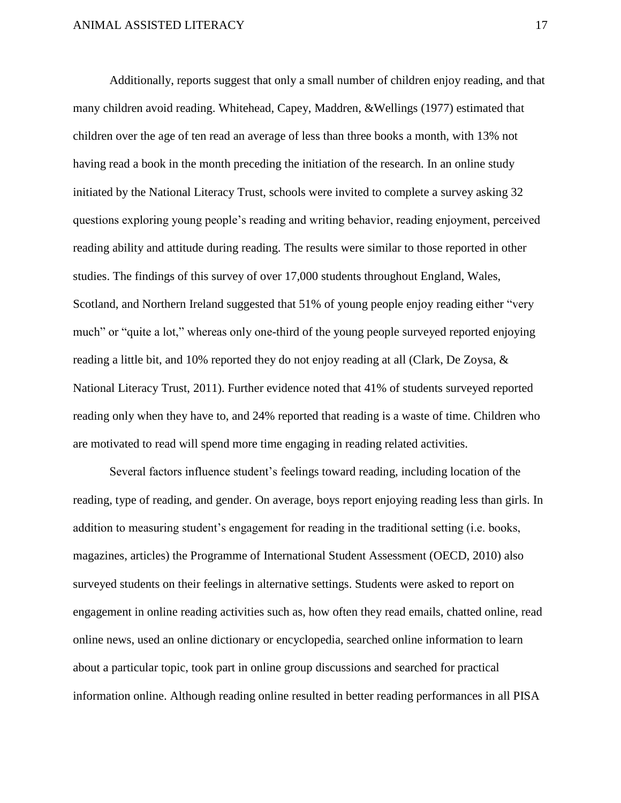Additionally, reports suggest that only a small number of children enjoy reading, and that many children avoid reading. Whitehead, Capey, Maddren, &Wellings (1977) estimated that children over the age of ten read an average of less than three books a month, with 13% not having read a book in the month preceding the initiation of the research. In an online study initiated by the National Literacy Trust, schools were invited to complete a survey asking 32 questions exploring young people's reading and writing behavior, reading enjoyment, perceived reading ability and attitude during reading. The results were similar to those reported in other studies. The findings of this survey of over 17,000 students throughout England, Wales, Scotland, and Northern Ireland suggested that 51% of young people enjoy reading either "very much" or "quite a lot," whereas only one-third of the young people surveyed reported enjoying reading a little bit, and 10% reported they do not enjoy reading at all (Clark, De Zoysa, & National Literacy Trust, 2011). Further evidence noted that 41% of students surveyed reported reading only when they have to, and 24% reported that reading is a waste of time. Children who are motivated to read will spend more time engaging in reading related activities.

Several factors influence student's feelings toward reading, including location of the reading, type of reading, and gender. On average, boys report enjoying reading less than girls. In addition to measuring student's engagement for reading in the traditional setting (i.e. books, magazines, articles) the Programme of International Student Assessment (OECD, 2010) also surveyed students on their feelings in alternative settings. Students were asked to report on engagement in online reading activities such as, how often they read emails, chatted online, read online news, used an online dictionary or encyclopedia, searched online information to learn about a particular topic, took part in online group discussions and searched for practical information online. Although reading online resulted in better reading performances in all PISA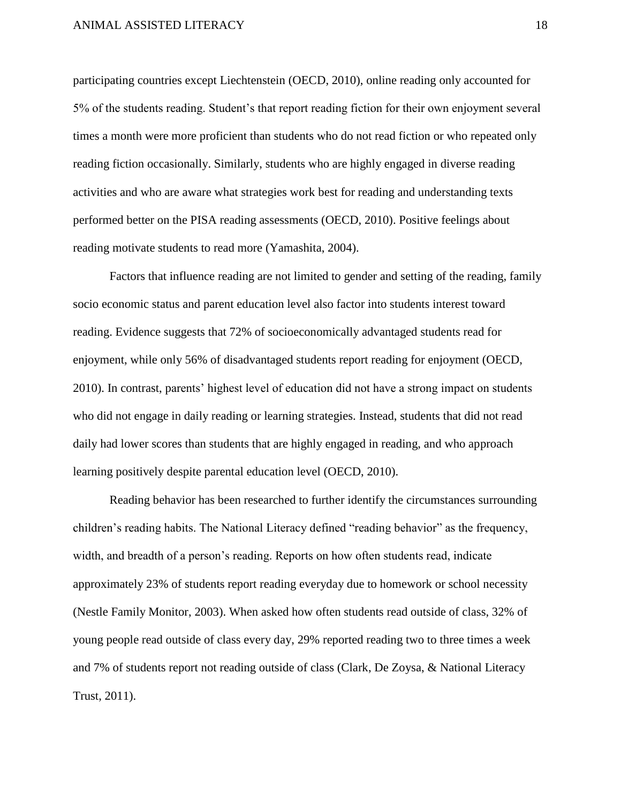participating countries except Liechtenstein (OECD, 2010), online reading only accounted for 5% of the students reading. Student's that report reading fiction for their own enjoyment several times a month were more proficient than students who do not read fiction or who repeated only reading fiction occasionally. Similarly, students who are highly engaged in diverse reading activities and who are aware what strategies work best for reading and understanding texts performed better on the PISA reading assessments (OECD, 2010). Positive feelings about reading motivate students to read more (Yamashita, 2004).

Factors that influence reading are not limited to gender and setting of the reading, family socio economic status and parent education level also factor into students interest toward reading. Evidence suggests that 72% of socioeconomically advantaged students read for enjoyment, while only 56% of disadvantaged students report reading for enjoyment (OECD, 2010). In contrast, parents' highest level of education did not have a strong impact on students who did not engage in daily reading or learning strategies. Instead, students that did not read daily had lower scores than students that are highly engaged in reading, and who approach learning positively despite parental education level (OECD, 2010).

Reading behavior has been researched to further identify the circumstances surrounding children's reading habits. The National Literacy defined "reading behavior" as the frequency, width, and breadth of a person's reading. Reports on how often students read, indicate approximately 23% of students report reading everyday due to homework or school necessity (Nestle Family Monitor, 2003). When asked how often students read outside of class, 32% of young people read outside of class every day, 29% reported reading two to three times a week and 7% of students report not reading outside of class (Clark, De Zoysa, & National Literacy Trust, 2011).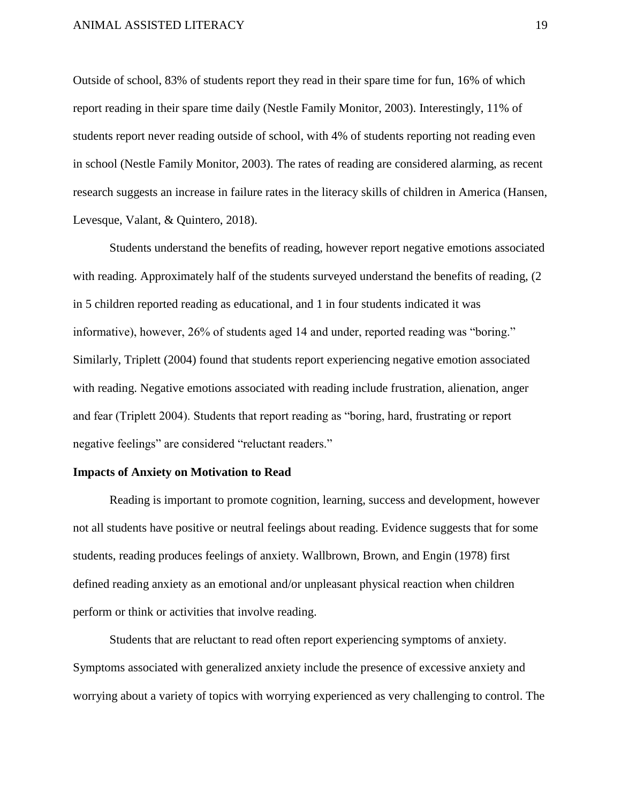Outside of school, 83% of students report they read in their spare time for fun, 16% of which report reading in their spare time daily (Nestle Family Monitor, 2003). Interestingly, 11% of students report never reading outside of school, with 4% of students reporting not reading even in school (Nestle Family Monitor, 2003). The rates of reading are considered alarming, as recent research suggests an increase in failure rates in the literacy skills of children in America (Hansen, Levesque, Valant, & Quintero, 2018).

Students understand the benefits of reading, however report negative emotions associated with reading. Approximately half of the students surveyed understand the benefits of reading, (2 in 5 children reported reading as educational, and 1 in four students indicated it was informative), however, 26% of students aged 14 and under, reported reading was "boring." Similarly, Triplett (2004) found that students report experiencing negative emotion associated with reading. Negative emotions associated with reading include frustration, alienation, anger and fear (Triplett 2004). Students that report reading as "boring, hard, frustrating or report negative feelings" are considered "reluctant readers."

#### **Impacts of Anxiety on Motivation to Read**

Reading is important to promote cognition, learning, success and development, however not all students have positive or neutral feelings about reading. Evidence suggests that for some students, reading produces feelings of anxiety. Wallbrown, Brown, and Engin (1978) first defined reading anxiety as an emotional and/or unpleasant physical reaction when children perform or think or activities that involve reading.

Students that are reluctant to read often report experiencing symptoms of anxiety. Symptoms associated with generalized anxiety include the presence of excessive anxiety and worrying about a variety of topics with worrying experienced as very challenging to control. The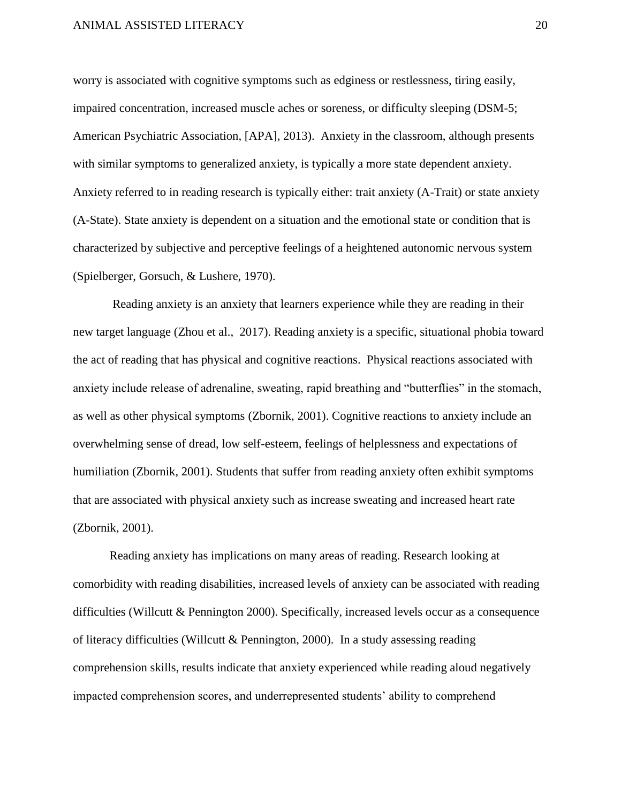worry is associated with cognitive symptoms such as edginess or restlessness, tiring easily, impaired concentration, increased muscle aches or soreness, or difficulty sleeping (DSM-5; American Psychiatric Association, [APA], 2013). Anxiety in the classroom, although presents with similar symptoms to generalized anxiety, is typically a more state dependent anxiety. Anxiety referred to in reading research is typically either: trait anxiety (A-Trait) or state anxiety (A-State). State anxiety is dependent on a situation and the emotional state or condition that is characterized by subjective and perceptive feelings of a heightened autonomic nervous system (Spielberger, Gorsuch, & Lushere, 1970).

Reading anxiety is an anxiety that learners experience while they are reading in their new target language (Zhou et al., 2017). Reading anxiety is a specific, situational phobia toward the act of reading that has physical and cognitive reactions. Physical reactions associated with anxiety include release of adrenaline, sweating, rapid breathing and "butterflies" in the stomach, as well as other physical symptoms (Zbornik, 2001). Cognitive reactions to anxiety include an overwhelming sense of dread, low self-esteem, feelings of helplessness and expectations of humiliation (Zbornik, 2001). Students that suffer from reading anxiety often exhibit symptoms that are associated with physical anxiety such as increase sweating and increased heart rate (Zbornik, 2001).

Reading anxiety has implications on many areas of reading. Research looking at comorbidity with reading disabilities, increased levels of anxiety can be associated with reading difficulties (Willcutt & Pennington 2000). Specifically, increased levels occur as a consequence of literacy difficulties (Willcutt & Pennington, 2000). In a study assessing reading comprehension skills, results indicate that anxiety experienced while reading aloud negatively impacted comprehension scores, and underrepresented students' ability to comprehend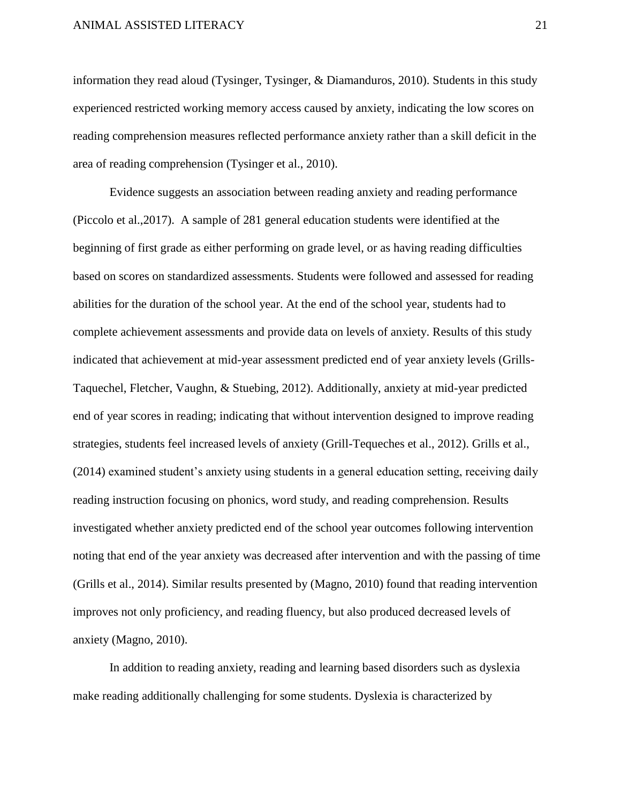information they read aloud (Tysinger, Tysinger, & Diamanduros, 2010). Students in this study experienced restricted working memory access caused by anxiety, indicating the low scores on reading comprehension measures reflected performance anxiety rather than a skill deficit in the area of reading comprehension (Tysinger et al., 2010).

Evidence suggests an association between reading anxiety and reading performance (Piccolo et al.,2017). A sample of 281 general education students were identified at the beginning of first grade as either performing on grade level, or as having reading difficulties based on scores on standardized assessments. Students were followed and assessed for reading abilities for the duration of the school year. At the end of the school year, students had to complete achievement assessments and provide data on levels of anxiety. Results of this study indicated that achievement at mid-year assessment predicted end of year anxiety levels (Grills-Taquechel, Fletcher, Vaughn, & Stuebing, 2012). Additionally, anxiety at mid-year predicted end of year scores in reading; indicating that without intervention designed to improve reading strategies, students feel increased levels of anxiety (Grill-Tequeches et al., 2012). Grills et al., (2014) examined student's anxiety using students in a general education setting, receiving daily reading instruction focusing on phonics, word study, and reading comprehension. Results investigated whether anxiety predicted end of the school year outcomes following intervention noting that end of the year anxiety was decreased after intervention and with the passing of time (Grills et al., 2014). Similar results presented by (Magno, 2010) found that reading intervention improves not only proficiency, and reading fluency, but also produced decreased levels of anxiety (Magno, 2010).

In addition to reading anxiety, reading and learning based disorders such as dyslexia make reading additionally challenging for some students. Dyslexia is characterized by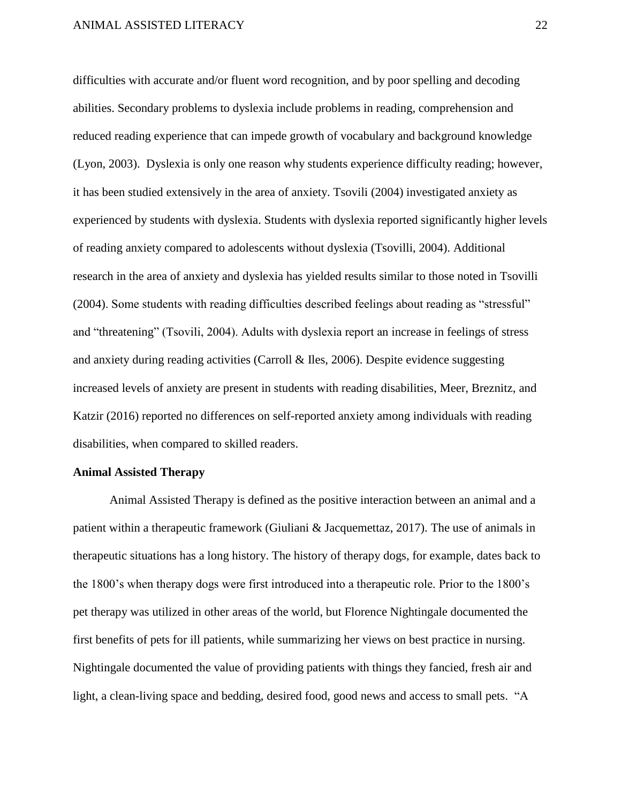difficulties with accurate and/or fluent word recognition, and by poor spelling and decoding abilities. Secondary problems to dyslexia include problems in reading, comprehension and reduced reading experience that can impede growth of vocabulary and background knowledge (Lyon, 2003). Dyslexia is only one reason why students experience difficulty reading; however, it has been studied extensively in the area of anxiety. Tsovili (2004) investigated anxiety as experienced by students with dyslexia. Students with dyslexia reported significantly higher levels of reading anxiety compared to adolescents without dyslexia (Tsovilli, 2004). Additional research in the area of anxiety and dyslexia has yielded results similar to those noted in Tsovilli (2004). Some students with reading difficulties described feelings about reading as "stressful" and "threatening" (Tsovili, 2004). Adults with dyslexia report an increase in feelings of stress and anxiety during reading activities (Carroll & Iles, 2006). Despite evidence suggesting increased levels of anxiety are present in students with reading disabilities, Meer, Breznitz, and Katzir (2016) reported no differences on self-reported anxiety among individuals with reading disabilities, when compared to skilled readers.

#### **Animal Assisted Therapy**

Animal Assisted Therapy is defined as the positive interaction between an animal and a patient within a therapeutic framework (Giuliani & Jacquemettaz, 2017). The use of animals in therapeutic situations has a long history. The history of therapy dogs, for example, dates back to the 1800's when therapy dogs were first introduced into a therapeutic role. Prior to the 1800's pet therapy was utilized in other areas of the world, but Florence Nightingale documented the first benefits of pets for ill patients, while summarizing her views on best practice in nursing. Nightingale documented the value of providing patients with things they fancied, fresh air and light, a clean-living space and bedding, desired food, good news and access to small pets. "A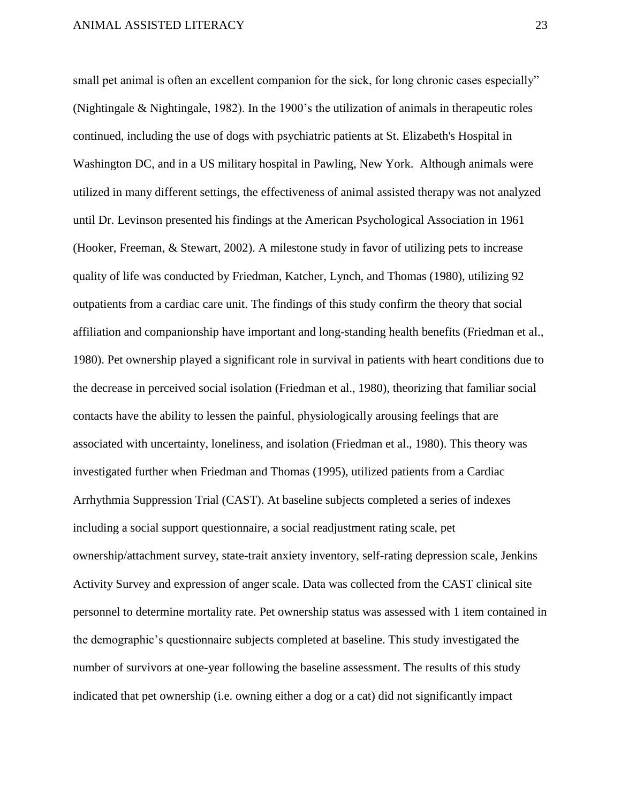small pet animal is often an excellent companion for the sick, for long chronic cases especially" (Nightingale & Nightingale, 1982). In the 1900's the utilization of animals in therapeutic roles continued, including the use of dogs with psychiatric patients at St. Elizabeth's Hospital in Washington DC, and in a US military hospital in Pawling, New York. Although animals were utilized in many different settings, the effectiveness of animal assisted therapy was not analyzed until Dr. Levinson presented his findings at the American Psychological Association in 1961 (Hooker, Freeman, & Stewart, 2002). A milestone study in favor of utilizing pets to increase quality of life was conducted by Friedman, Katcher, Lynch, and Thomas (1980), utilizing 92 outpatients from a cardiac care unit. The findings of this study confirm the theory that social affiliation and companionship have important and long-standing health benefits (Friedman et al., 1980). Pet ownership played a significant role in survival in patients with heart conditions due to the decrease in perceived social isolation (Friedman et al., 1980), theorizing that familiar social contacts have the ability to lessen the painful, physiologically arousing feelings that are associated with uncertainty, loneliness, and isolation (Friedman et al., 1980). This theory was investigated further when Friedman and Thomas (1995), utilized patients from a Cardiac Arrhythmia Suppression Trial (CAST). At baseline subjects completed a series of indexes including a social support questionnaire, a social readjustment rating scale, pet ownership/attachment survey, state-trait anxiety inventory, self-rating depression scale, Jenkins Activity Survey and expression of anger scale. Data was collected from the CAST clinical site personnel to determine mortality rate. Pet ownership status was assessed with 1 item contained in the demographic's questionnaire subjects completed at baseline. This study investigated the number of survivors at one-year following the baseline assessment. The results of this study indicated that pet ownership (i.e. owning either a dog or a cat) did not significantly impact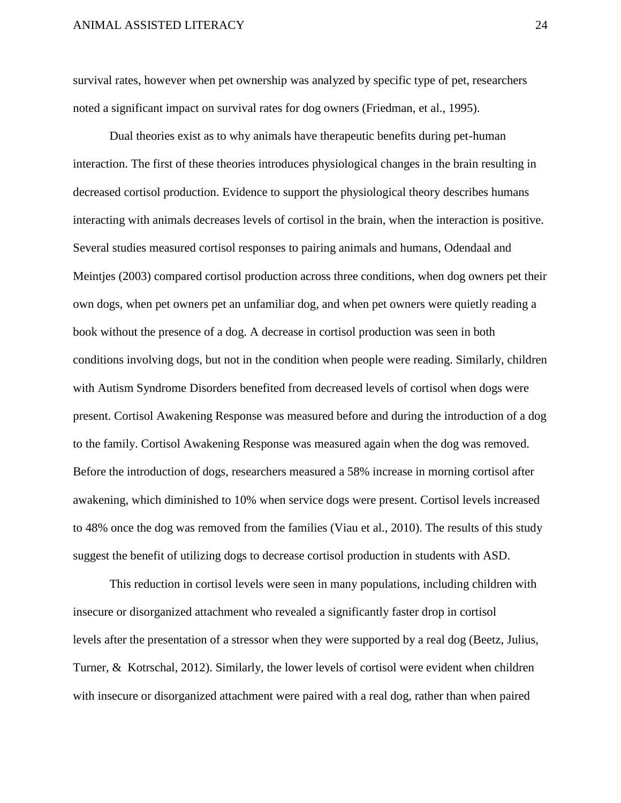survival rates, however when pet ownership was analyzed by specific type of pet, researchers noted a significant impact on survival rates for dog owners (Friedman, et al., 1995).

Dual theories exist as to why animals have therapeutic benefits during pet-human interaction. The first of these theories introduces physiological changes in the brain resulting in decreased cortisol production. Evidence to support the physiological theory describes humans interacting with animals decreases levels of cortisol in the brain, when the interaction is positive. Several studies measured cortisol responses to pairing animals and humans, Odendaal and Meintjes (2003) compared cortisol production across three conditions, when dog owners pet their own dogs, when pet owners pet an unfamiliar dog, and when pet owners were quietly reading a book without the presence of a dog. A decrease in cortisol production was seen in both conditions involving dogs, but not in the condition when people were reading. Similarly, children with Autism Syndrome Disorders benefited from decreased levels of cortisol when dogs were present. Cortisol Awakening Response was measured before and during the introduction of a dog to the family. Cortisol Awakening Response was measured again when the dog was removed. Before the introduction of dogs, researchers measured a 58% increase in morning cortisol after awakening, which diminished to 10% when service dogs were present. Cortisol levels increased to 48% once the dog was removed from the families (Viau et al., 2010). The results of this study suggest the benefit of utilizing dogs to decrease cortisol production in students with ASD.

This reduction in cortisol levels were seen in many populations, including children with insecure or disorganized attachment who revealed a significantly faster drop in cortisol levels after the presentation of a stressor when they were supported by a real dog (Beetz, Julius, Turner, & Kotrschal, 2012). Similarly, the lower levels of cortisol were evident when children with insecure or disorganized attachment were paired with a real dog, rather than when paired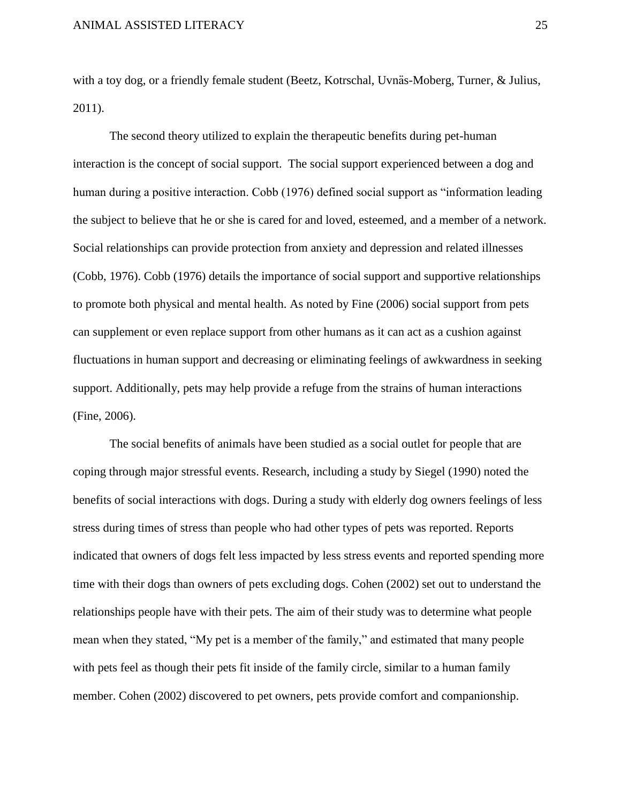with a toy dog, or a friendly female student (Beetz, Kotrschal, Uvnäs-Moberg, Turner, & Julius, 2011).

The second theory utilized to explain the therapeutic benefits during pet-human interaction is the concept of social support. The social support experienced between a dog and human during a positive interaction. Cobb (1976) defined social support as "information leading the subject to believe that he or she is cared for and loved, esteemed, and a member of a network. Social relationships can provide protection from anxiety and depression and related illnesses (Cobb, 1976). Cobb (1976) details the importance of social support and supportive relationships to promote both physical and mental health. As noted by Fine (2006) social support from pets can supplement or even replace support from other humans as it can act as a cushion against fluctuations in human support and decreasing or eliminating feelings of awkwardness in seeking support. Additionally, pets may help provide a refuge from the strains of human interactions (Fine, 2006).

The social benefits of animals have been studied as a social outlet for people that are coping through major stressful events. Research, including a study by Siegel (1990) noted the benefits of social interactions with dogs. During a study with elderly dog owners feelings of less stress during times of stress than people who had other types of pets was reported. Reports indicated that owners of dogs felt less impacted by less stress events and reported spending more time with their dogs than owners of pets excluding dogs. Cohen (2002) set out to understand the relationships people have with their pets. The aim of their study was to determine what people mean when they stated, "My pet is a member of the family," and estimated that many people with pets feel as though their pets fit inside of the family circle, similar to a human family member. Cohen (2002) discovered to pet owners, pets provide comfort and companionship.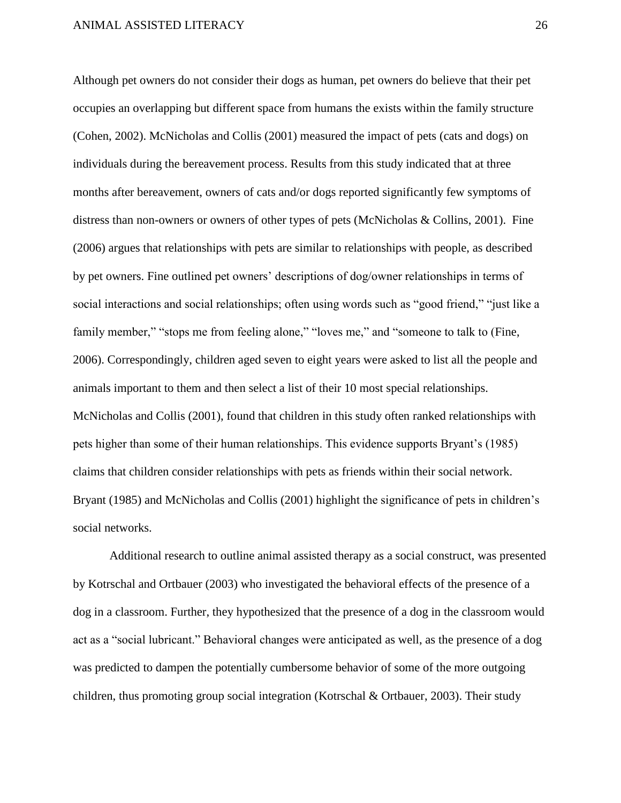Although pet owners do not consider their dogs as human, pet owners do believe that their pet occupies an overlapping but different space from humans the exists within the family structure (Cohen, 2002). McNicholas and Collis (2001) measured the impact of pets (cats and dogs) on individuals during the bereavement process. Results from this study indicated that at three months after bereavement, owners of cats and/or dogs reported significantly few symptoms of distress than non-owners or owners of other types of pets (McNicholas & Collins, 2001). Fine (2006) argues that relationships with pets are similar to relationships with people, as described by pet owners. Fine outlined pet owners' descriptions of dog/owner relationships in terms of social interactions and social relationships; often using words such as "good friend," "just like a family member," "stops me from feeling alone," "loves me," and "someone to talk to (Fine, 2006). Correspondingly, children aged seven to eight years were asked to list all the people and animals important to them and then select a list of their 10 most special relationships. McNicholas and Collis (2001), found that children in this study often ranked relationships with pets higher than some of their human relationships. This evidence supports Bryant's (1985) claims that children consider relationships with pets as friends within their social network. Bryant (1985) and McNicholas and Collis (2001) highlight the significance of pets in children's social networks.

Additional research to outline animal assisted therapy as a social construct, was presented by Kotrschal and Ortbauer (2003) who investigated the behavioral effects of the presence of a dog in a classroom. Further, they hypothesized that the presence of a dog in the classroom would act as a "social lubricant." Behavioral changes were anticipated as well, as the presence of a dog was predicted to dampen the potentially cumbersome behavior of some of the more outgoing children, thus promoting group social integration (Kotrschal & Ortbauer, 2003). Their study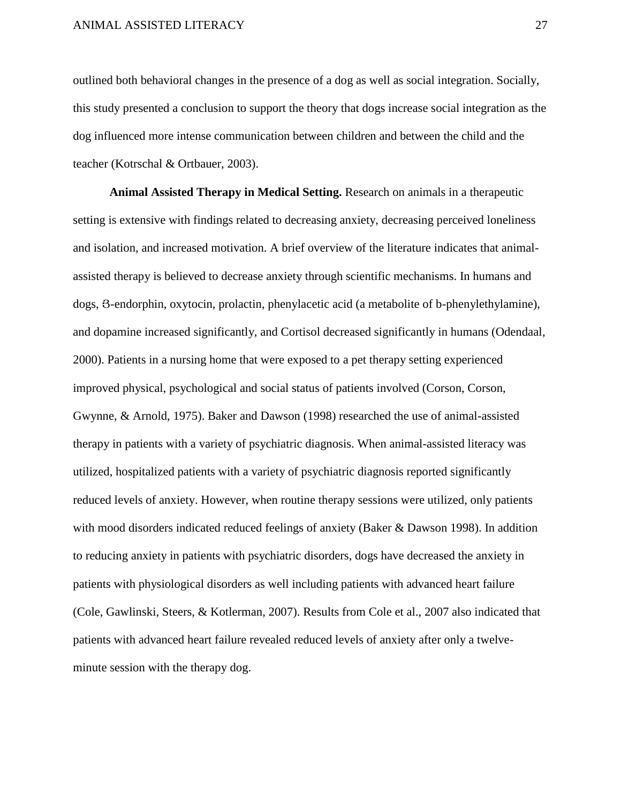outlined both behavioral changes in the presence of a dog as well as social integration. Socially, this study presented a conclusion to support the theory that dogs increase social integration as the dog influenced more intense communication between children and between the child and the teacher (Kotrschal & Ortbauer, 2003).

**Animal Assisted Therapy in Medical Setting.** Research on animals in a therapeutic setting is extensive with findings related to decreasing anxiety, decreasing perceived loneliness and isolation, and increased motivation. A brief overview of the literature indicates that animalassisted therapy is believed to decrease anxiety through scientific mechanisms. In humans and dogs, Յ-endorphin, oxytocin, prolactin, phenylacetic acid (a metabolite of b-phenylethylamine), and dopamine increased significantly, and Cortisol decreased significantly in humans (Odendaal, 2000). Patients in a nursing home that were exposed to a pet therapy setting experienced improved physical, psychological and social status of patients involved (Corson, Corson, Gwynne, & Arnold, 1975). Baker and Dawson (1998) researched the use of animal-assisted therapy in patients with a variety of psychiatric diagnosis. When animal-assisted literacy was utilized, hospitalized patients with a variety of psychiatric diagnosis reported significantly reduced levels of anxiety. However, when routine therapy sessions were utilized, only patients with mood disorders indicated reduced feelings of anxiety (Baker & Dawson 1998). In addition to reducing anxiety in patients with psychiatric disorders, dogs have decreased the anxiety in patients with physiological disorders as well including patients with advanced heart failure (Cole, Gawlinski, Steers, & Kotlerman, 2007). Results from Cole et al., 2007 also indicated that patients with advanced heart failure revealed reduced levels of anxiety after only a twelveminute session with the therapy dog.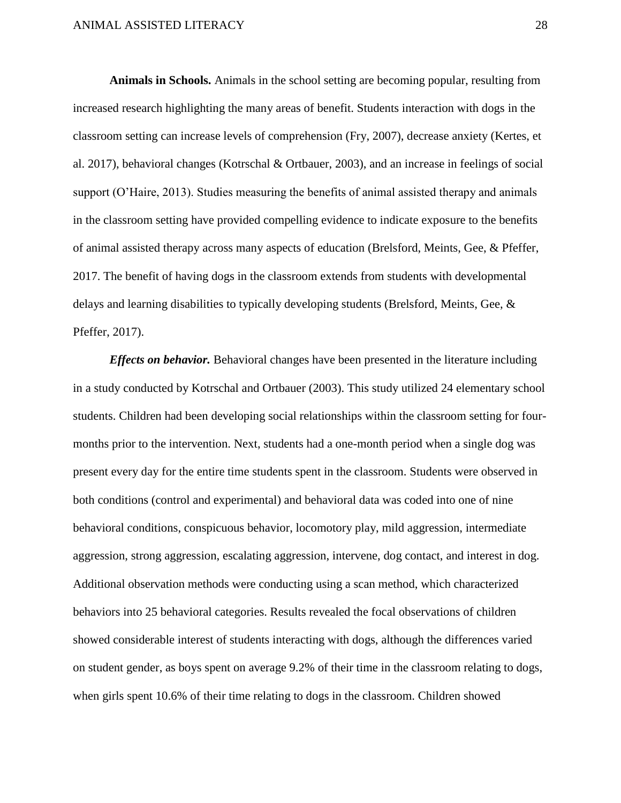**Animals in Schools.** Animals in the school setting are becoming popular, resulting from increased research highlighting the many areas of benefit. Students interaction with dogs in the classroom setting can increase levels of comprehension (Fry, 2007), decrease anxiety (Kertes, et al. 2017), behavioral changes (Kotrschal & Ortbauer, 2003), and an increase in feelings of social support (O'Haire, 2013). Studies measuring the benefits of animal assisted therapy and animals in the classroom setting have provided compelling evidence to indicate exposure to the benefits of animal assisted therapy across many aspects of education (Brelsford, Meints, Gee, & Pfeffer, 2017. The benefit of having dogs in the classroom extends from students with developmental delays and learning disabilities to typically developing students (Brelsford, Meints, Gee, & Pfeffer, 2017).

*Effects on behavior.* Behavioral changes have been presented in the literature including in a study conducted by Kotrschal and Ortbauer (2003). This study utilized 24 elementary school students. Children had been developing social relationships within the classroom setting for fourmonths prior to the intervention. Next, students had a one-month period when a single dog was present every day for the entire time students spent in the classroom. Students were observed in both conditions (control and experimental) and behavioral data was coded into one of nine behavioral conditions, conspicuous behavior, locomotory play, mild aggression, intermediate aggression, strong aggression, escalating aggression, intervene, dog contact, and interest in dog. Additional observation methods were conducting using a scan method, which characterized behaviors into 25 behavioral categories. Results revealed the focal observations of children showed considerable interest of students interacting with dogs, although the differences varied on student gender, as boys spent on average 9.2% of their time in the classroom relating to dogs, when girls spent 10.6% of their time relating to dogs in the classroom. Children showed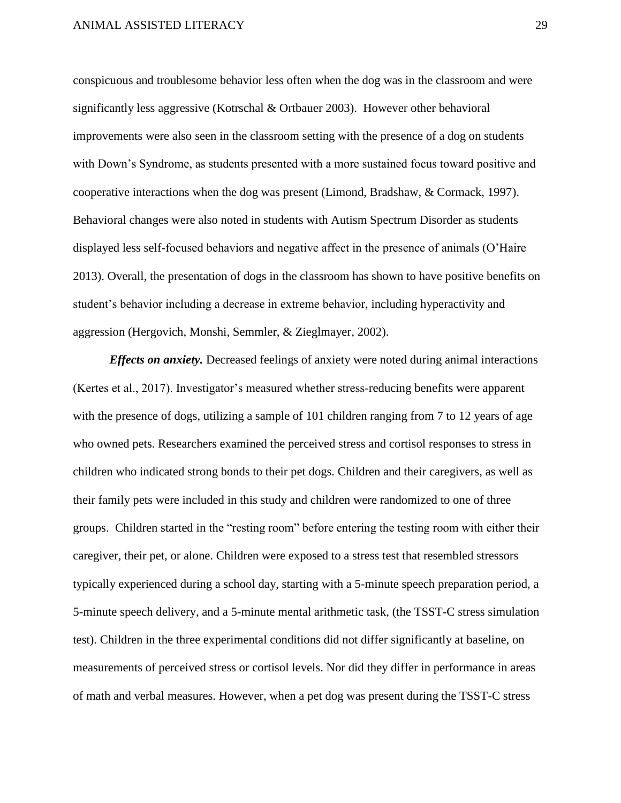conspicuous and troublesome behavior less often when the dog was in the classroom and were significantly less aggressive (Kotrschal & Ortbauer 2003). However other behavioral improvements were also seen in the classroom setting with the presence of a dog on students with Down's Syndrome, as students presented with a more sustained focus toward positive and cooperative interactions when the dog was present (Limond, Bradshaw, & Cormack, 1997). Behavioral changes were also noted in students with Autism Spectrum Disorder as students displayed less self-focused behaviors and negative affect in the presence of animals (O'Haire 2013). Overall, the presentation of dogs in the classroom has shown to have positive benefits on student's behavior including a decrease in extreme behavior, including hyperactivity and aggression (Hergovich, Monshi, Semmler, & Zieglmayer, 2002).

*Effects on anxiety.* Decreased feelings of anxiety were noted during animal interactions (Kertes et al., 2017). Investigator's measured whether stress-reducing benefits were apparent with the presence of dogs, utilizing a sample of 101 children ranging from 7 to 12 years of age who owned pets. Researchers examined the perceived stress and cortisol responses to stress in children who indicated strong bonds to their pet dogs. Children and their caregivers, as well as their family pets were included in this study and children were randomized to one of three groups. Children started in the "resting room" before entering the testing room with either their caregiver, their pet, or alone. Children were exposed to a stress test that resembled stressors typically experienced during a school day, starting with a 5-minute speech preparation period, a 5-minute speech delivery, and a 5-minute mental arithmetic task, (the TSST-C stress simulation test). Children in the three experimental conditions did not differ significantly at baseline, on measurements of perceived stress or cortisol levels. Nor did they differ in performance in areas of math and verbal measures. However, when a pet dog was present during the TSST-C stress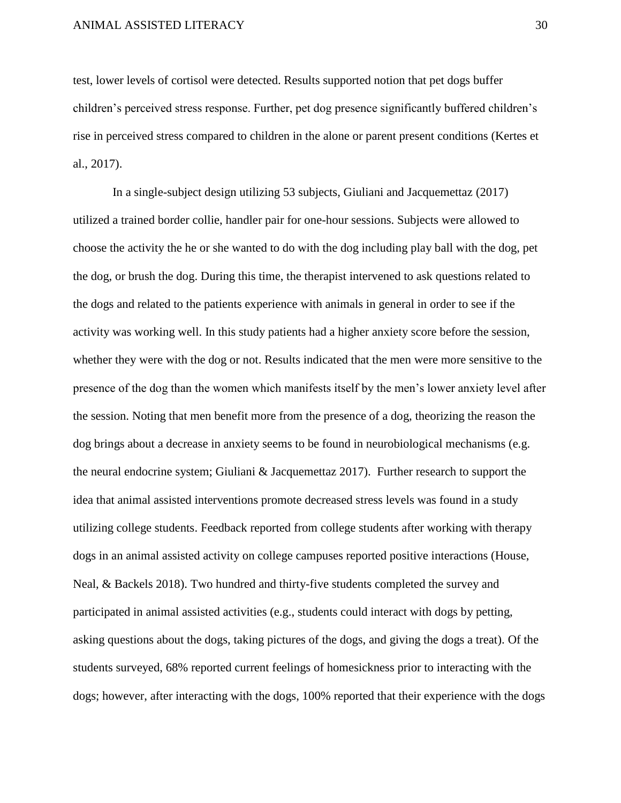test, lower levels of cortisol were detected. Results supported notion that pet dogs buffer children's perceived stress response. Further, pet dog presence significantly buffered children's rise in perceived stress compared to children in the alone or parent present conditions (Kertes et al., 2017).

In a single-subject design utilizing 53 subjects, Giuliani and Jacquemettaz (2017) utilized a trained border collie, handler pair for one-hour sessions. Subjects were allowed to choose the activity the he or she wanted to do with the dog including play ball with the dog, pet the dog, or brush the dog. During this time, the therapist intervened to ask questions related to the dogs and related to the patients experience with animals in general in order to see if the activity was working well. In this study patients had a higher anxiety score before the session, whether they were with the dog or not. Results indicated that the men were more sensitive to the presence of the dog than the women which manifests itself by the men's lower anxiety level after the session. Noting that men benefit more from the presence of a dog, theorizing the reason the dog brings about a decrease in anxiety seems to be found in neurobiological mechanisms (e.g. the neural endocrine system; Giuliani & Jacquemettaz 2017). Further research to support the idea that animal assisted interventions promote decreased stress levels was found in a study utilizing college students. Feedback reported from college students after working with therapy dogs in an animal assisted activity on college campuses reported positive interactions (House, Neal, & Backels 2018). Two hundred and thirty-five students completed the survey and participated in animal assisted activities (e.g., students could interact with dogs by petting, asking questions about the dogs, taking pictures of the dogs, and giving the dogs a treat). Of the students surveyed, 68% reported current feelings of homesickness prior to interacting with the dogs; however, after interacting with the dogs, 100% reported that their experience with the dogs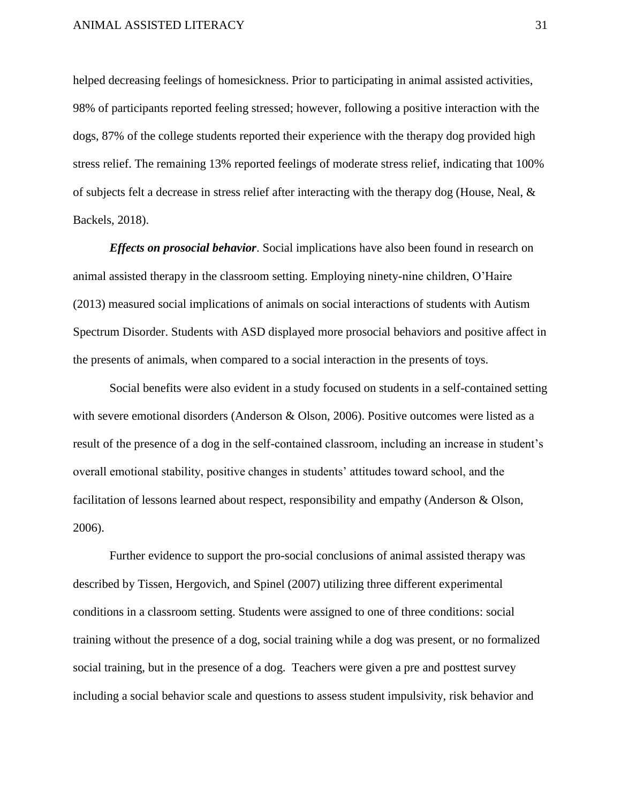helped decreasing feelings of homesickness. Prior to participating in animal assisted activities, 98% of participants reported feeling stressed; however, following a positive interaction with the dogs, 87% of the college students reported their experience with the therapy dog provided high stress relief. The remaining 13% reported feelings of moderate stress relief, indicating that 100% of subjects felt a decrease in stress relief after interacting with the therapy dog (House, Neal, & Backels, 2018).

*Effects on prosocial behavior*. Social implications have also been found in research on animal assisted therapy in the classroom setting. Employing ninety-nine children, O'Haire (2013) measured social implications of animals on social interactions of students with Autism Spectrum Disorder. Students with ASD displayed more prosocial behaviors and positive affect in the presents of animals, when compared to a social interaction in the presents of toys.

Social benefits were also evident in a study focused on students in a self-contained setting with severe emotional disorders (Anderson & Olson, 2006). Positive outcomes were listed as a result of the presence of a dog in the self-contained classroom, including an increase in student's overall emotional stability, positive changes in students' attitudes toward school, and the facilitation of lessons learned about respect, responsibility and empathy (Anderson & Olson, 2006).

Further evidence to support the pro-social conclusions of animal assisted therapy was described by Tissen, Hergovich, and Spinel (2007) utilizing three different experimental conditions in a classroom setting. Students were assigned to one of three conditions: social training without the presence of a dog, social training while a dog was present, or no formalized social training, but in the presence of a dog. Teachers were given a pre and posttest survey including a social behavior scale and questions to assess student impulsivity, risk behavior and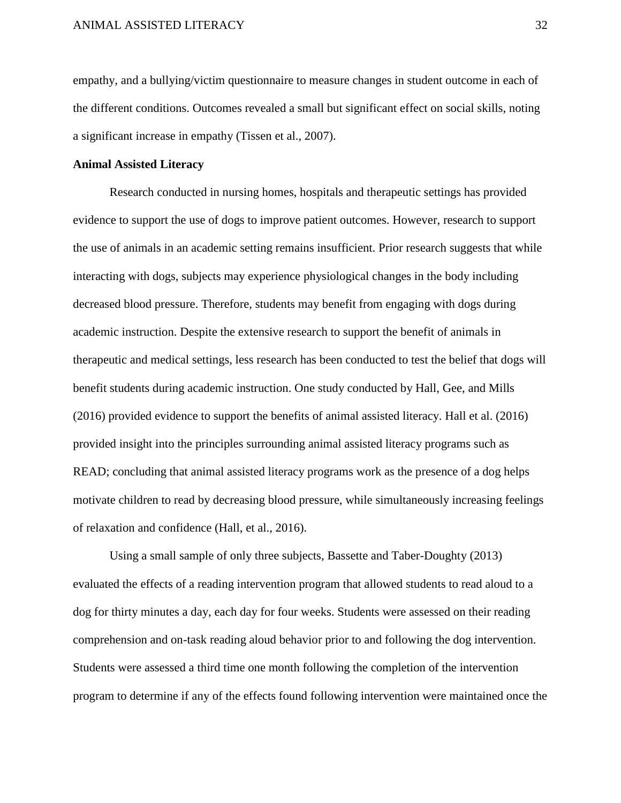empathy, and a bullying/victim questionnaire to measure changes in student outcome in each of the different conditions. Outcomes revealed a small but significant effect on social skills, noting a significant increase in empathy (Tissen et al., 2007).

## **Animal Assisted Literacy**

Research conducted in nursing homes, hospitals and therapeutic settings has provided evidence to support the use of dogs to improve patient outcomes. However, research to support the use of animals in an academic setting remains insufficient. Prior research suggests that while interacting with dogs, subjects may experience physiological changes in the body including decreased blood pressure. Therefore, students may benefit from engaging with dogs during academic instruction. Despite the extensive research to support the benefit of animals in therapeutic and medical settings, less research has been conducted to test the belief that dogs will benefit students during academic instruction. One study conducted by Hall, Gee, and Mills (2016) provided evidence to support the benefits of animal assisted literacy. Hall et al. (2016) provided insight into the principles surrounding animal assisted literacy programs such as READ; concluding that animal assisted literacy programs work as the presence of a dog helps motivate children to read by decreasing blood pressure, while simultaneously increasing feelings of relaxation and confidence (Hall, et al., 2016).

Using a small sample of only three subjects, Bassette and Taber-Doughty (2013) evaluated the effects of a reading intervention program that allowed students to read aloud to a dog for thirty minutes a day, each day for four weeks. Students were assessed on their reading comprehension and on-task reading aloud behavior prior to and following the dog intervention. Students were assessed a third time one month following the completion of the intervention program to determine if any of the effects found following intervention were maintained once the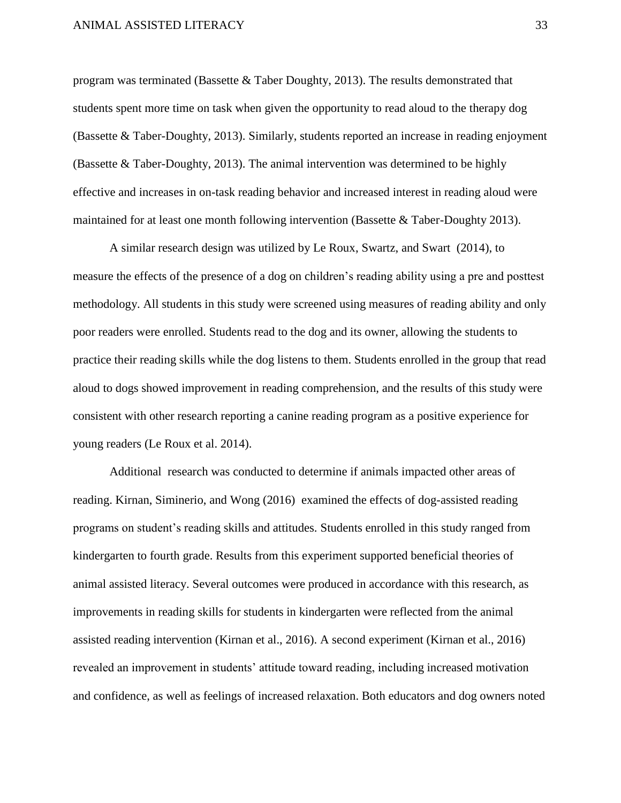program was terminated (Bassette & Taber Doughty, 2013). The results demonstrated that students spent more time on task when given the opportunity to read aloud to the therapy dog (Bassette & Taber-Doughty, 2013). Similarly, students reported an increase in reading enjoyment (Bassette & Taber-Doughty, 2013). The animal intervention was determined to be highly effective and increases in on-task reading behavior and increased interest in reading aloud were maintained for at least one month following intervention (Bassette & Taber-Doughty 2013).

A similar research design was utilized by Le Roux, Swartz, and Swart (2014), to measure the effects of the presence of a dog on children's reading ability using a pre and posttest methodology. All students in this study were screened using measures of reading ability and only poor readers were enrolled. Students read to the dog and its owner, allowing the students to practice their reading skills while the dog listens to them. Students enrolled in the group that read aloud to dogs showed improvement in reading comprehension, and the results of this study were consistent with other research reporting a canine reading program as a positive experience for young readers (Le Roux et al. 2014).

Additional research was conducted to determine if animals impacted other areas of reading. Kirnan, Siminerio, and Wong (2016) examined the effects of dog-assisted reading programs on student's reading skills and attitudes. Students enrolled in this study ranged from kindergarten to fourth grade. Results from this experiment supported beneficial theories of animal assisted literacy. Several outcomes were produced in accordance with this research, as improvements in reading skills for students in kindergarten were reflected from the animal assisted reading intervention (Kirnan et al., 2016). A second experiment (Kirnan et al., 2016) revealed an improvement in students' attitude toward reading, including increased motivation and confidence, as well as feelings of increased relaxation. Both educators and dog owners noted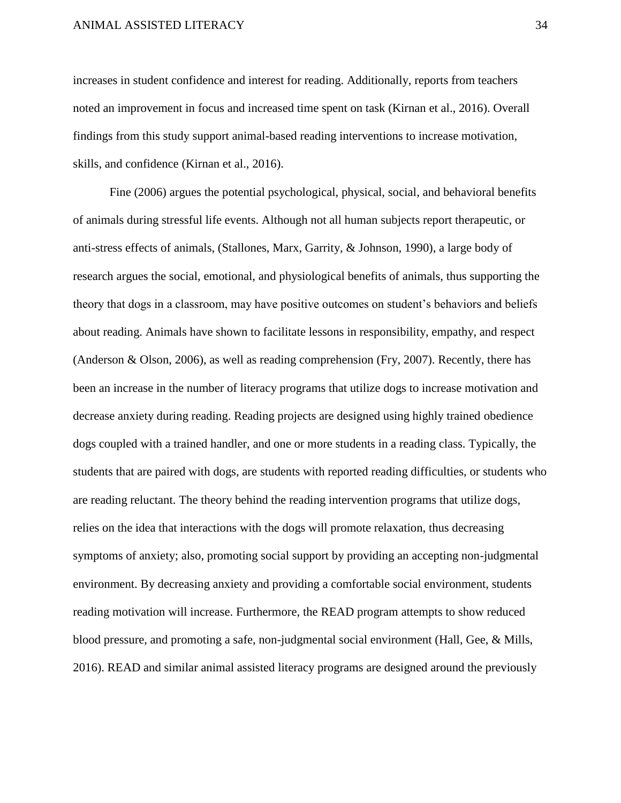increases in student confidence and interest for reading. Additionally, reports from teachers noted an improvement in focus and increased time spent on task (Kirnan et al., 2016). Overall findings from this study support animal-based reading interventions to increase motivation, skills, and confidence (Kirnan et al., 2016).

Fine (2006) argues the potential psychological, physical, social, and behavioral benefits of animals during stressful life events. Although not all human subjects report therapeutic, or anti-stress effects of animals, (Stallones, Marx, Garrity, & Johnson, 1990), a large body of research argues the social, emotional, and physiological benefits of animals, thus supporting the theory that dogs in a classroom, may have positive outcomes on student's behaviors and beliefs about reading. Animals have shown to facilitate lessons in responsibility, empathy, and respect (Anderson & Olson, 2006), as well as reading comprehension (Fry, 2007). Recently, there has been an increase in the number of literacy programs that utilize dogs to increase motivation and decrease anxiety during reading. Reading projects are designed using highly trained obedience dogs coupled with a trained handler, and one or more students in a reading class. Typically, the students that are paired with dogs, are students with reported reading difficulties, or students who are reading reluctant. The theory behind the reading intervention programs that utilize dogs, relies on the idea that interactions with the dogs will promote relaxation, thus decreasing symptoms of anxiety; also, promoting social support by providing an accepting non-judgmental environment. By decreasing anxiety and providing a comfortable social environment, students reading motivation will increase. Furthermore, the READ program attempts to show reduced blood pressure, and promoting a safe, non-judgmental social environment (Hall, Gee, & Mills, 2016). READ and similar animal assisted literacy programs are designed around the previously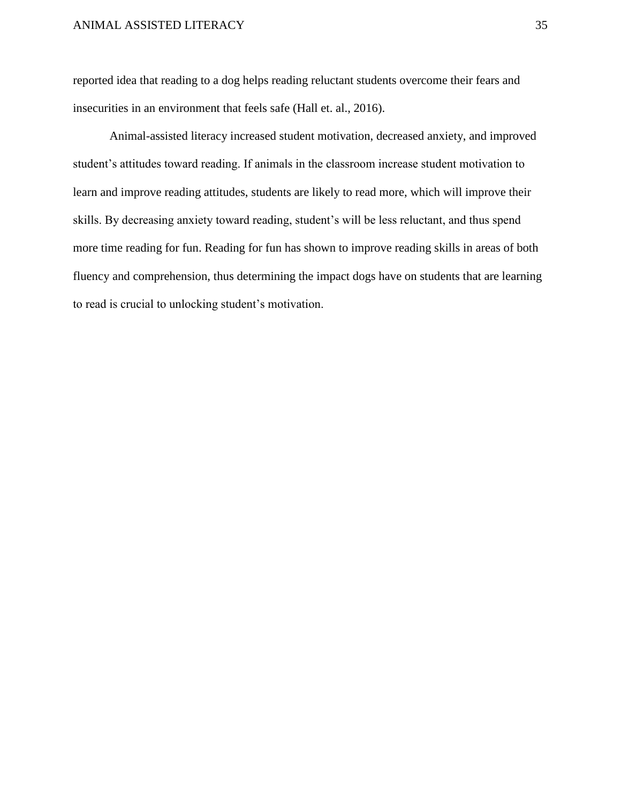reported idea that reading to a dog helps reading reluctant students overcome their fears and insecurities in an environment that feels safe (Hall et. al., 2016).

Animal-assisted literacy increased student motivation, decreased anxiety, and improved student's attitudes toward reading. If animals in the classroom increase student motivation to learn and improve reading attitudes, students are likely to read more, which will improve their skills. By decreasing anxiety toward reading, student's will be less reluctant, and thus spend more time reading for fun. Reading for fun has shown to improve reading skills in areas of both fluency and comprehension, thus determining the impact dogs have on students that are learning to read is crucial to unlocking student's motivation.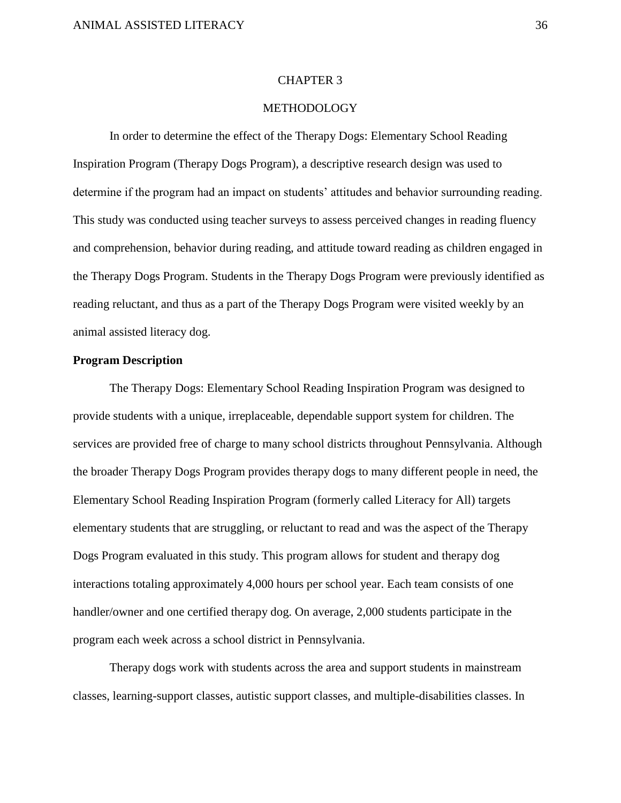#### CHAPTER 3

## **METHODOLOGY**

In order to determine the effect of the Therapy Dogs: Elementary School Reading Inspiration Program (Therapy Dogs Program), a descriptive research design was used to determine if the program had an impact on students' attitudes and behavior surrounding reading. This study was conducted using teacher surveys to assess perceived changes in reading fluency and comprehension, behavior during reading, and attitude toward reading as children engaged in the Therapy Dogs Program. Students in the Therapy Dogs Program were previously identified as reading reluctant, and thus as a part of the Therapy Dogs Program were visited weekly by an animal assisted literacy dog.

#### **Program Description**

The Therapy Dogs: Elementary School Reading Inspiration Program was designed to provide students with a unique, irreplaceable, dependable support system for children. The services are provided free of charge to many school districts throughout Pennsylvania. Although the broader Therapy Dogs Program provides therapy dogs to many different people in need, the Elementary School Reading Inspiration Program (formerly called Literacy for All) targets elementary students that are struggling, or reluctant to read and was the aspect of the Therapy Dogs Program evaluated in this study. This program allows for student and therapy dog interactions totaling approximately 4,000 hours per school year. Each team consists of one handler/owner and one certified therapy dog. On average, 2,000 students participate in the program each week across a school district in Pennsylvania.

Therapy dogs work with students across the area and support students in mainstream classes, learning-support classes, autistic support classes, and multiple-disabilities classes. In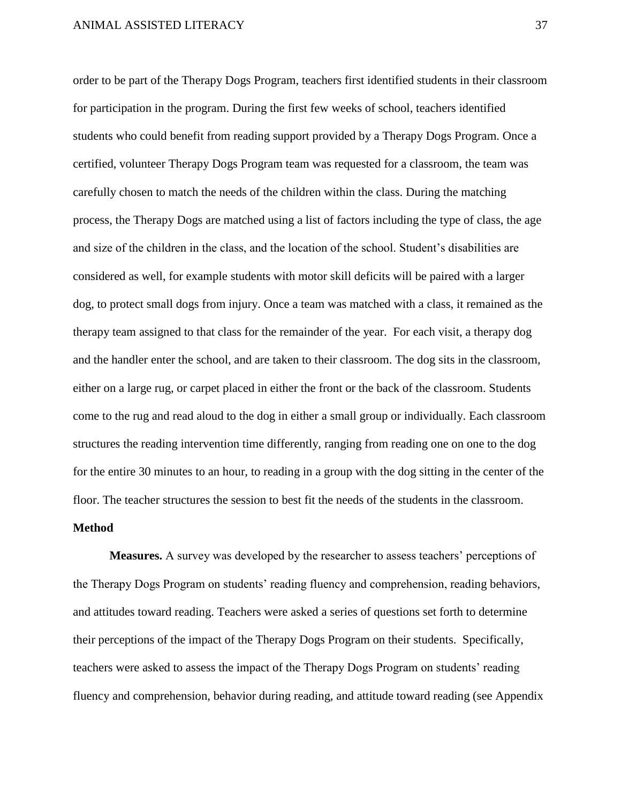order to be part of the Therapy Dogs Program, teachers first identified students in their classroom for participation in the program. During the first few weeks of school, teachers identified students who could benefit from reading support provided by a Therapy Dogs Program. Once a certified, volunteer Therapy Dogs Program team was requested for a classroom, the team was carefully chosen to match the needs of the children within the class. During the matching process, the Therapy Dogs are matched using a list of factors including the type of class, the age and size of the children in the class, and the location of the school. Student's disabilities are considered as well, for example students with motor skill deficits will be paired with a larger dog, to protect small dogs from injury. Once a team was matched with a class, it remained as the therapy team assigned to that class for the remainder of the year. For each visit, a therapy dog and the handler enter the school, and are taken to their classroom. The dog sits in the classroom, either on a large rug, or carpet placed in either the front or the back of the classroom. Students come to the rug and read aloud to the dog in either a small group or individually. Each classroom structures the reading intervention time differently, ranging from reading one on one to the dog for the entire 30 minutes to an hour, to reading in a group with the dog sitting in the center of the floor. The teacher structures the session to best fit the needs of the students in the classroom.

#### **Method**

**Measures.** A survey was developed by the researcher to assess teachers' perceptions of the Therapy Dogs Program on students' reading fluency and comprehension, reading behaviors, and attitudes toward reading. Teachers were asked a series of questions set forth to determine their perceptions of the impact of the Therapy Dogs Program on their students. Specifically, teachers were asked to assess the impact of the Therapy Dogs Program on students' reading fluency and comprehension, behavior during reading, and attitude toward reading (see Appendix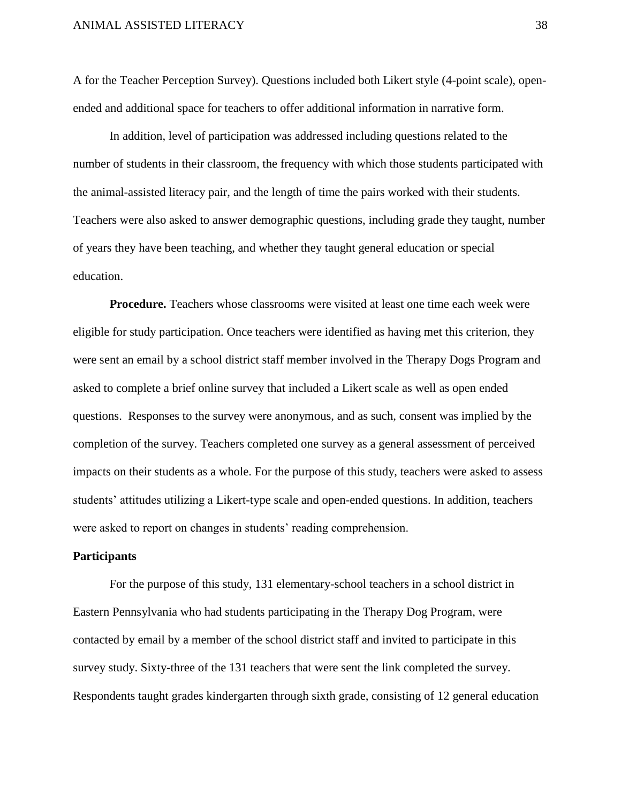A for the Teacher Perception Survey). Questions included both Likert style (4-point scale), openended and additional space for teachers to offer additional information in narrative form.

In addition, level of participation was addressed including questions related to the number of students in their classroom, the frequency with which those students participated with the animal-assisted literacy pair, and the length of time the pairs worked with their students. Teachers were also asked to answer demographic questions, including grade they taught, number of years they have been teaching, and whether they taught general education or special education.

**Procedure.** Teachers whose classrooms were visited at least one time each week were eligible for study participation. Once teachers were identified as having met this criterion, they were sent an email by a school district staff member involved in the Therapy Dogs Program and asked to complete a brief online survey that included a Likert scale as well as open ended questions. Responses to the survey were anonymous, and as such, consent was implied by the completion of the survey. Teachers completed one survey as a general assessment of perceived impacts on their students as a whole. For the purpose of this study, teachers were asked to assess students' attitudes utilizing a Likert-type scale and open-ended questions. In addition, teachers were asked to report on changes in students' reading comprehension.

#### **Participants**

For the purpose of this study, 131 elementary-school teachers in a school district in Eastern Pennsylvania who had students participating in the Therapy Dog Program, were contacted by email by a member of the school district staff and invited to participate in this survey study. Sixty-three of the 131 teachers that were sent the link completed the survey. Respondents taught grades kindergarten through sixth grade, consisting of 12 general education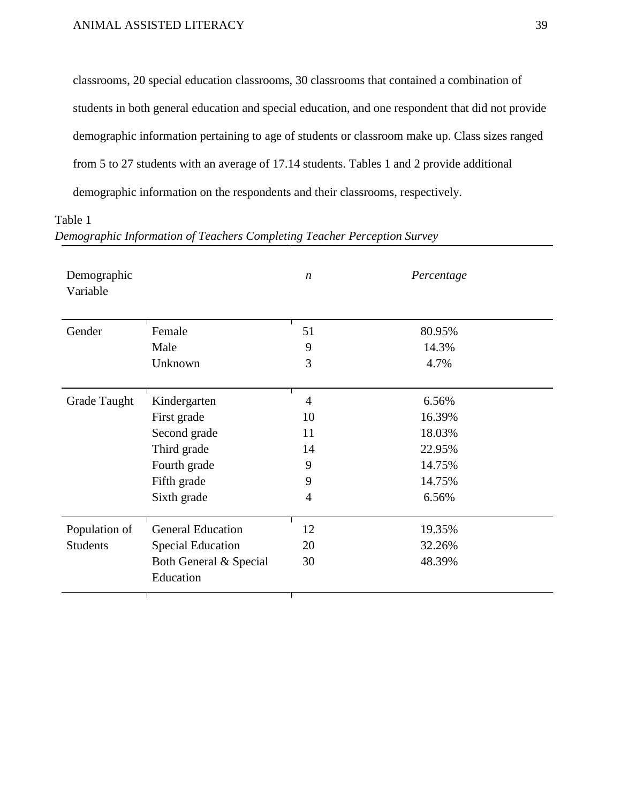classrooms, 20 special education classrooms, 30 classrooms that contained a combination of students in both general education and special education, and one respondent that did not provide demographic information pertaining to age of students or classroom make up. Class sizes ranged from 5 to 27 students with an average of 17.14 students. Tables 1 and 2 provide additional demographic information on the respondents and their classrooms, respectively.

Table 1

*Demographic Information of Teachers Completing Teacher Perception Survey*

| Demographic<br>Variable |                                     | $\boldsymbol{n}$ | Percentage |
|-------------------------|-------------------------------------|------------------|------------|
| Gender                  | Female                              | 51               | 80.95%     |
|                         | Male                                | 9                | 14.3%      |
|                         | Unknown                             | 3                | 4.7%       |
| Grade Taught            | Kindergarten                        | $\overline{4}$   | 6.56%      |
|                         | First grade                         | 10               | 16.39%     |
|                         | Second grade                        | 11               | 18.03%     |
|                         | Third grade                         | 14               | 22.95%     |
|                         | Fourth grade                        | 9                | 14.75%     |
|                         | Fifth grade                         | 9                | 14.75%     |
|                         | Sixth grade                         | $\overline{4}$   | 6.56%      |
| Population of           | <b>General Education</b>            | 12               | 19.35%     |
| <b>Students</b>         | <b>Special Education</b>            | 20               | 32.26%     |
|                         | Both General & Special<br>Education | 30               | 48.39%     |
|                         |                                     |                  |            |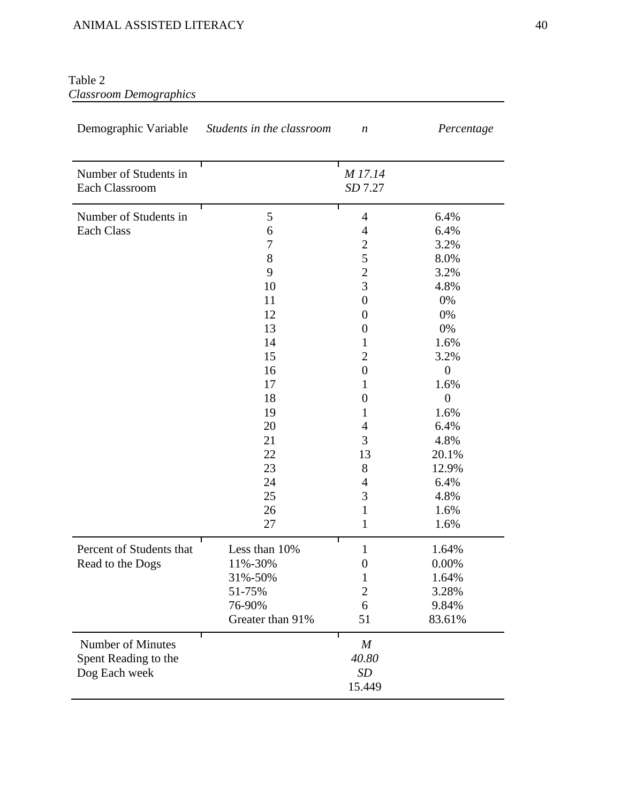## Table 2 *Classroom Demographics*

| Demographic Variable                    | Students in the classroom | n                     | Percentage       |
|-----------------------------------------|---------------------------|-----------------------|------------------|
| Number of Students in<br>Each Classroom |                           | M 17.14<br>SD 7.27    |                  |
| Number of Students in                   | 5                         | 4                     | 6.4%             |
| <b>Each Class</b>                       | 6                         | $\overline{4}$        | 6.4%             |
|                                         | 7                         | $\mathbf{2}$          | 3.2%             |
|                                         | 8                         | 5                     | 8.0%             |
|                                         | 9                         | $\overline{2}$        | 3.2%             |
|                                         | 10                        | 3                     | 4.8%             |
|                                         | 11                        | $\boldsymbol{0}$      | 0%               |
|                                         | 12                        | $\boldsymbol{0}$      | 0%               |
|                                         | 13                        | $\boldsymbol{0}$      | 0%               |
|                                         | 14                        | 1                     | 1.6%             |
|                                         | 15                        | $\mathbf{2}$          | 3.2%             |
|                                         | 16                        | $\boldsymbol{0}$      | $\boldsymbol{0}$ |
|                                         | 17                        | 1                     | 1.6%             |
|                                         | 18                        | $\boldsymbol{0}$      | $\overline{0}$   |
|                                         | 19                        | 1                     | 1.6%             |
|                                         | 20                        | 4                     | 6.4%             |
|                                         | 21                        | 3                     | 4.8%             |
|                                         | 22                        | 13                    | 20.1%            |
|                                         | 23                        | 8                     | 12.9%            |
|                                         | 24                        | 4                     | 6.4%             |
|                                         | 25                        | 3                     | 4.8%             |
|                                         | 26                        | 1                     | 1.6%             |
|                                         | 27                        | 1                     | 1.6%             |
| Percent of Students that                | Less than 10%             | Т<br>$\mathbf{1}$     | 1.64%            |
| Read to the Dogs                        | 11%-30%                   | $\boldsymbol{0}$      | 0.00%            |
|                                         | 31%-50%                   | $\mathbf{1}$          | 1.64%            |
|                                         | 51-75%                    | $\overline{2}$        | 3.28%            |
|                                         | 76-90%                    | 6                     | 9.84%            |
|                                         | Greater than 91%          | 51                    | 83.61%           |
| <b>Number of Minutes</b>                |                           | Τ<br>$\boldsymbol{M}$ |                  |
| Spent Reading to the                    |                           | 40.80                 |                  |
| Dog Each week                           |                           | SD                    |                  |
|                                         |                           | 15.449                |                  |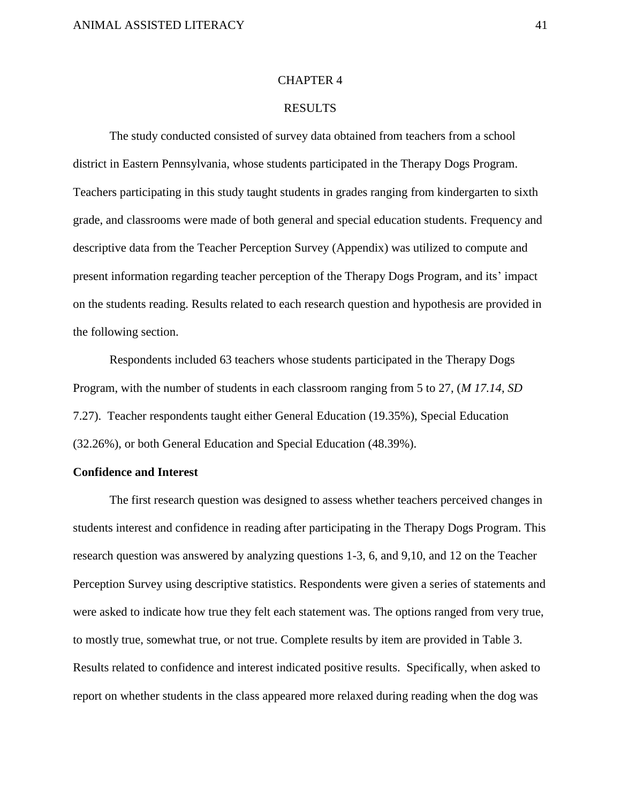#### CHAPTER 4

## RESULTS

The study conducted consisted of survey data obtained from teachers from a school district in Eastern Pennsylvania, whose students participated in the Therapy Dogs Program. Teachers participating in this study taught students in grades ranging from kindergarten to sixth grade, and classrooms were made of both general and special education students. Frequency and descriptive data from the Teacher Perception Survey (Appendix) was utilized to compute and present information regarding teacher perception of the Therapy Dogs Program, and its' impact on the students reading. Results related to each research question and hypothesis are provided in the following section.

Respondents included 63 teachers whose students participated in the Therapy Dogs Program, with the number of students in each classroom ranging from 5 to 27, (*M 17.14*, *SD* 7.27). Teacher respondents taught either General Education (19.35%), Special Education (32.26%), or both General Education and Special Education (48.39%).

## **Confidence and Interest**

The first research question was designed to assess whether teachers perceived changes in students interest and confidence in reading after participating in the Therapy Dogs Program. This research question was answered by analyzing questions 1-3, 6, and 9,10, and 12 on the Teacher Perception Survey using descriptive statistics. Respondents were given a series of statements and were asked to indicate how true they felt each statement was. The options ranged from very true, to mostly true, somewhat true, or not true. Complete results by item are provided in Table 3. Results related to confidence and interest indicated positive results. Specifically, when asked to report on whether students in the class appeared more relaxed during reading when the dog was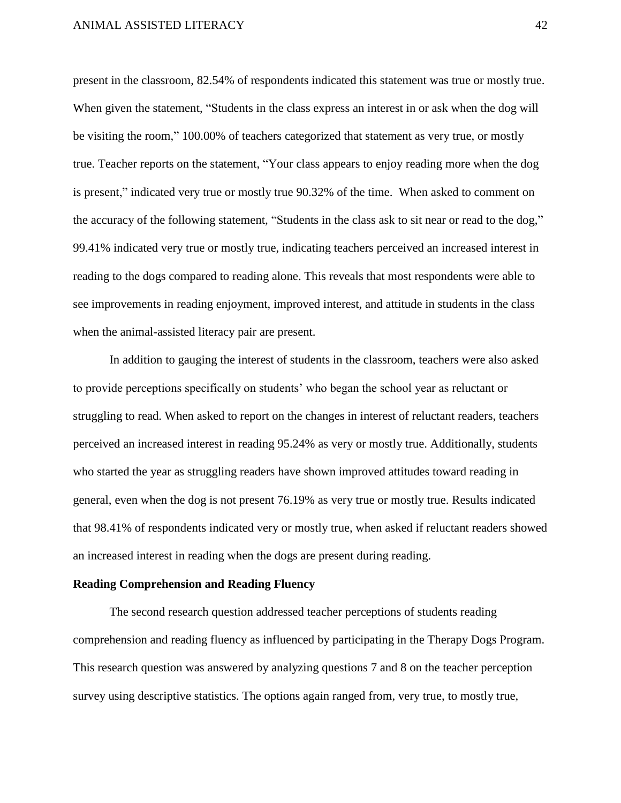present in the classroom, 82.54% of respondents indicated this statement was true or mostly true. When given the statement, "Students in the class express an interest in or ask when the dog will be visiting the room," 100.00% of teachers categorized that statement as very true, or mostly true. Teacher reports on the statement, "Your class appears to enjoy reading more when the dog is present," indicated very true or mostly true 90.32% of the time. When asked to comment on the accuracy of the following statement, "Students in the class ask to sit near or read to the dog," 99.41% indicated very true or mostly true, indicating teachers perceived an increased interest in reading to the dogs compared to reading alone. This reveals that most respondents were able to see improvements in reading enjoyment, improved interest, and attitude in students in the class when the animal-assisted literacy pair are present.

In addition to gauging the interest of students in the classroom, teachers were also asked to provide perceptions specifically on students' who began the school year as reluctant or struggling to read. When asked to report on the changes in interest of reluctant readers, teachers perceived an increased interest in reading 95.24% as very or mostly true. Additionally, students who started the year as struggling readers have shown improved attitudes toward reading in general, even when the dog is not present 76.19% as very true or mostly true. Results indicated that 98.41% of respondents indicated very or mostly true, when asked if reluctant readers showed an increased interest in reading when the dogs are present during reading.

#### **Reading Comprehension and Reading Fluency**

The second research question addressed teacher perceptions of students reading comprehension and reading fluency as influenced by participating in the Therapy Dogs Program. This research question was answered by analyzing questions 7 and 8 on the teacher perception survey using descriptive statistics. The options again ranged from, very true, to mostly true,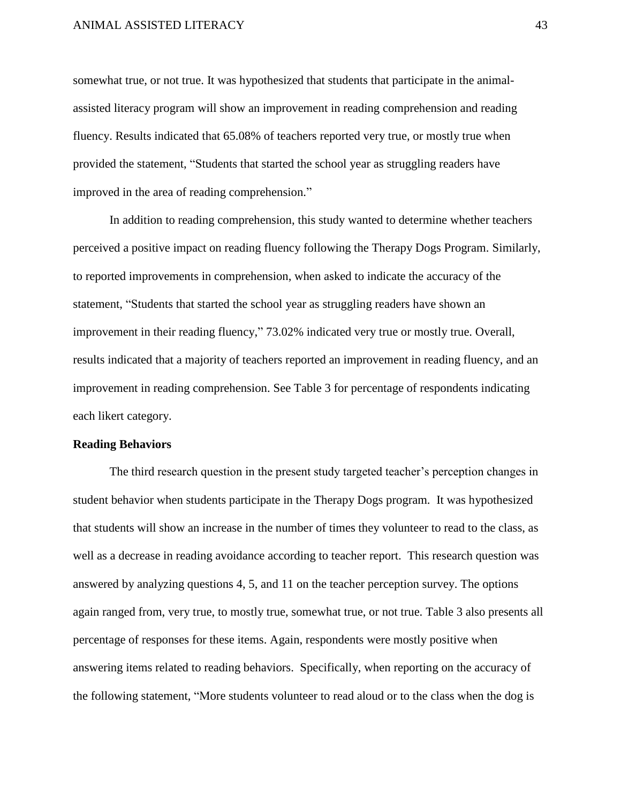somewhat true, or not true. It was hypothesized that students that participate in the animalassisted literacy program will show an improvement in reading comprehension and reading fluency. Results indicated that 65.08% of teachers reported very true, or mostly true when provided the statement, "Students that started the school year as struggling readers have improved in the area of reading comprehension."

In addition to reading comprehension, this study wanted to determine whether teachers perceived a positive impact on reading fluency following the Therapy Dogs Program. Similarly, to reported improvements in comprehension, when asked to indicate the accuracy of the statement, "Students that started the school year as struggling readers have shown an improvement in their reading fluency," 73.02% indicated very true or mostly true. Overall, results indicated that a majority of teachers reported an improvement in reading fluency, and an improvement in reading comprehension. See Table 3 for percentage of respondents indicating each likert category.

#### **Reading Behaviors**

The third research question in the present study targeted teacher's perception changes in student behavior when students participate in the Therapy Dogs program. It was hypothesized that students will show an increase in the number of times they volunteer to read to the class, as well as a decrease in reading avoidance according to teacher report. This research question was answered by analyzing questions 4, 5, and 11 on the teacher perception survey. The options again ranged from, very true, to mostly true, somewhat true, or not true. Table 3 also presents all percentage of responses for these items. Again, respondents were mostly positive when answering items related to reading behaviors. Specifically, when reporting on the accuracy of the following statement, "More students volunteer to read aloud or to the class when the dog is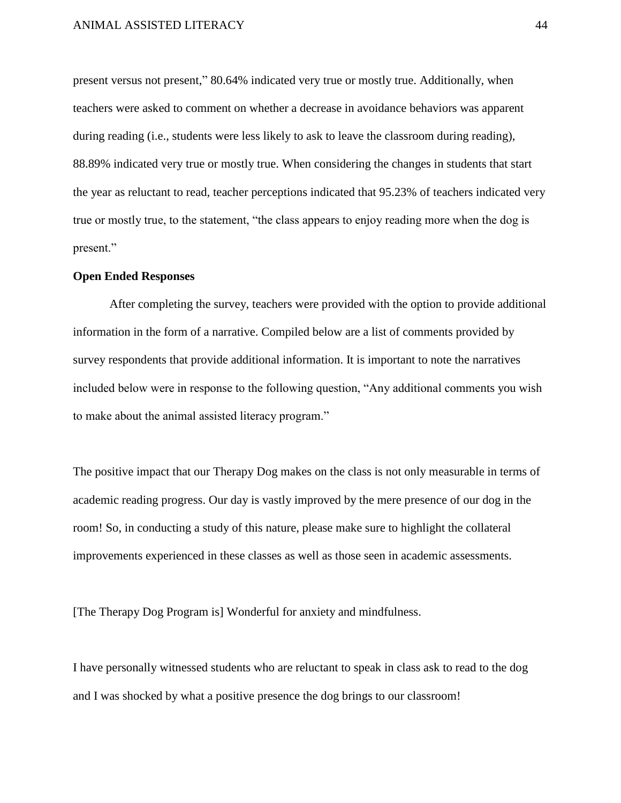present versus not present," 80.64% indicated very true or mostly true. Additionally, when teachers were asked to comment on whether a decrease in avoidance behaviors was apparent during reading (i.e., students were less likely to ask to leave the classroom during reading), 88.89% indicated very true or mostly true. When considering the changes in students that start the year as reluctant to read, teacher perceptions indicated that 95.23% of teachers indicated very true or mostly true, to the statement, "the class appears to enjoy reading more when the dog is present."

### **Open Ended Responses**

After completing the survey, teachers were provided with the option to provide additional information in the form of a narrative. Compiled below are a list of comments provided by survey respondents that provide additional information. It is important to note the narratives included below were in response to the following question, "Any additional comments you wish to make about the animal assisted literacy program."

The positive impact that our Therapy Dog makes on the class is not only measurable in terms of academic reading progress. Our day is vastly improved by the mere presence of our dog in the room! So, in conducting a study of this nature, please make sure to highlight the collateral improvements experienced in these classes as well as those seen in academic assessments.

[The Therapy Dog Program is] Wonderful for anxiety and mindfulness.

I have personally witnessed students who are reluctant to speak in class ask to read to the dog and I was shocked by what a positive presence the dog brings to our classroom!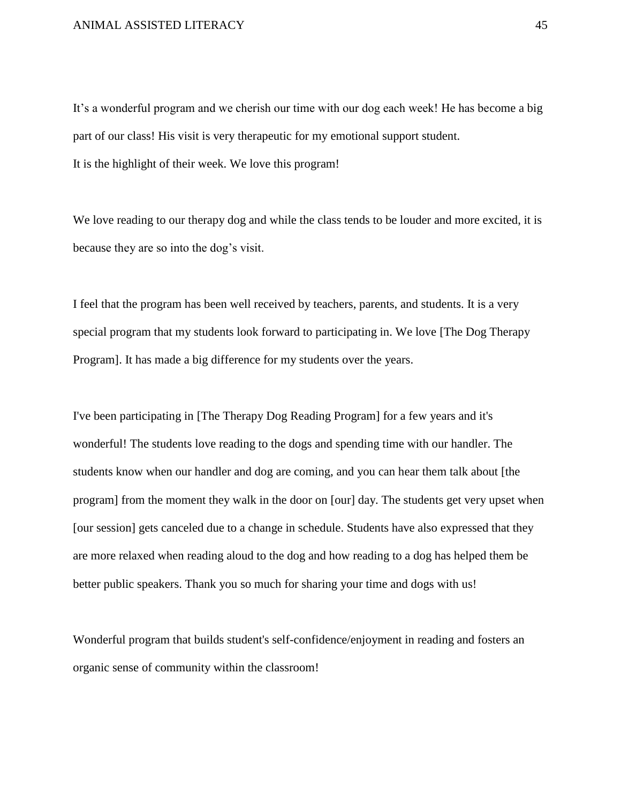It's a wonderful program and we cherish our time with our dog each week! He has become a big part of our class! His visit is very therapeutic for my emotional support student. It is the highlight of their week. We love this program!

We love reading to our therapy dog and while the class tends to be louder and more excited, it is because they are so into the dog's visit.

I feel that the program has been well received by teachers, parents, and students. It is a very special program that my students look forward to participating in. We love [The Dog Therapy Program]. It has made a big difference for my students over the years.

I've been participating in [The Therapy Dog Reading Program] for a few years and it's wonderful! The students love reading to the dogs and spending time with our handler. The students know when our handler and dog are coming, and you can hear them talk about [the program] from the moment they walk in the door on [our] day. The students get very upset when [our session] gets canceled due to a change in schedule. Students have also expressed that they are more relaxed when reading aloud to the dog and how reading to a dog has helped them be better public speakers. Thank you so much for sharing your time and dogs with us!

Wonderful program that builds student's self-confidence/enjoyment in reading and fosters an organic sense of community within the classroom!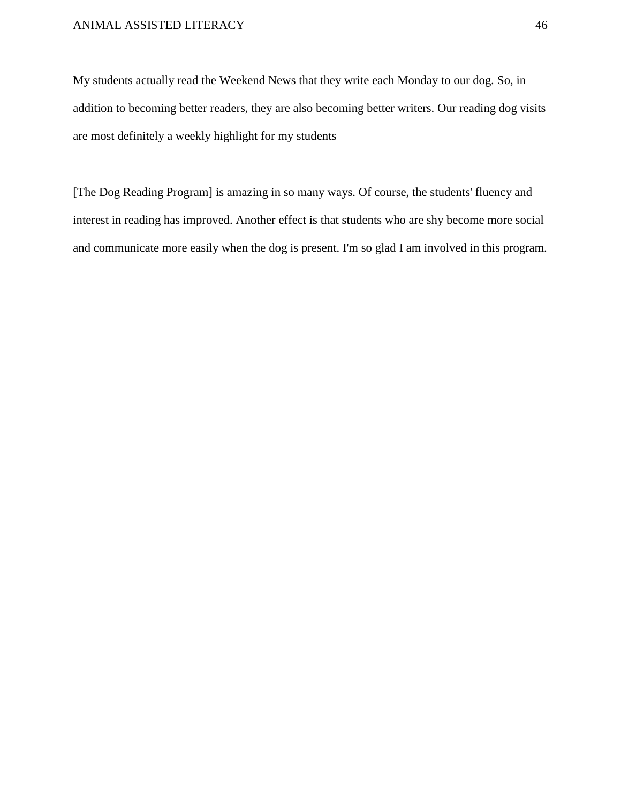My students actually read the Weekend News that they write each Monday to our dog. So, in addition to becoming better readers, they are also becoming better writers. Our reading dog visits are most definitely a weekly highlight for my students

[The Dog Reading Program] is amazing in so many ways. Of course, the students' fluency and interest in reading has improved. Another effect is that students who are shy become more social and communicate more easily when the dog is present. I'm so glad I am involved in this program.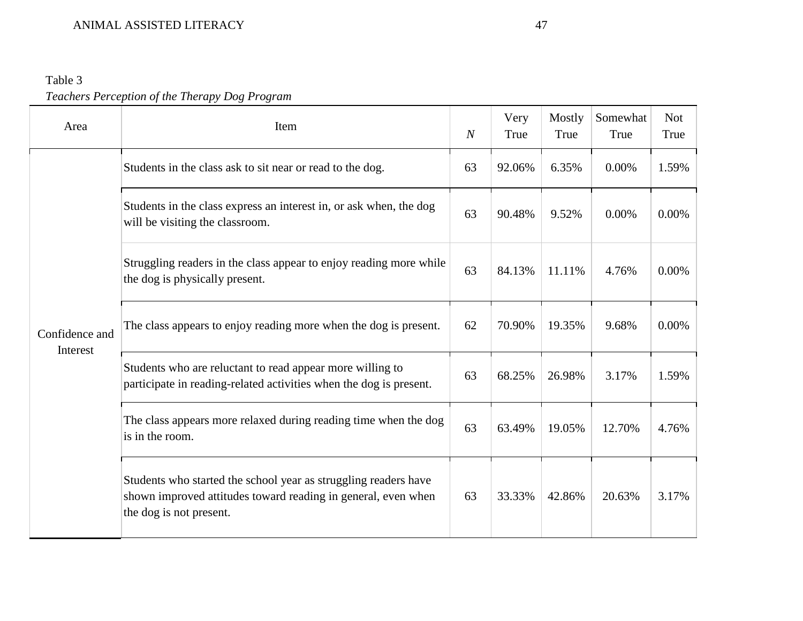# Table 3 *Teachers Perception of the Therapy Dog Program*

| Area                       | Item                                                                                                                                                        | $\overline{N}$ | Very<br>True | Mostly<br>True | Somewhat<br>True | <b>Not</b><br>True |
|----------------------------|-------------------------------------------------------------------------------------------------------------------------------------------------------------|----------------|--------------|----------------|------------------|--------------------|
| Confidence and<br>Interest | Students in the class ask to sit near or read to the dog.                                                                                                   | 63             | 92.06%       | 6.35%          | 0.00%            | 1.59%              |
|                            | Students in the class express an interest in, or ask when, the dog<br>will be visiting the classroom.                                                       | 63             | 90.48%       | 9.52%          | 0.00%            | 0.00%              |
|                            | Struggling readers in the class appear to enjoy reading more while<br>the dog is physically present.                                                        | 63             | 84.13%       | 11.11%         | 4.76%            | 0.00%              |
|                            | The class appears to enjoy reading more when the dog is present.                                                                                            | 62             | 70.90%       | 19.35%         | 9.68%            | $0.00\%$           |
|                            | Students who are reluctant to read appear more willing to<br>participate in reading-related activities when the dog is present.                             | 63             | 68.25%       | 26.98%         | 3.17%            | 1.59%              |
|                            | The class appears more relaxed during reading time when the dog<br>is in the room.                                                                          | 63             | 63.49%       | 19.05%         | 12.70%           | 4.76%              |
|                            | Students who started the school year as struggling readers have<br>shown improved attitudes toward reading in general, even when<br>the dog is not present. | 63             | 33.33%       | 42.86%         | 20.63%           | 3.17%              |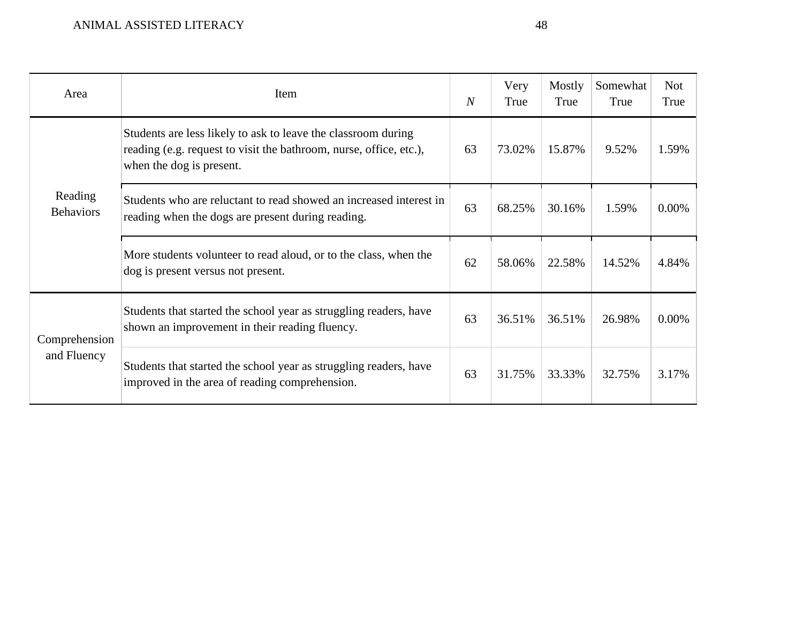| Area                         | Item                                                                                                                                                            | $\overline{N}$ | Very<br>True | Mostly<br>True | Somewhat<br>True | <b>Not</b><br>True |
|------------------------------|-----------------------------------------------------------------------------------------------------------------------------------------------------------------|----------------|--------------|----------------|------------------|--------------------|
| Reading<br><b>Behaviors</b>  | Students are less likely to ask to leave the classroom during<br>reading (e.g. request to visit the bathroom, nurse, office, etc.),<br>when the dog is present. | 63             | 73.02%       | 15.87%         | 9.52%            | 1.59%              |
|                              | Students who are reluctant to read showed an increased interest in<br>reading when the dogs are present during reading.                                         | 63             | 68.25%       | 30.16%         | 1.59%            | $0.00\%$           |
|                              | More students volunteer to read aloud, or to the class, when the<br>dog is present versus not present.                                                          | 62             | 58.06%       | 22.58%         | 14.52%           | 4.84%              |
| Comprehension<br>and Fluency | Students that started the school year as struggling readers, have<br>shown an improvement in their reading fluency.                                             | 63             | 36.51%       | 36.51%         | 26.98%           | $0.00\%$           |
|                              | Students that started the school year as struggling readers, have<br>improved in the area of reading comprehension.                                             | 63             | 31.75%       | 33.33%         | 32.75%           | 3.17%              |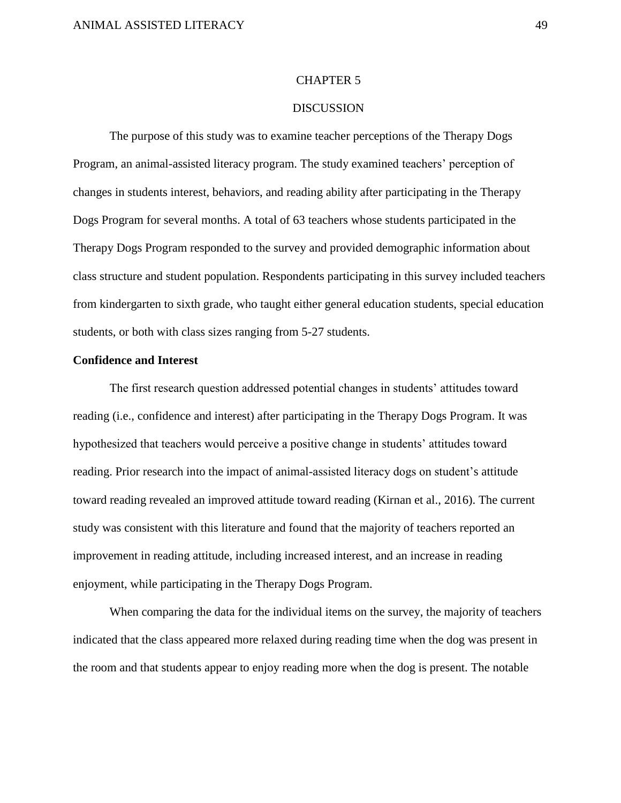#### CHAPTER 5

### **DISCUSSION**

The purpose of this study was to examine teacher perceptions of the Therapy Dogs Program, an animal-assisted literacy program. The study examined teachers' perception of changes in students interest, behaviors, and reading ability after participating in the Therapy Dogs Program for several months. A total of 63 teachers whose students participated in the Therapy Dogs Program responded to the survey and provided demographic information about class structure and student population. Respondents participating in this survey included teachers from kindergarten to sixth grade, who taught either general education students, special education students, or both with class sizes ranging from 5-27 students.

#### **Confidence and Interest**

The first research question addressed potential changes in students' attitudes toward reading (i.e., confidence and interest) after participating in the Therapy Dogs Program. It was hypothesized that teachers would perceive a positive change in students' attitudes toward reading. Prior research into the impact of animal-assisted literacy dogs on student's attitude toward reading revealed an improved attitude toward reading (Kirnan et al., 2016). The current study was consistent with this literature and found that the majority of teachers reported an improvement in reading attitude, including increased interest, and an increase in reading enjoyment, while participating in the Therapy Dogs Program.

When comparing the data for the individual items on the survey, the majority of teachers indicated that the class appeared more relaxed during reading time when the dog was present in the room and that students appear to enjoy reading more when the dog is present. The notable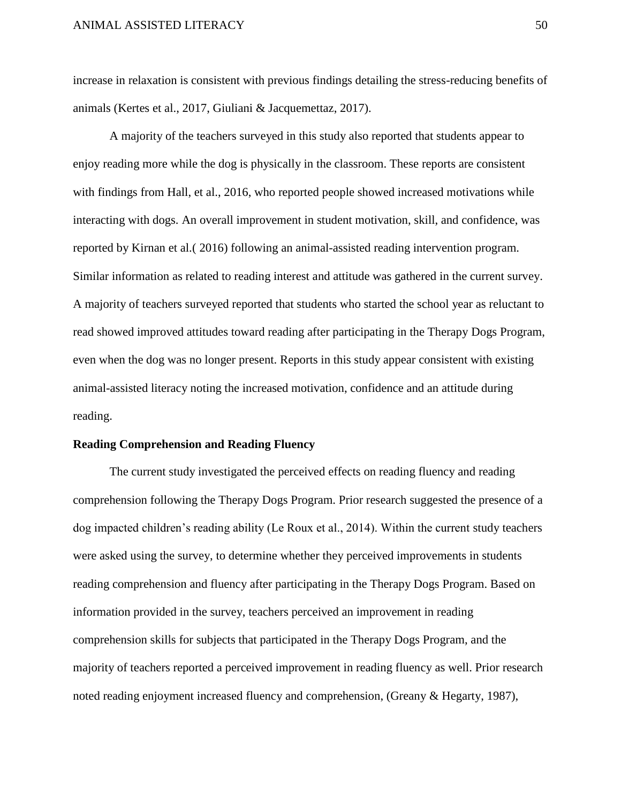increase in relaxation is consistent with previous findings detailing the stress-reducing benefits of animals (Kertes et al., 2017, Giuliani & Jacquemettaz, 2017).

A majority of the teachers surveyed in this study also reported that students appear to enjoy reading more while the dog is physically in the classroom. These reports are consistent with findings from Hall, et al., 2016, who reported people showed increased motivations while interacting with dogs. An overall improvement in student motivation, skill, and confidence, was reported by Kirnan et al.( 2016) following an animal-assisted reading intervention program. Similar information as related to reading interest and attitude was gathered in the current survey. A majority of teachers surveyed reported that students who started the school year as reluctant to read showed improved attitudes toward reading after participating in the Therapy Dogs Program, even when the dog was no longer present. Reports in this study appear consistent with existing animal-assisted literacy noting the increased motivation, confidence and an attitude during reading.

#### **Reading Comprehension and Reading Fluency**

The current study investigated the perceived effects on reading fluency and reading comprehension following the Therapy Dogs Program. Prior research suggested the presence of a dog impacted children's reading ability (Le Roux et al., 2014). Within the current study teachers were asked using the survey, to determine whether they perceived improvements in students reading comprehension and fluency after participating in the Therapy Dogs Program. Based on information provided in the survey, teachers perceived an improvement in reading comprehension skills for subjects that participated in the Therapy Dogs Program, and the majority of teachers reported a perceived improvement in reading fluency as well. Prior research noted reading enjoyment increased fluency and comprehension, (Greany & Hegarty, 1987),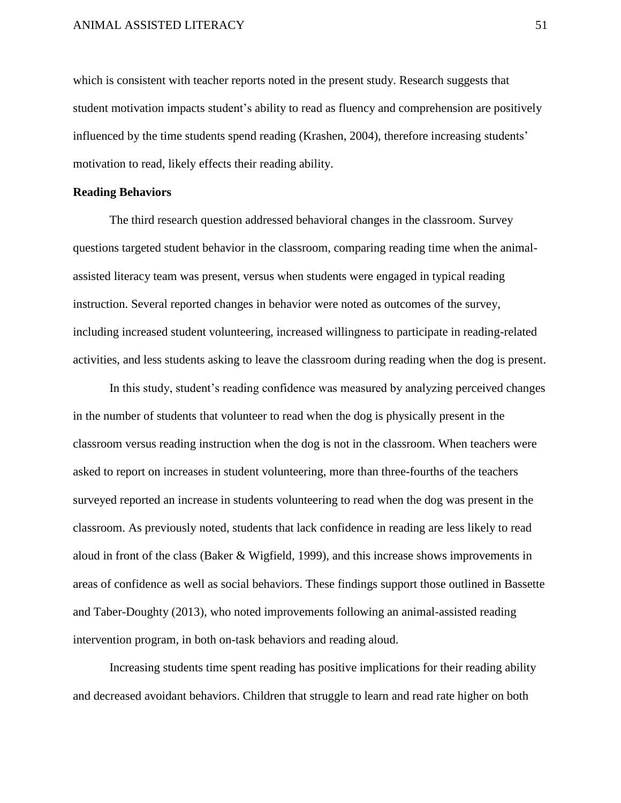which is consistent with teacher reports noted in the present study. Research suggests that student motivation impacts student's ability to read as fluency and comprehension are positively influenced by the time students spend reading (Krashen, 2004), therefore increasing students' motivation to read, likely effects their reading ability.

## **Reading Behaviors**

The third research question addressed behavioral changes in the classroom. Survey questions targeted student behavior in the classroom, comparing reading time when the animalassisted literacy team was present, versus when students were engaged in typical reading instruction. Several reported changes in behavior were noted as outcomes of the survey, including increased student volunteering, increased willingness to participate in reading-related activities, and less students asking to leave the classroom during reading when the dog is present.

In this study, student's reading confidence was measured by analyzing perceived changes in the number of students that volunteer to read when the dog is physically present in the classroom versus reading instruction when the dog is not in the classroom. When teachers were asked to report on increases in student volunteering, more than three-fourths of the teachers surveyed reported an increase in students volunteering to read when the dog was present in the classroom. As previously noted, students that lack confidence in reading are less likely to read aloud in front of the class (Baker & Wigfield, 1999), and this increase shows improvements in areas of confidence as well as social behaviors. These findings support those outlined in Bassette and Taber-Doughty (2013), who noted improvements following an animal-assisted reading intervention program, in both on-task behaviors and reading aloud.

Increasing students time spent reading has positive implications for their reading ability and decreased avoidant behaviors. Children that struggle to learn and read rate higher on both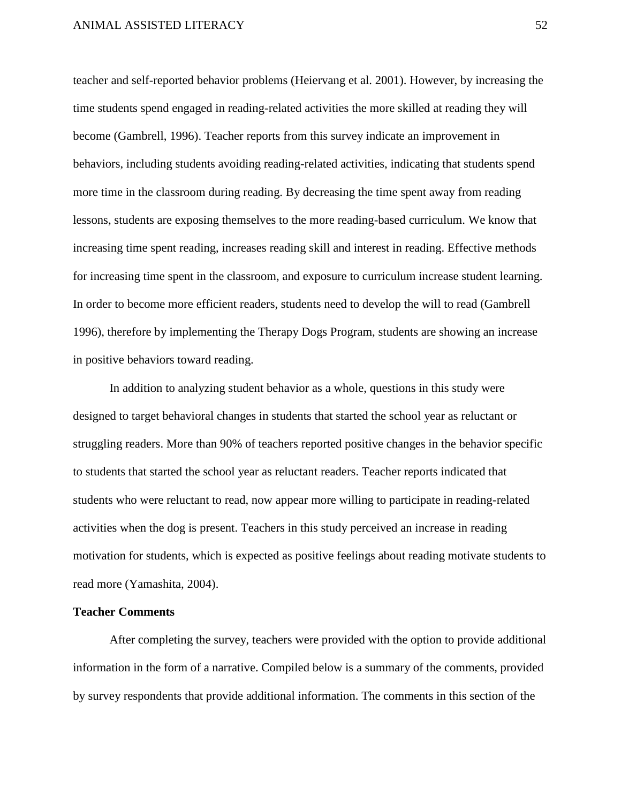teacher and self-reported behavior problems (Heiervang et al. 2001). However, by increasing the time students spend engaged in reading-related activities the more skilled at reading they will become (Gambrell, 1996). Teacher reports from this survey indicate an improvement in behaviors, including students avoiding reading-related activities, indicating that students spend more time in the classroom during reading. By decreasing the time spent away from reading lessons, students are exposing themselves to the more reading-based curriculum. We know that increasing time spent reading, increases reading skill and interest in reading. Effective methods for increasing time spent in the classroom, and exposure to curriculum increase student learning. In order to become more efficient readers, students need to develop the will to read (Gambrell 1996), therefore by implementing the Therapy Dogs Program, students are showing an increase in positive behaviors toward reading.

In addition to analyzing student behavior as a whole, questions in this study were designed to target behavioral changes in students that started the school year as reluctant or struggling readers. More than 90% of teachers reported positive changes in the behavior specific to students that started the school year as reluctant readers. Teacher reports indicated that students who were reluctant to read, now appear more willing to participate in reading-related activities when the dog is present. Teachers in this study perceived an increase in reading motivation for students, which is expected as positive feelings about reading motivate students to read more (Yamashita, 2004).

## **Teacher Comments**

After completing the survey, teachers were provided with the option to provide additional information in the form of a narrative. Compiled below is a summary of the comments, provided by survey respondents that provide additional information. The comments in this section of the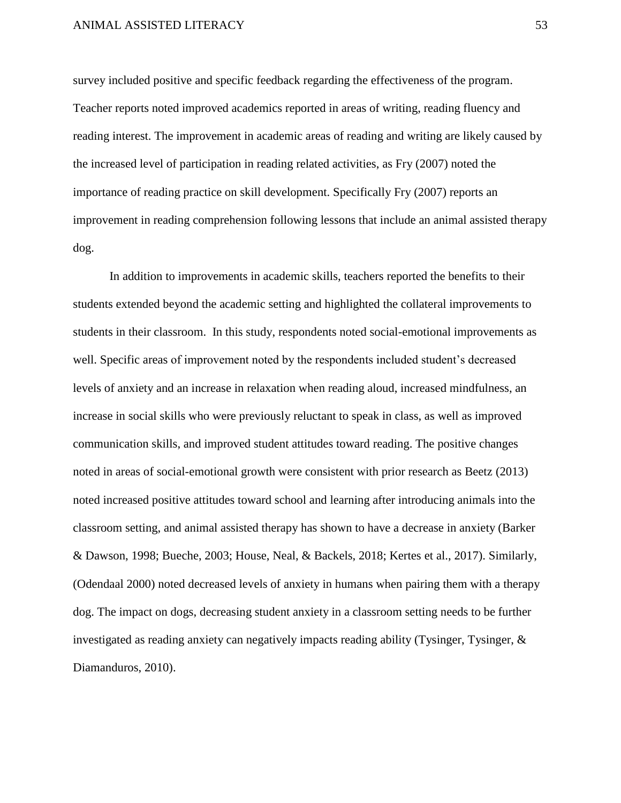survey included positive and specific feedback regarding the effectiveness of the program. Teacher reports noted improved academics reported in areas of writing, reading fluency and reading interest. The improvement in academic areas of reading and writing are likely caused by the increased level of participation in reading related activities, as Fry (2007) noted the importance of reading practice on skill development. Specifically Fry (2007) reports an improvement in reading comprehension following lessons that include an animal assisted therapy dog.

In addition to improvements in academic skills, teachers reported the benefits to their students extended beyond the academic setting and highlighted the collateral improvements to students in their classroom. In this study, respondents noted social-emotional improvements as well. Specific areas of improvement noted by the respondents included student's decreased levels of anxiety and an increase in relaxation when reading aloud, increased mindfulness, an increase in social skills who were previously reluctant to speak in class, as well as improved communication skills, and improved student attitudes toward reading. The positive changes noted in areas of social-emotional growth were consistent with prior research as Beetz (2013) noted increased positive attitudes toward school and learning after introducing animals into the classroom setting, and animal assisted therapy has shown to have a decrease in anxiety (Barker & Dawson, 1998; Bueche, 2003; House, Neal, & Backels, 2018; Kertes et al., 2017). Similarly, (Odendaal 2000) noted decreased levels of anxiety in humans when pairing them with a therapy dog. The impact on dogs, decreasing student anxiety in a classroom setting needs to be further investigated as reading anxiety can negatively impacts reading ability (Tysinger, Tysinger, & Diamanduros, 2010).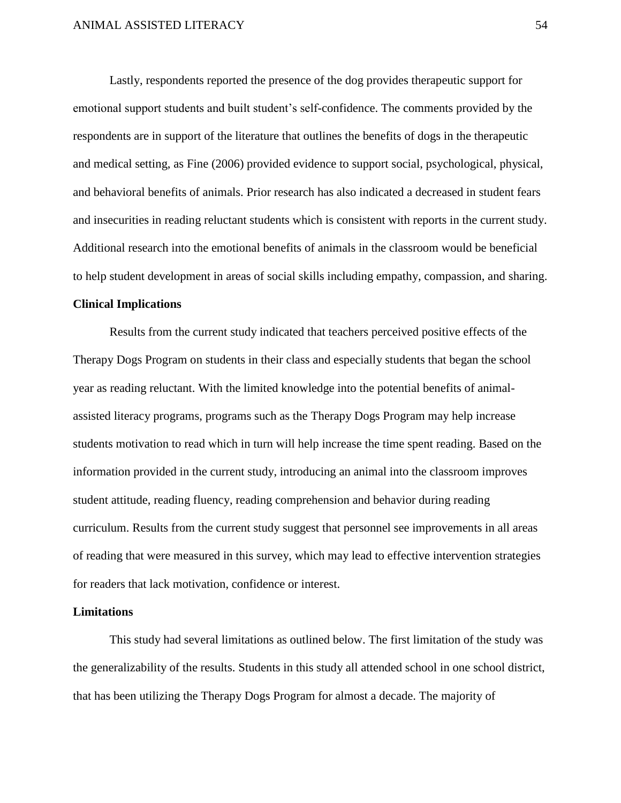Lastly, respondents reported the presence of the dog provides therapeutic support for emotional support students and built student's self-confidence. The comments provided by the respondents are in support of the literature that outlines the benefits of dogs in the therapeutic and medical setting, as Fine (2006) provided evidence to support social, psychological, physical, and behavioral benefits of animals. Prior research has also indicated a decreased in student fears and insecurities in reading reluctant students which is consistent with reports in the current study. Additional research into the emotional benefits of animals in the classroom would be beneficial to help student development in areas of social skills including empathy, compassion, and sharing.

## **Clinical Implications**

Results from the current study indicated that teachers perceived positive effects of the Therapy Dogs Program on students in their class and especially students that began the school year as reading reluctant. With the limited knowledge into the potential benefits of animalassisted literacy programs, programs such as the Therapy Dogs Program may help increase students motivation to read which in turn will help increase the time spent reading. Based on the information provided in the current study, introducing an animal into the classroom improves student attitude, reading fluency, reading comprehension and behavior during reading curriculum. Results from the current study suggest that personnel see improvements in all areas of reading that were measured in this survey, which may lead to effective intervention strategies for readers that lack motivation, confidence or interest.

#### **Limitations**

This study had several limitations as outlined below. The first limitation of the study was the generalizability of the results. Students in this study all attended school in one school district, that has been utilizing the Therapy Dogs Program for almost a decade. The majority of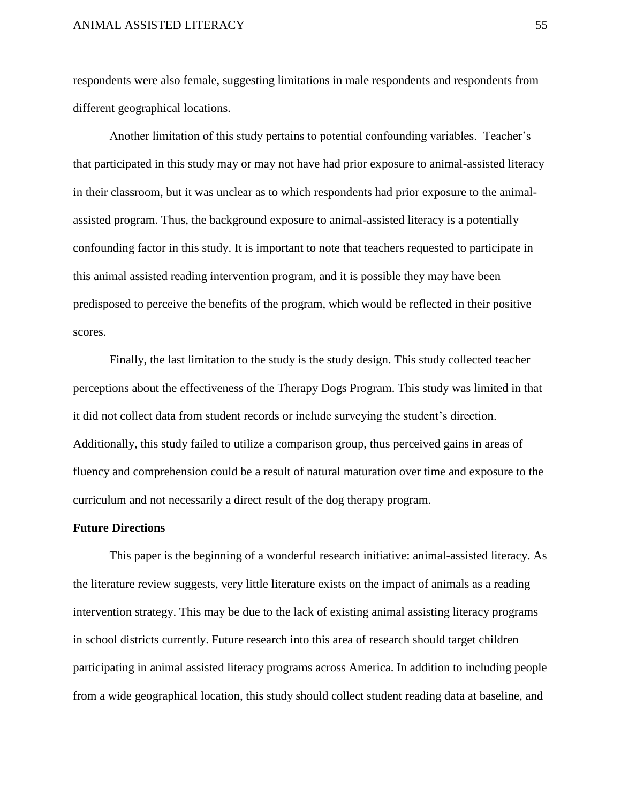respondents were also female, suggesting limitations in male respondents and respondents from different geographical locations.

Another limitation of this study pertains to potential confounding variables. Teacher's that participated in this study may or may not have had prior exposure to animal-assisted literacy in their classroom, but it was unclear as to which respondents had prior exposure to the animalassisted program. Thus, the background exposure to animal-assisted literacy is a potentially confounding factor in this study. It is important to note that teachers requested to participate in this animal assisted reading intervention program, and it is possible they may have been predisposed to perceive the benefits of the program, which would be reflected in their positive scores.

Finally, the last limitation to the study is the study design. This study collected teacher perceptions about the effectiveness of the Therapy Dogs Program. This study was limited in that it did not collect data from student records or include surveying the student's direction. Additionally, this study failed to utilize a comparison group, thus perceived gains in areas of fluency and comprehension could be a result of natural maturation over time and exposure to the curriculum and not necessarily a direct result of the dog therapy program.

#### **Future Directions**

This paper is the beginning of a wonderful research initiative: animal-assisted literacy. As the literature review suggests, very little literature exists on the impact of animals as a reading intervention strategy. This may be due to the lack of existing animal assisting literacy programs in school districts currently. Future research into this area of research should target children participating in animal assisted literacy programs across America. In addition to including people from a wide geographical location, this study should collect student reading data at baseline, and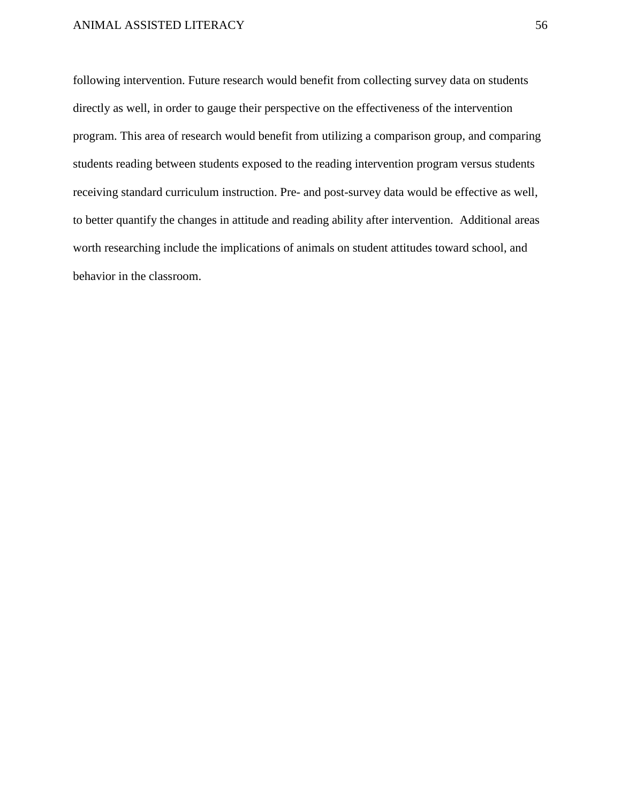following intervention. Future research would benefit from collecting survey data on students directly as well, in order to gauge their perspective on the effectiveness of the intervention program. This area of research would benefit from utilizing a comparison group, and comparing students reading between students exposed to the reading intervention program versus students receiving standard curriculum instruction. Pre- and post-survey data would be effective as well, to better quantify the changes in attitude and reading ability after intervention. Additional areas worth researching include the implications of animals on student attitudes toward school, and behavior in the classroom.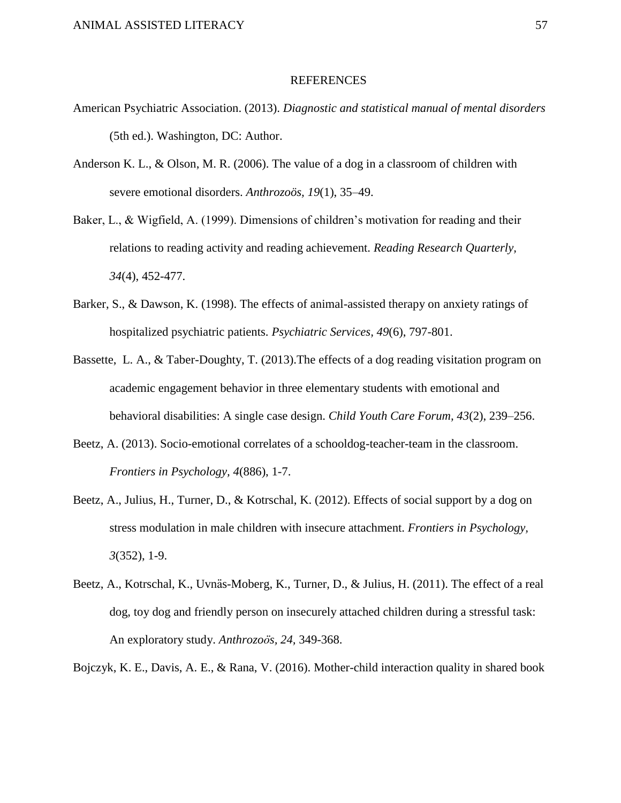#### REFERENCES

- American Psychiatric Association. (2013). *Diagnostic and statistical manual of mental disorders* (5th ed.). Washington, DC: Author.
- Anderson K. L., & Olson, M. R. (2006). The value of a dog in a classroom of children with severe emotional disorders. *Anthrozoös, 19*(1), 35–49.
- Baker, L., & Wigfield, A. (1999). Dimensions of children's motivation for reading and their relations to reading activity and reading achievement. *Reading Research Quarterly, 34*(4), 452-477.
- Barker, S., & Dawson, K. (1998). The effects of animal-assisted therapy on anxiety ratings of hospitalized psychiatric patients. *Psychiatric Services, 49*(6), 797-801.
- Bassette, L. A., & Taber-Doughty, T. (2013).The effects of a dog reading visitation program on academic engagement behavior in three elementary students with emotional and behavioral disabilities: A single case design. *Child Youth Care Forum, 43*(2), 239–256.
- Beetz, A. (2013). Socio-emotional correlates of a schooldog-teacher-team in the classroom. *Frontiers in Psychology, 4*(886), 1-7.
- Beetz, A., Julius, H., Turner, D., & Kotrschal, K. (2012). Effects of social support by a dog on stress modulation in male children with insecure attachment. *Frontiers in Psychology, 3*(352), 1-9.
- Beetz, A., Kotrschal, K., Uvnäs-Moberg, K., Turner, D., & Julius, H. (2011). The effect of a real dog, toy dog and friendly person on insecurely attached children during a stressful task: An exploratory study. *Anthrozoös, 24,* 349-368.

Bojczyk, K. E., Davis, A. E., & Rana, V. (2016). Mother-child interaction quality in shared book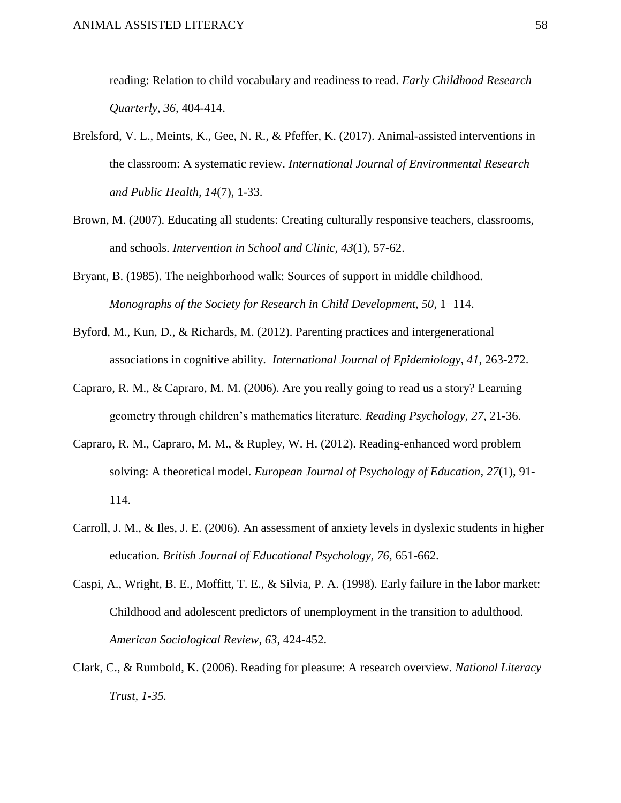reading: Relation to child vocabulary and readiness to read. *Early Childhood Research Quarterly, 36,* 404-414.

- Brelsford, V. L., Meints, K., Gee, N. R., & Pfeffer, K. (2017). Animal-assisted interventions in the classroom: A systematic review. *International Journal of Environmental Research and Public Health, 14*(7), 1-33.
- Brown, M. (2007). Educating all students: Creating culturally responsive teachers, classrooms, and schools. *Intervention in School and Clinic, 43*(1), 57-62.
- Bryant, B. (1985). The neighborhood walk: Sources of support in middle childhood. *Monographs of the Society for Research in Child Development, 50*, 1−114.
- Byford, M., Kun, D., & Richards, M. (2012). Parenting practices and intergenerational associations in cognitive ability. *International Journal of Epidemiology*, *41*, 263-272.
- Capraro, R. M., & Capraro, M. M. (2006). Are you really going to read us a story? Learning geometry through children's mathematics literature. *Reading Psychology*, *27*, 21-36.
- Capraro, R. M., Capraro, M. M., & Rupley, W. H. (2012). Reading-enhanced word problem solving: A theoretical model. *European Journal of Psychology of Education, 27*(1), 91- 114.
- Carroll, J. M., & Iles, J. E. (2006). An assessment of anxiety levels in dyslexic students in higher education. *British Journal of Educational Psychology, 76,* 651-662.
- Caspi, A., Wright, B. E., Moffitt, T. E., & Silvia, P. A. (1998). Early failure in the labor market: Childhood and adolescent predictors of unemployment in the transition to adulthood. *American Sociological Review*, *63*, 424-452.
- Clark, C., & Rumbold, K. (2006). Reading for pleasure: A research overview. *National Literacy Trust, 1-35.*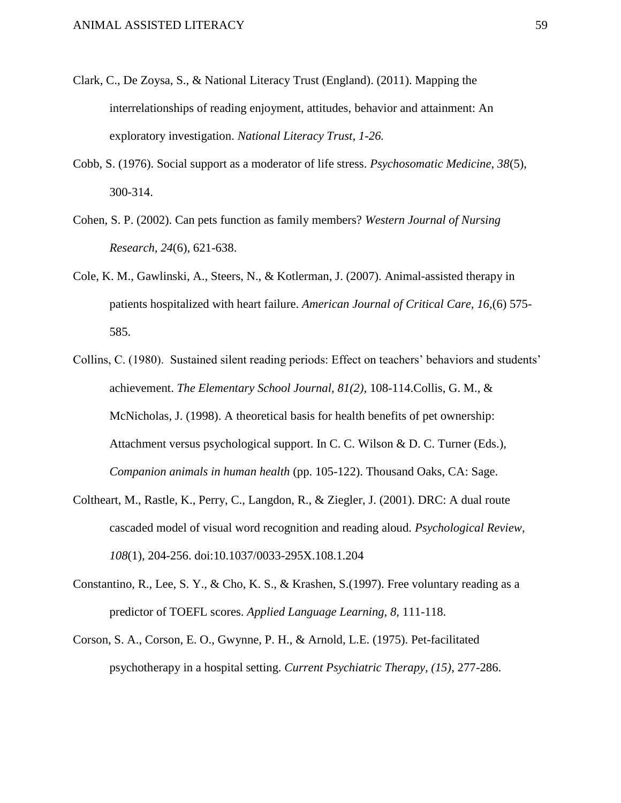- Clark, C., De Zoysa, S., & National Literacy Trust (England). (2011). Mapping the interrelationships of reading enjoyment, attitudes, behavior and attainment: An exploratory investigation. *National Literacy Trust, 1-26.*
- Cobb, S. (1976). Social support as a moderator of life stress. *Psychosomatic Medicine, 38*(5), 300-314.
- Cohen, S. P. (2002). Can pets function as family members? *Western Journal of Nursing Research, 24*(6), 621-638.
- Cole, K. M., Gawlinski, A., Steers, N., & Kotlerman, J. (2007). Animal-assisted therapy in patients hospitalized with heart failure. *American Journal of Critical Care, 16,*(6) 575- 585.
- Collins, C. (1980). Sustained silent reading periods: Effect on teachers' behaviors and students' achievement. *The Elementary School Journal, 81(2),* 108-114.Collis, G. M., & McNicholas, J. (1998). A theoretical basis for health benefits of pet ownership: Attachment versus psychological support. In C. C. Wilson & D. C. Turner (Eds.), *Companion animals in human health* (pp. 105-122). Thousand Oaks, CA: Sage.
- Coltheart, M., Rastle, K., Perry, C., Langdon, R., & Ziegler, J. (2001). DRC: A dual route cascaded model of visual word recognition and reading aloud. *Psychological Review*, *108*(1), 204-256. doi:10.1037/0033-295X.108.1.204
- Constantino, R., Lee, S. Y., & Cho, K. S., & Krashen, S.(1997). Free voluntary reading as a predictor of TOEFL scores. *Applied Language Learning, 8,* 111-118.
- Corson, S. A., Corson, E. O., Gwynne, P. H., & Arnold, L.E. (1975). Pet-facilitated psychotherapy in a hospital setting. *Current Psychiatric Therapy, (15),* 277-286.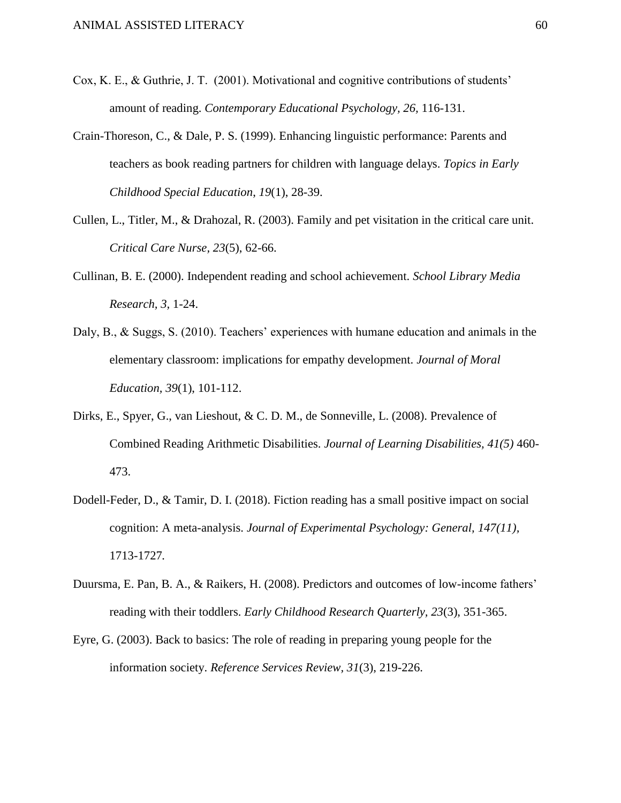- Cox, K. E., & Guthrie, J. T. (2001). Motivational and cognitive contributions of students' amount of reading. *Contemporary Educational Psychology, 26,* 116-131.
- Crain-Thoreson, C., & Dale, P. S. (1999). Enhancing linguistic performance: Parents and teachers as book reading partners for children with language delays. *Topics in Early Childhood Special Education*, *19*(1), 28-39.
- Cullen, L., Titler, M., & Drahozal, R. (2003). Family and pet visitation in the critical care unit. *Critical Care Nurse, 23*(5), 62-66.
- Cullinan, B. E. (2000). Independent reading and school achievement. *School Library Media Research, 3,* 1-24.
- Daly, B., & Suggs, S. (2010). Teachers' experiences with humane education and animals in the elementary classroom: implications for empathy development. *Journal of Moral Education, 39*(1), 101-112.
- Dirks, E., Spyer, G., van Lieshout, & C. D. M., de Sonneville, L. (2008). Prevalence of Combined Reading Arithmetic Disabilities. *Journal of Learning Disabilities, 41(5)* 460- 473.
- Dodell-Feder, D., & Tamir, D. I. (2018). Fiction reading has a small positive impact on social cognition: A meta-analysis. *Journal of Experimental Psychology: General, 147(11),*  1713-1727*.*
- Duursma, E. Pan, B. A., & Raikers, H. (2008). Predictors and outcomes of low-income fathers' reading with their toddlers. *Early Childhood Research Quarterly, 23*(3), 351-365.
- Eyre, G. (2003). Back to basics: The role of reading in preparing young people for the information society. *Reference Services Review, 31*(3), 219-226.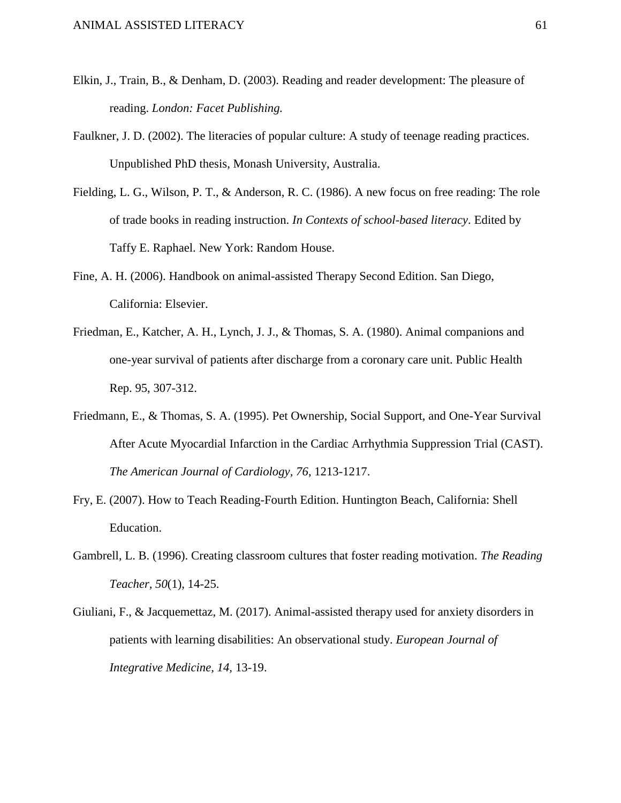- Elkin, J., Train, B., & Denham, D. (2003). Reading and reader development: The pleasure of reading. *London: Facet Publishing.*
- Faulkner, J. D. (2002). The literacies of popular culture: A study of teenage reading practices. Unpublished PhD thesis, Monash University, Australia.
- Fielding, L. G., Wilson, P. T., & Anderson, R. C. (1986). A new focus on free reading: The role of trade books in reading instruction. *In Contexts of school-based literacy*. Edited by Taffy E. Raphael. New York: Random House.
- Fine, A. H. (2006). Handbook on animal-assisted Therapy Second Edition. San Diego, California: Elsevier.
- Friedman, E., Katcher, A. H., Lynch, J. J., & Thomas, S. A. (1980). Animal companions and one-year survival of patients after discharge from a coronary care unit. Public Health Rep. 95, 307-312.
- Friedmann, E., & Thomas, S. A. (1995). Pet Ownership, Social Support, and One-Year Survival After Acute Myocardial Infarction in the Cardiac Arrhythmia Suppression Trial (CAST). *The American Journal of Cardiology, 76*, 1213-1217.
- Fry, E. (2007). How to Teach Reading-Fourth Edition. Huntington Beach, California: Shell Education.
- Gambrell, L. B. (1996). Creating classroom cultures that foster reading motivation. *The Reading Teacher, 50*(1), 14-25.
- Giuliani, F., & Jacquemettaz, M. (2017). Animal-assisted therapy used for anxiety disorders in patients with learning disabilities: An observational study. *European Journal of Integrative Medicine, 14,* 13-19.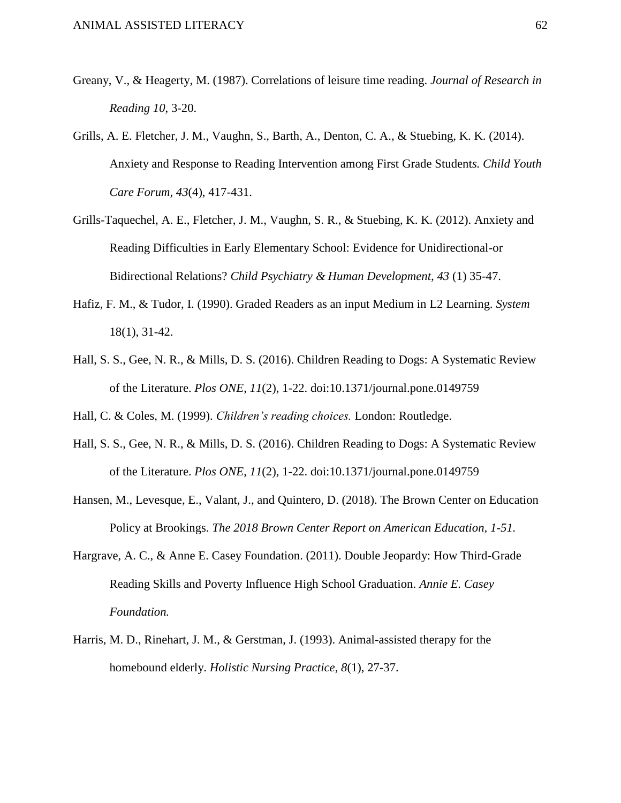- Greany, V., & Heagerty, M. (1987). Correlations of leisure time reading. *Journal of Research in Reading 10*, 3-20.
- Grills, A. E. Fletcher, J. M., Vaughn, S., Barth, A., Denton, C. A., & Stuebing, K. K. (2014). Anxiety and Response to Reading Intervention among First Grade Student*s. Child Youth Care Forum, 43*(4), 417-431.
- Grills-Taquechel, A. E., Fletcher, J. M., Vaughn, S. R., & Stuebing, K. K. (2012). Anxiety and Reading Difficulties in Early Elementary School: Evidence for Unidirectional-or Bidirectional Relations? *Child Psychiatry & Human Development, 43* (1) 35-47.
- Hafiz, F. M., & Tudor, I. (1990). Graded Readers as an input Medium in L2 Learning. *System* 18(1), 31-42.
- Hall, S. S., Gee, N. R., & Mills, D. S. (2016). Children Reading to Dogs: A Systematic Review of the Literature. *Plos ONE*, *11*(2), 1-22. doi:10.1371/journal.pone.0149759

Hall, C. & Coles, M. (1999). *Children's reading choices.* London: Routledge.

- Hall, S. S., Gee, N. R., & Mills, D. S. (2016). Children Reading to Dogs: A Systematic Review of the Literature. *Plos ONE*, *11*(2), 1-22. doi:10.1371/journal.pone.0149759
- Hansen, M., Levesque, E., Valant, J., and Quintero, D. (2018). The Brown Center on Education Policy at Brookings. *The 2018 Brown Center Report on American Education, 1-51.*
- Hargrave, A. C., & Anne E. Casey Foundation. (2011). Double Jeopardy: How Third-Grade Reading Skills and Poverty Influence High School Graduation. *Annie E. Casey Foundation.*
- Harris, M. D., Rinehart, J. M., & Gerstman, J. (1993). Animal-assisted therapy for the homebound elderly. *Holistic Nursing Practice*, *8*(1), 27-37.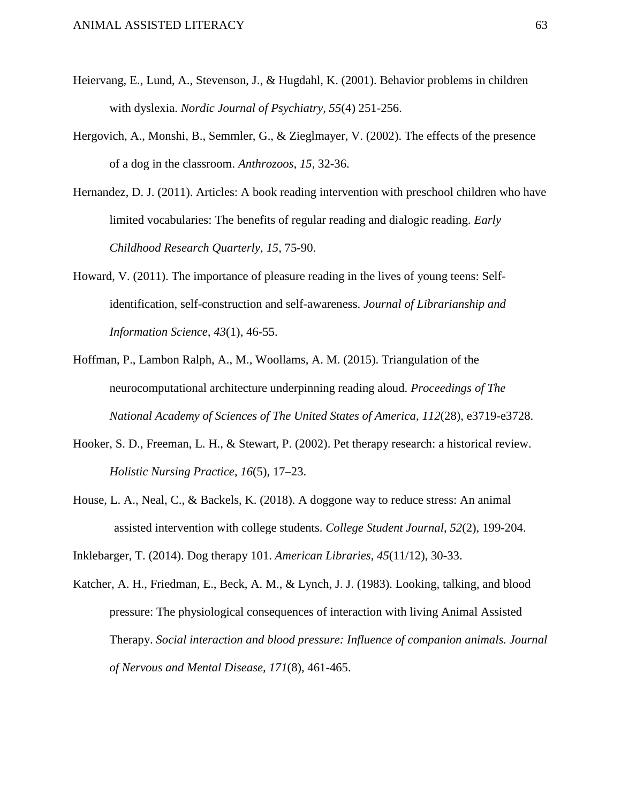- Heiervang, E., Lund, A., Stevenson, J., & Hugdahl, K. (2001). Behavior problems in children with dyslexia. *Nordic Journal of Psychiatry, 55*(4) 251-256.
- Hergovich, A., Monshi, B., Semmler, G., & Zieglmayer, V. (2002). The effects of the presence of a dog in the classroom. *Anthrozoos, 15*, 32-36.
- Hernandez, D. J. (2011). Articles: A book reading intervention with preschool children who have limited vocabularies: The benefits of regular reading and dialogic reading. *Early Childhood Research Quarterly*, *15*, 75-90.
- Howard, V. (2011). The importance of pleasure reading in the lives of young teens: Selfidentification, self-construction and self-awareness. *Journal of Librarianship and Information Science, 43*(1), 46-55.
- Hoffman, P., Lambon Ralph, A., M., Woollams, A. M. (2015). Triangulation of the neurocomputational architecture underpinning reading aloud. *Proceedings of The National Academy of Sciences of The United States of America*, *112*(28), e3719-e3728.
- Hooker, S. D., Freeman, L. H., & Stewart, P. (2002). Pet therapy research: a historical review. *Holistic Nursing Practice*, *16*(5), 17–23.
- House, L. A., Neal, C., & Backels, K. (2018). A doggone way to reduce stress: An animal assisted intervention with college students. *College Student Journal*, *52*(2), 199-204.
- Inklebarger, T. (2014). Dog therapy 101. *American Libraries*, *45*(11/12), 30-33.
- Katcher, A. H., Friedman, E., Beck, A. M., & Lynch, J. J. (1983). Looking, talking, and blood pressure: The physiological consequences of interaction with living Animal Assisted Therapy. *Social interaction and blood pressure: Influence of companion animals. Journal of Nervous and Mental Disease, 171*(8), 461-465.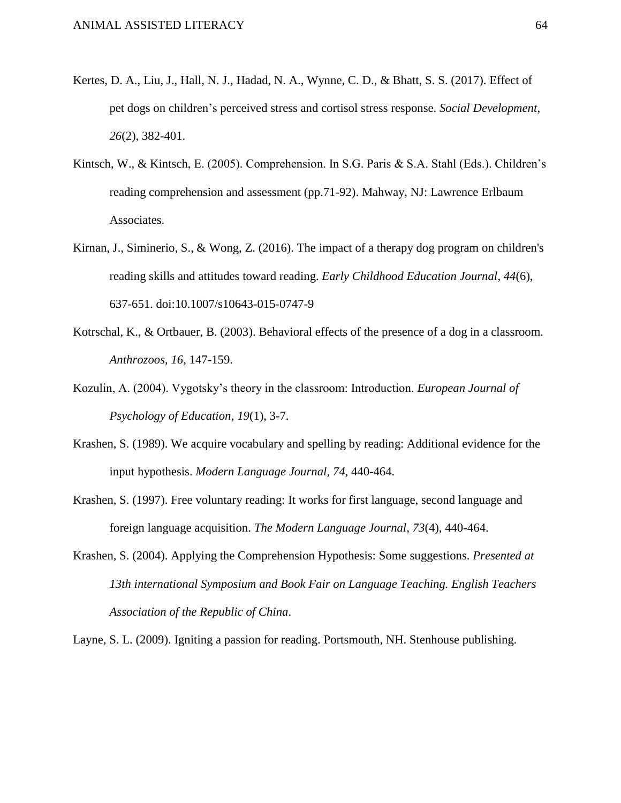- Kertes, D. A., Liu, J., Hall, N. J., Hadad, N. A., Wynne, C. D., & Bhatt, S. S. (2017). Effect of pet dogs on children's perceived stress and cortisol stress response. *Social Development*, *26*(2), 382-401.
- Kintsch, W., & Kintsch, E. (2005). Comprehension. In S.G. Paris & S.A. Stahl (Eds.). Children's reading comprehension and assessment (pp.71-92). Mahway, NJ: Lawrence Erlbaum Associates.
- Kirnan, J., Siminerio, S., & Wong, Z. (2016). The impact of a therapy dog program on children's reading skills and attitudes toward reading. *Early Childhood Education Journal*, *44*(6), 637-651. doi:10.1007/s10643-015-0747-9
- Kotrschal, K., & Ortbauer, B. (2003). Behavioral effects of the presence of a dog in a classroom. *Anthrozoos, 16*, 147-159.
- Kozulin, A. (2004). Vygotsky's theory in the classroom: Introduction. *European Journal of Psychology of Education*, *19*(1), 3-7.
- Krashen, S. (1989). We acquire vocabulary and spelling by reading: Additional evidence for the input hypothesis. *Modern Language Journal, 74*, 440-464.
- Krashen, S. (1997). Free voluntary reading: It works for first language, second language and foreign language acquisition. *The Modern Language Journal, 73*(4), 440-464.
- Krashen, S. (2004). Applying the Comprehension Hypothesis: Some suggestions. *Presented at 13th international Symposium and Book Fair on Language Teaching. English Teachers Association of the Republic of China*.

Layne, S. L. (2009). Igniting a passion for reading. Portsmouth, NH. Stenhouse publishing.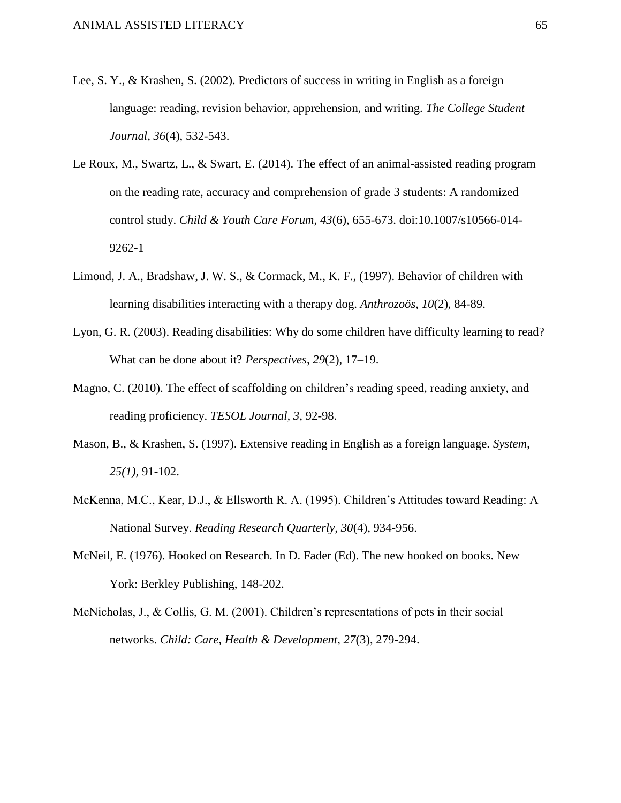- Lee, S. Y., & Krashen, S. (2002). Predictors of success in writing in English as a foreign language: reading, revision behavior, apprehension, and writing. *The College Student Journal, 36*(4), 532-543.
- Le Roux, M., Swartz, L., & Swart, E. (2014). The effect of an animal-assisted reading program on the reading rate, accuracy and comprehension of grade 3 students: A randomized control study. *Child & Youth Care Forum*, *43*(6), 655-673. doi:10.1007/s10566-014- 9262-1
- Limond, J. A., Bradshaw, J. W. S., & Cormack, M., K. F., (1997). Behavior of children with learning disabilities interacting with a therapy dog. *Anthrozoös, 10*(2), 84-89.
- Lyon, G. R. (2003). Reading disabilities: Why do some children have difficulty learning to read? What can be done about it? *Perspectives*, *29*(2), 17–19.
- Magno, C. (2010). The effect of scaffolding on children's reading speed, reading anxiety, and reading proficiency. *TESOL Journal, 3,* 92-98.
- Mason, B., & Krashen, S. (1997). Extensive reading in English as a foreign language. *System*, *25(1),* 91-102.
- McKenna, M.C., Kear, D.J., & Ellsworth R. A. (1995). Children's Attitudes toward Reading: A National Survey. *Reading Research Quarterly, 30*(4), 934-956.
- McNeil, E. (1976). Hooked on Research. In D. Fader (Ed). The new hooked on books. New York: Berkley Publishing, 148-202.
- McNicholas, J., & Collis, G. M. (2001). Children's representations of pets in their social networks. *Child: Care, Health & Development, 27*(3), 279-294.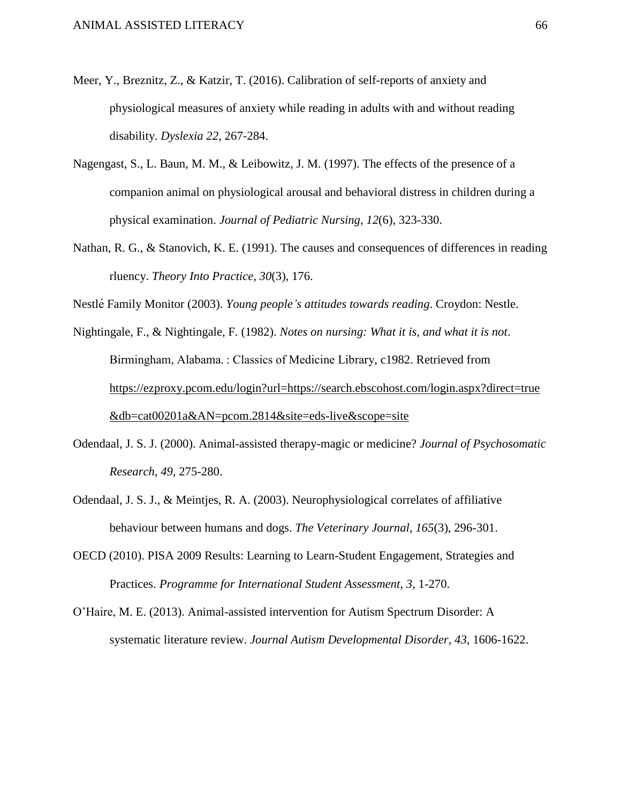- Meer, Y., Breznitz, Z., & Katzir, T. (2016). Calibration of self-reports of anxiety and physiological measures of anxiety while reading in adults with and without reading disability. *Dyslexia 22*, 267-284.
- Nagengast, S., L. Baun, M. M., & Leibowitz, J. M. (1997). The effects of the presence of a companion animal on physiological arousal and behavioral distress in children during a physical examination. *Journal of Pediatric Nursing*, *12*(6), 323-330.
- Nathan, R. G., & Stanovich, K. E. (1991). The causes and consequences of differences in reading rluency. *Theory Into Practice*, *30*(3), 176.

Nestlé Family Monitor (2003). *Young people's attitudes towards reading*. Croydon: Nestle.

Nightingale, F., & Nightingale, F. (1982). *Notes on nursing: What it is, and what it is not*. Birmingham, Alabama. : Classics of Medicine Library, c1982. Retrieved from [https://ezproxy.pcom.edu/login?url=https://search.ebscohost.com/login.aspx?direct=true](https://ezproxy.pcom.edu/login?url=https://search.ebscohost.com/login.aspx?direct=true&db=cat00201a&AN=pcom.2814&site=eds-live&scope=site) [&db=cat00201a&AN=pcom.2814&site=eds-live&scope=site](https://ezproxy.pcom.edu/login?url=https://search.ebscohost.com/login.aspx?direct=true&db=cat00201a&AN=pcom.2814&site=eds-live&scope=site)

- Odendaal, J. S. J. (2000). Animal-assisted therapy-magic or medicine? *Journal of Psychosomatic Research, 49*, 275-280.
- Odendaal, J. S. J., & Meintjes, R. A. (2003). Neurophysiological correlates of affiliative behaviour between humans and dogs. *The Veterinary Journal, 165*(3), 296-301.
- OECD (2010). PISA 2009 Results: Learning to Learn-Student Engagement, Strategies and Practices. *Programme for International Student Assessment, 3,* 1-270.
- O'Haire, M. E. (2013). Animal-assisted intervention for Autism Spectrum Disorder: A systematic literature review. *Journal Autism Developmental Disorder, 43*, 1606-1622.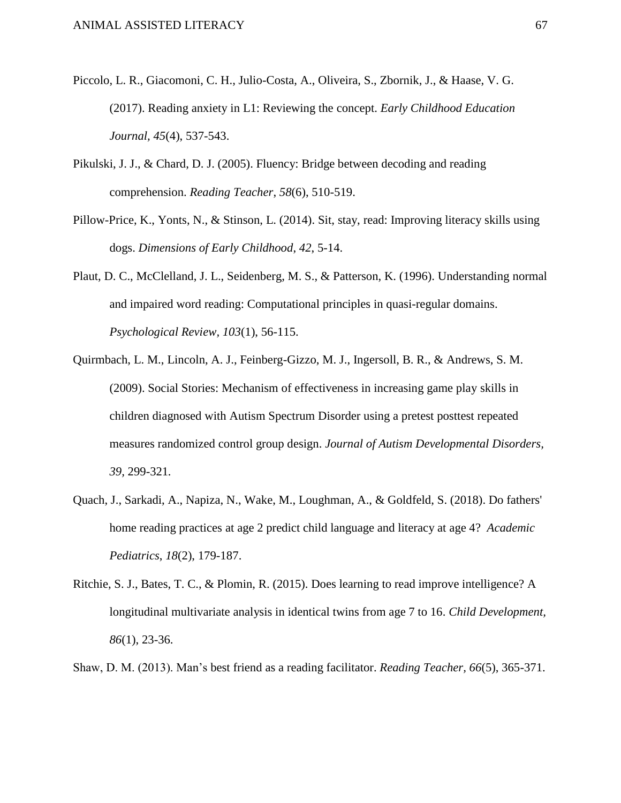- Piccolo, L. R., Giacomoni, C. H., Julio-Costa, A., Oliveira, S., Zbornik, J., & Haase, V. G. (2017). Reading anxiety in L1: Reviewing the concept. *Early Childhood Education Journal, 45*(4), 537-543.
- Pikulski, J. J., & Chard, D. J. (2005). Fluency: Bridge between decoding and reading comprehension. *Reading Teacher*, *58*(6), 510-519.
- Pillow-Price, K., Yonts, N., & Stinson, L. (2014). Sit, stay, read: Improving literacy skills using dogs. *Dimensions of Early Childhood*, *42*, 5-14.
- Plaut, D. C., McClelland, J. L., Seidenberg, M. S., & Patterson, K. (1996). Understanding normal and impaired word reading: Computational principles in quasi-regular domains. *Psychological Review, 103*(1), 56-115.
- Quirmbach, L. M., Lincoln, A. J., Feinberg-Gizzo, M. J., Ingersoll, B. R., & Andrews, S. M. (2009). Social Stories: Mechanism of effectiveness in increasing game play skills in children diagnosed with Autism Spectrum Disorder using a pretest posttest repeated measures randomized control group design. *Journal of Autism Developmental Disorders, 39,* 299-321*.*
- Quach, J., Sarkadi, A., Napiza, N., Wake, M., Loughman, A., & Goldfeld, S. (2018). Do fathers' home reading practices at age 2 predict child language and literacy at age 4? *Academic Pediatrics*, *18*(2), 179-187.
- Ritchie, S. J., Bates, T. C., & Plomin, R. (2015). Does learning to read improve intelligence? A longitudinal multivariate analysis in identical twins from age 7 to 16. *Child Development, 86*(1), 23-36.
- Shaw, D. M. (2013). Man's best friend as a reading facilitator. *Reading Teacher, 66*(5), 365-371.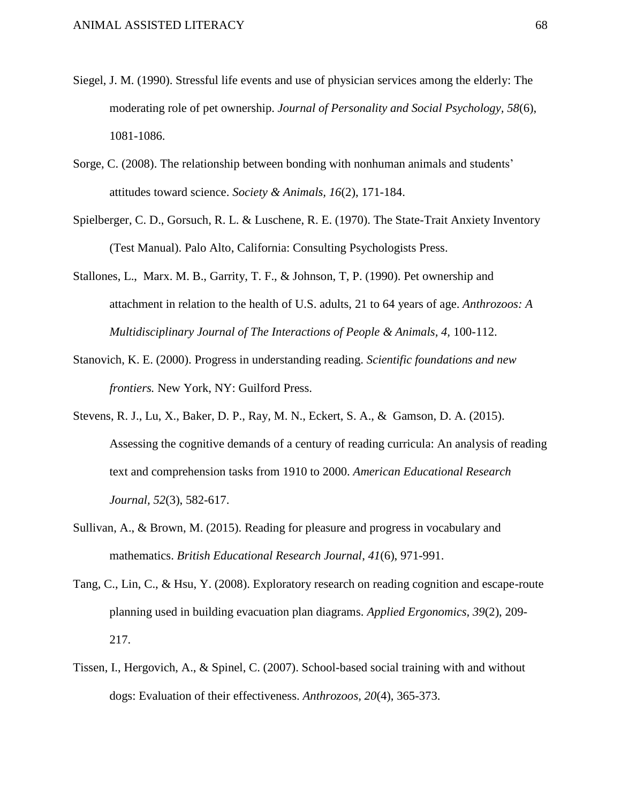- Siegel, J. M. (1990). Stressful life events and use of physician services among the elderly: The moderating role of pet ownership. *Journal of Personality and Social Psychology, 58*(6), 1081-1086.
- Sorge, C. (2008). The relationship between bonding with nonhuman animals and students' attitudes toward science. *Society & Animals, 16*(2), 171-184.
- Spielberger, C. D., Gorsuch, R. L. & Luschene, R. E. (1970). The State-Trait Anxiety Inventory (Test Manual). Palo Alto, California: Consulting Psychologists Press.
- Stallones, L., Marx. M. B., Garrity, T. F., & Johnson, T, P. (1990). Pet ownership and attachment in relation to the health of U.S. adults, 21 to 64 years of age. *Anthrozoos: A Multidisciplinary Journal of The Interactions of People & Animals, 4,* 100-112.
- Stanovich, K. E. (2000). Progress in understanding reading. *Scientific foundations and new frontiers.* New York, NY: Guilford Press.
- Stevens, R. J., Lu, X., Baker, D. P., Ray, M. N., Eckert, S. A., & Gamson, D. A. (2015). Assessing the cognitive demands of a century of reading curricula: An analysis of reading text and comprehension tasks from 1910 to 2000. *American Educational Research Journal, 52*(3), 582-617.
- Sullivan, A., & Brown, M. (2015). Reading for pleasure and progress in vocabulary and mathematics. *British Educational Research Journal*, *41*(6), 971-991.
- Tang, C., Lin, C., & Hsu, Y. (2008). Exploratory research on reading cognition and escape-route planning used in building evacuation plan diagrams. *Applied Ergonomics, 39*(2), 209- 217.
- Tissen, I., Hergovich, A., & Spinel, C. (2007). School-based social training with and without dogs: Evaluation of their effectiveness. *Anthrozoos, 20*(4), 365-373.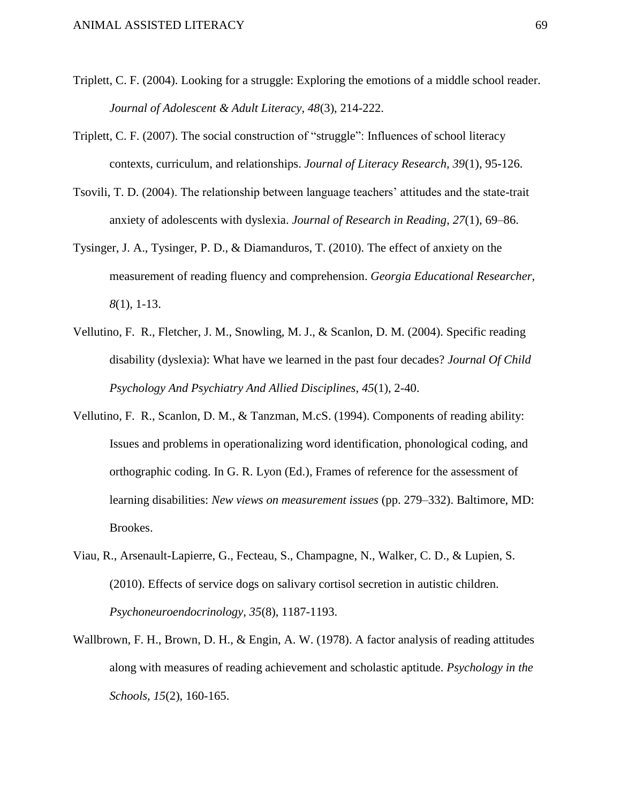- Triplett, C. F. (2004). Looking for a struggle: Exploring the emotions of a middle school reader. *Journal of Adolescent & Adult Literacy, 48*(3), 214-222.
- Triplett, C. F. (2007). The social construction of "struggle": Influences of school literacy contexts, curriculum, and relationships. *Journal of Literacy Research, 39*(1), 95-126.
- Tsovili, T. D. (2004). The relationship between language teachers' attitudes and the state-trait anxiety of adolescents with dyslexia. *Journal of Research in Reading*, *27*(1), 69–86.
- Tysinger, J. A., Tysinger, P. D., & Diamanduros, T. (2010). The effect of anxiety on the measurement of reading fluency and comprehension. *Georgia Educational Researcher, 8*(1), 1-13.
- Vellutino, F. R., Fletcher, J. M., Snowling, M. J., & Scanlon, D. M. (2004). Specific reading disability (dyslexia): What have we learned in the past four decades? *Journal Of Child Psychology And Psychiatry And Allied Disciplines*, *45*(1), 2-40.
- Vellutino, F. R., Scanlon, D. M., & Tanzman, M.cS. (1994). Components of reading ability: Issues and problems in operationalizing word identification, phonological coding, and orthographic coding. In G. R. Lyon (Ed.), Frames of reference for the assessment of learning disabilities: *New views on measurement issues* (pp. 279–332). Baltimore, MD: Brookes.
- Viau, R., Arsenault-Lapierre, G., Fecteau, S., Champagne, N., Walker, C. D., & Lupien, S. (2010). Effects of service dogs on salivary cortisol secretion in autistic children. *Psychoneuroendocrinology, 35*(8), 1187-1193.
- Wallbrown, F. H., Brown, D. H., & Engin, A. W. (1978). A factor analysis of reading attitudes along with measures of reading achievement and scholastic aptitude. *Psychology in the Schools, 15*(2), 160-165.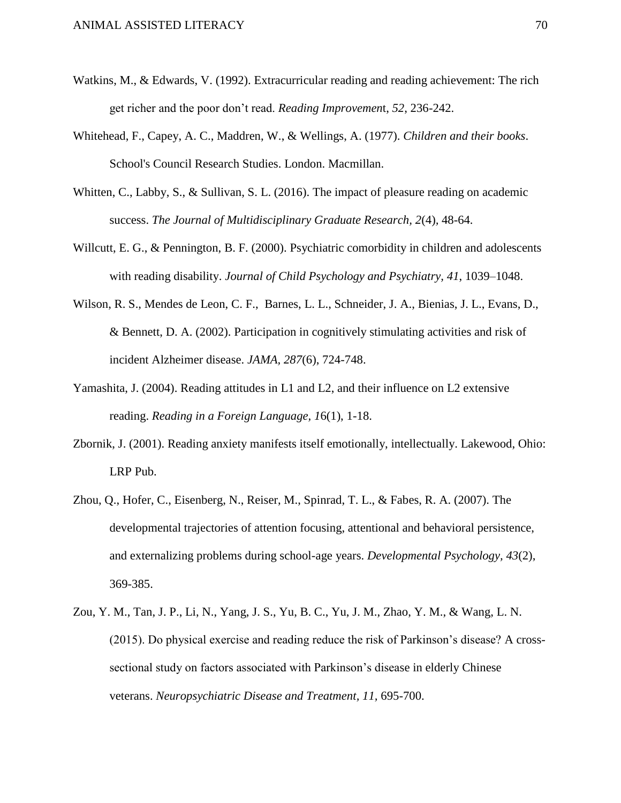- Watkins, M., & Edwards, V. (1992). Extracurricular reading and reading achievement: The rich get richer and the poor don't read. *Reading Improvemen*t, *52*, 236-242.
- Whitehead, F., Capey, A. C., Maddren, W., & Wellings, A. (1977). *Children and their books*. School's Council Research Studies. London. Macmillan.
- Whitten, C., Labby, S., & Sullivan, S. L. (2016). The impact of pleasure reading on academic success. *The Journal of Multidisciplinary Graduate Research, 2*(4)*,* 48-64*.*
- Willcutt, E. G., & Pennington, B. F. (2000). Psychiatric comorbidity in children and adolescents with reading disability. *Journal of Child Psychology and Psychiatry, 41*, 1039–1048.
- Wilson, R. S., Mendes de Leon, C. F., Barnes, L. L., Schneider, J. A., Bienias, J. L., Evans, D., & Bennett, D. A. (2002). Participation in cognitively stimulating activities and risk of incident Alzheimer disease. *JAMA, 287*(6), 724-748.
- Yamashita, J. (2004). Reading attitudes in L1 and L2, and their influence on L2 extensive reading. *Reading in a Foreign Language, 1*6(1), 1-18.
- Zbornik, J. (2001). Reading anxiety manifests itself emotionally, intellectually. Lakewood, Ohio: LRP Pub.
- Zhou, Q., Hofer, C., Eisenberg, N., Reiser, M., Spinrad, T. L., & Fabes, R. A. (2007). The developmental trajectories of attention focusing, attentional and behavioral persistence, and externalizing problems during school-age years. *Developmental Psychology, 43*(2), 369-385.
- Zou, Y. M., Tan, J. P., Li, N., Yang, J. S., Yu, B. C., Yu, J. M., Zhao, Y. M., & Wang, L. N. (2015). Do physical exercise and reading reduce the risk of Parkinson's disease? A crosssectional study on factors associated with Parkinson's disease in elderly Chinese veterans. *Neuropsychiatric Disease and Treatment, 11,* 695-700.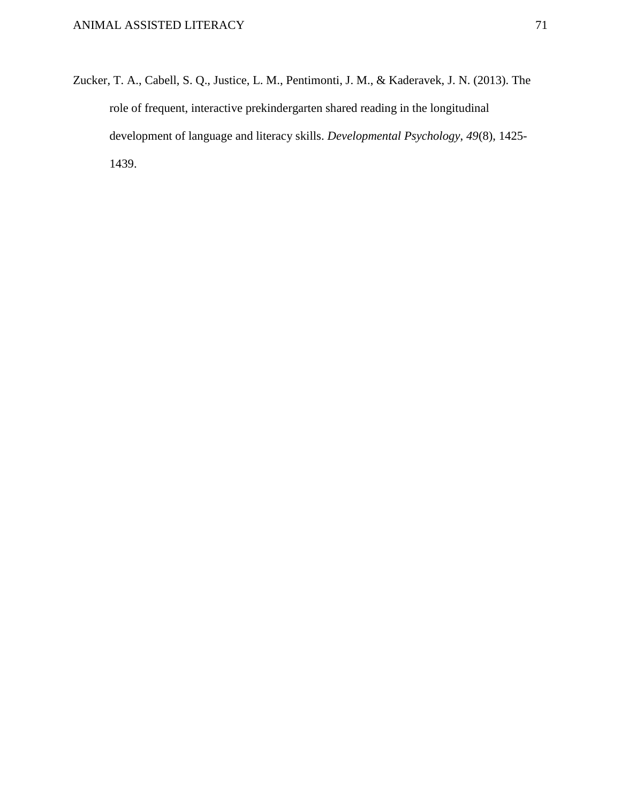Zucker, T. A., Cabell, S. Q., Justice, L. M., Pentimonti, J. M., & Kaderavek, J. N. (2013). The role of frequent, interactive prekindergarten shared reading in the longitudinal development of language and literacy skills. *Developmental Psychology*, *49*(8), 1425- 1439.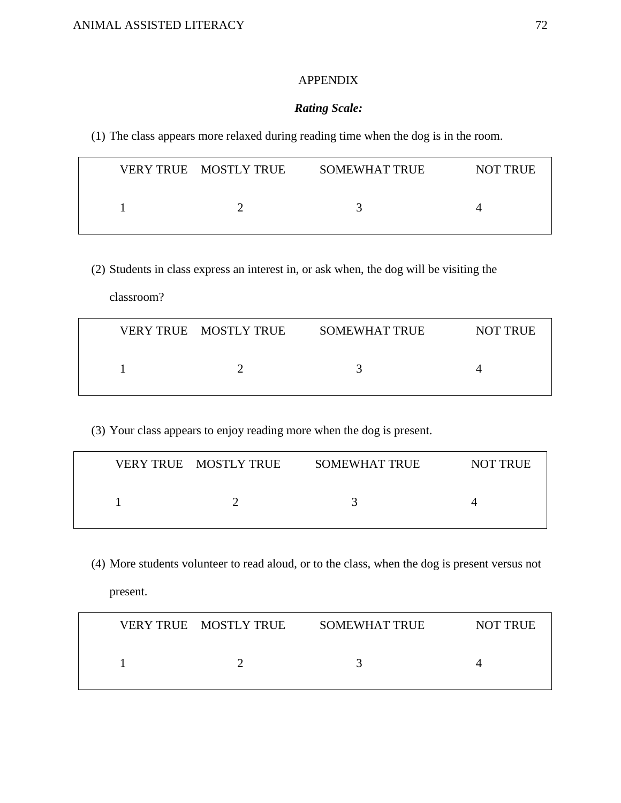## APPENDIX

## *Rating Scale:*

(1) The class appears more relaxed during reading time when the dog is in the room.

| VERY TRUE MOSTLY TRUE | <b>SOMEWHAT TRUE</b> | <b>NOT TRUE</b> |
|-----------------------|----------------------|-----------------|
|                       |                      |                 |

(2) Students in class express an interest in, or ask when, the dog will be visiting the

classroom?

|  | VERY TRUE MOSTLY TRUE | <b>SOMEWHAT TRUE</b> | <b>NOT TRUE</b> |
|--|-----------------------|----------------------|-----------------|
|  |                       |                      |                 |

(3) Your class appears to enjoy reading more when the dog is present.

| VERY TRUE MOSTLY TRUE | <b>SOMEWHAT TRUE</b> | <b>NOT TRUE</b> |
|-----------------------|----------------------|-----------------|
|                       |                      |                 |

(4) More students volunteer to read aloud, or to the class, when the dog is present versus not

present.

| VERY TRUE MOSTLY TRUE | <b>SOMEWHAT TRUE</b> | NOT TRUE |
|-----------------------|----------------------|----------|
|                       |                      |          |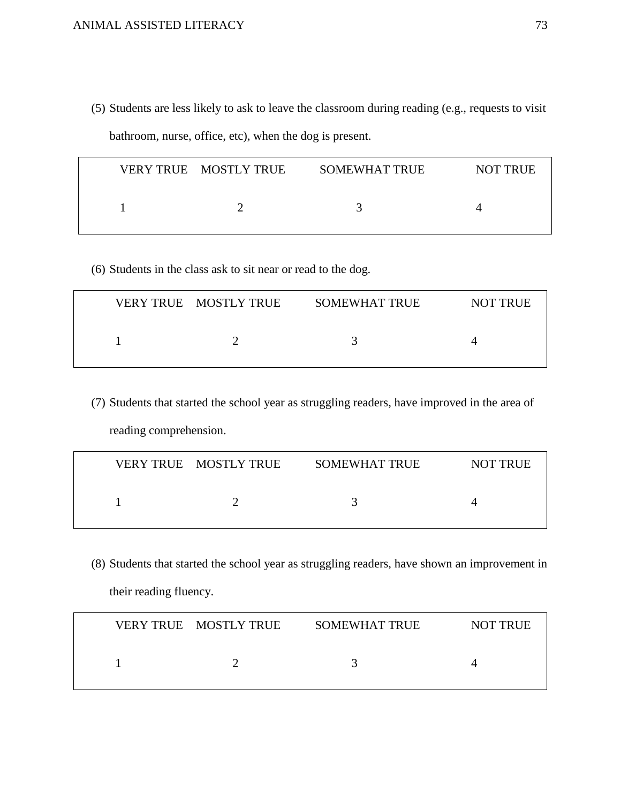(5) Students are less likely to ask to leave the classroom during reading (e.g., requests to visit bathroom, nurse, office, etc), when the dog is present.

| VERY TRUE MOSTLY TRUE | <b>SOMEWHAT TRUE</b> | <b>NOT TRUE</b> |
|-----------------------|----------------------|-----------------|
|                       |                      |                 |

(6) Students in the class ask to sit near or read to the dog.

| VERY TRUE MOSTLY TRUE | <b>SOMEWHAT TRUE</b> | <b>NOT TRUE</b> |
|-----------------------|----------------------|-----------------|
|                       |                      |                 |

(7) Students that started the school year as struggling readers, have improved in the area of reading comprehension.

| VERY TRUE MOSTLY TRUE | <b>SOMEWHAT TRUE</b> | <b>NOT TRUE</b> |
|-----------------------|----------------------|-----------------|
|                       |                      |                 |

(8) Students that started the school year as struggling readers, have shown an improvement in their reading fluency.

| VERY TRUE MOSTLY TRUE | <b>SOMEWHAT TRUE</b> | <b>NOT TRUE</b> |
|-----------------------|----------------------|-----------------|
|                       |                      |                 |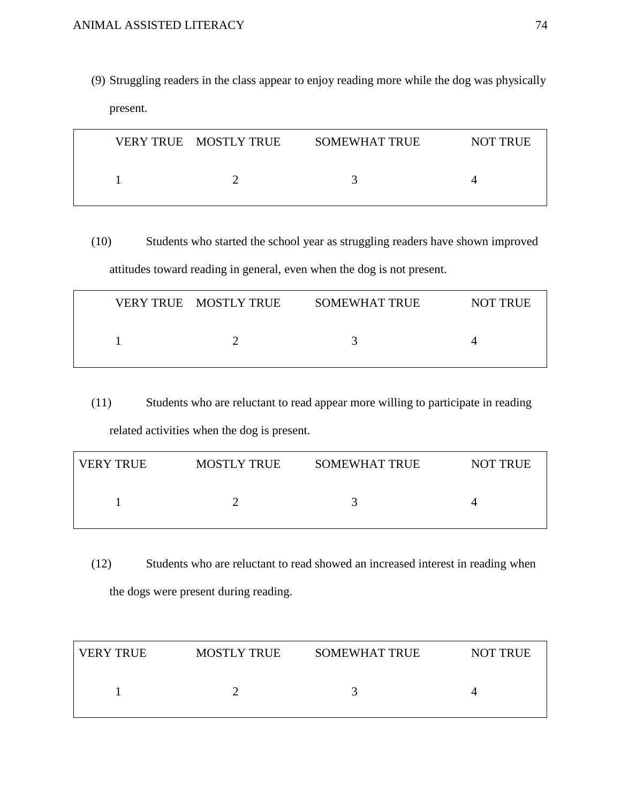(9) Struggling readers in the class appear to enjoy reading more while the dog was physically present.

| VERY TRUE MOSTLY TRUE | SOMEWHAT TRUE | <b>NOT TRUE</b> |
|-----------------------|---------------|-----------------|
|                       |               |                 |

(10) Students who started the school year as struggling readers have shown improved attitudes toward reading in general, even when the dog is not present.

| VERY TRUE MOSTLY TRUE | SOMEWHAT TRUE | <b>NOT TRUE</b> |
|-----------------------|---------------|-----------------|
|                       |               |                 |

(11) Students who are reluctant to read appear more willing to participate in reading related activities when the dog is present.

| <b>VERY TRUE</b> | <b>MOSTLY TRUE</b> | <b>SOMEWHAT TRUE</b> | <b>NOT TRUE</b> |
|------------------|--------------------|----------------------|-----------------|
|                  |                    |                      |                 |

(12) Students who are reluctant to read showed an increased interest in reading when the dogs were present during reading.

| l VERY TRUE | <b>MOSTLY TRUE</b> | <b>SOMEWHAT TRUE</b> | <b>NOT TRUE</b> |
|-------------|--------------------|----------------------|-----------------|
|             |                    |                      |                 |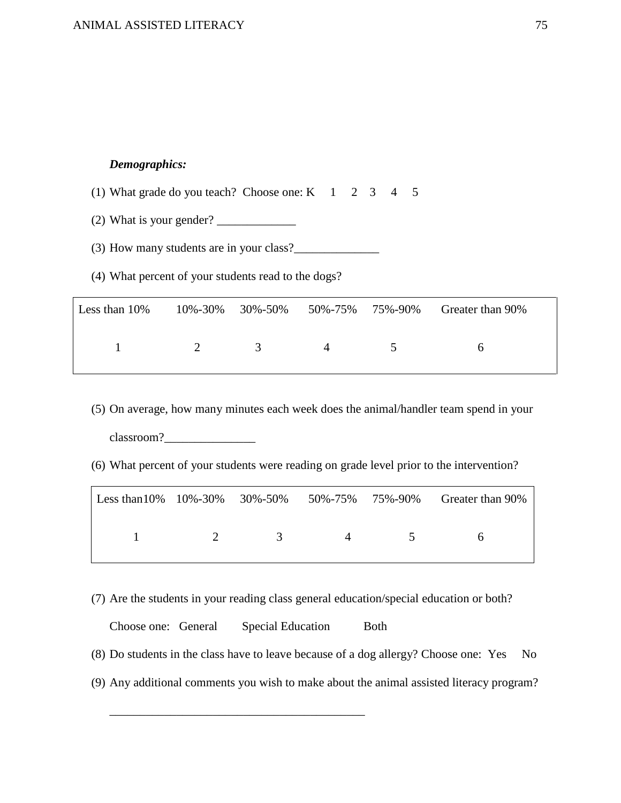## *Demographics:*

(1) What grade do you teach? Choose one:  $K = 123445$ 

(2) What is your gender?  $\frac{1}{2}$ 

(3) How many students are in your class?

(4) What percent of your students read to the dogs?

| Less than $10\%$ |               |          |                |               | 10%-30% 30%-50% 50%-75% 75%-90% Greater than 90% |
|------------------|---------------|----------|----------------|---------------|--------------------------------------------------|
|                  | $\mathcal{D}$ | $\sim$ 4 | $\overline{4}$ | $\sim$ $\sim$ |                                                  |

(5) On average, how many minutes each week does the animal/handler team spend in your classroom?

(6) What percent of your students were reading on grade level prior to the intervention?

|  |                                                                     | Less than 10% 10%-30% 30%-50% 50%-75% 75%-90% Greater than 90% |
|--|---------------------------------------------------------------------|----------------------------------------------------------------|
|  | $1 \qquad \qquad 2 \qquad \qquad 3 \qquad \qquad 4 \qquad \qquad 5$ | - 6                                                            |

(7) Are the students in your reading class general education/special education or both?

Choose one: General Special Education Both (8) Do students in the class have to leave because of a dog allergy? Choose one: Yes No (9) Any additional comments you wish to make about the animal assisted literacy program?

\_\_\_\_\_\_\_\_\_\_\_\_\_\_\_\_\_\_\_\_\_\_\_\_\_\_\_\_\_\_\_\_\_\_\_\_\_\_\_\_\_\_